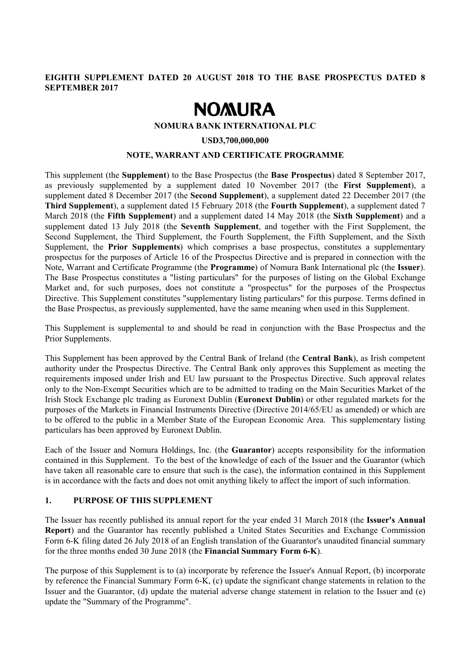#### **EIGHTH SUPPLEMENT DATED 20 AUGUST 2018 TO THE BASE PROSPECTUS DATED 8 SEPTEMBER 2017**

# **NOMURA**

#### **NOMURA BANK INTERNATIONAL PLC**

#### **USD3,700,000,000**

#### **NOTE, WARRANT AND CERTIFICATE PROGRAMME**

This supplement (the **Supplement**) to the Base Prospectus (the **Base Prospectus**) dated 8 September 2017, as previously supplemented by a supplement dated 10 November 2017 (the **First Supplement**), a supplement dated 8 December 2017 (the **Second Supplement**), a supplement dated 22 December 2017 (the **Third Supplement**), a supplement dated 15 February 2018 (the **Fourth Supplement**), a supplement dated 7 March 2018 (the **Fifth Supplement**) and a supplement dated 14 May 2018 (the **Sixth Supplement**) and a supplement dated 13 July 2018 (the **Seventh Supplement**, and together with the First Supplement, the Second Supplement, the Third Supplement, the Fourth Supplement, the Fifth Supplement, and the Sixth Supplement, the **Prior Supplements**) which comprises a base prospectus, constitutes a supplementary prospectus for the purposes of Article 16 of the Prospectus Directive and is prepared in connection with the Note, Warrant and Certificate Programme (the **Programme**) of Nomura Bank International plc (the **Issuer**). The Base Prospectus constitutes a "listing particulars" for the purposes of listing on the Global Exchange Market and, for such purposes, does not constitute a "prospectus" for the purposes of the Prospectus Directive. This Supplement constitutes "supplementary listing particulars" for this purpose. Terms defined in the Base Prospectus, as previously supplemented, have the same meaning when used in this Supplement.

This Supplement is supplemental to and should be read in conjunction with the Base Prospectus and the Prior Supplements.

This Supplement has been approved by the Central Bank of Ireland (the **Central Bank**), as Irish competent authority under the Prospectus Directive. The Central Bank only approves this Supplement as meeting the requirements imposed under Irish and EU law pursuant to the Prospectus Directive. Such approval relates only to the Non-Exempt Securities which are to be admitted to trading on the Main Securities Market of the Irish Stock Exchange plc trading as Euronext Dublin (**Euronext Dublin**) or other regulated markets for the purposes of the Markets in Financial Instruments Directive (Directive 2014/65/EU as amended) or which are to be offered to the public in a Member State of the European Economic Area. This supplementary listing particulars has been approved by Euronext Dublin.

Each of the Issuer and Nomura Holdings, Inc. (the **Guarantor**) accepts responsibility for the information contained in this Supplement. To the best of the knowledge of each of the Issuer and the Guarantor (which have taken all reasonable care to ensure that such is the case), the information contained in this Supplement is in accordance with the facts and does not omit anything likely to affect the import of such information.

#### **1. PURPOSE OF THIS SUPPLEMENT**

The Issuer has recently published its annual report for the year ended 31 March 2018 (the **Issuer's Annual Report**) and the Guarantor has recently published a United States Securities and Exchange Commission Form 6-K filing dated 26 July 2018 of an English translation of the Guarantor's unaudited financial summary for the three months ended 30 June 2018 (the **Financial Summary Form 6-K**).

The purpose of this Supplement is to (a) incorporate by reference the Issuer's Annual Report, (b) incorporate by reference the Financial Summary Form 6-K, (c) update the significant change statements in relation to the Issuer and the Guarantor, (d) update the material adverse change statement in relation to the Issuer and (e) update the "Summary of the Programme".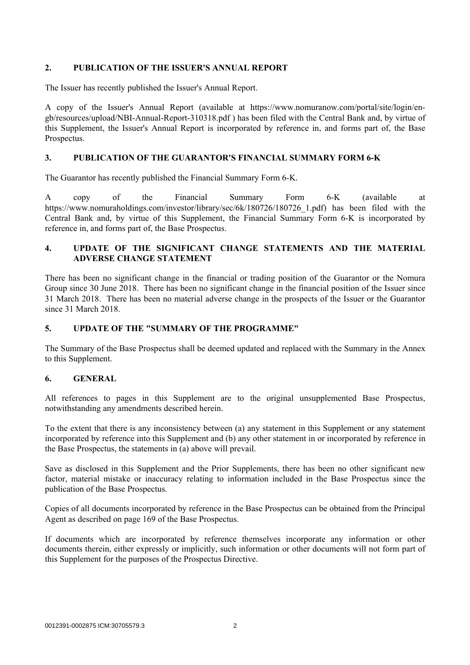#### **2. PUBLICATION OF THE ISSUER'S ANNUAL REPORT**

The Issuer has recently published the Issuer's Annual Report.

A copy of the Issuer's Annual Report (available at https://www.nomuranow.com/portal/site/login/engb/resources/upload/NBI-Annual-Report-310318.pdf ) has been filed with the Central Bank and, by virtue of this Supplement, the Issuer's Annual Report is incorporated by reference in, and forms part of, the Base Prospectus.

#### **3. PUBLICATION OF THE GUARANTOR'S FINANCIAL SUMMARY FORM 6-K**

The Guarantor has recently published the Financial Summary Form 6-K.

A copy of the Financial Summary Form 6-K (available at https://www.nomuraholdings.com/investor/library/sec/6k/180726/180726\_1.pdf) has been filed with the Central Bank and, by virtue of this Supplement, the Financial Summary Form 6-K is incorporated by reference in, and forms part of, the Base Prospectus.

#### **4. UPDATE OF THE SIGNIFICANT CHANGE STATEMENTS AND THE MATERIAL ADVERSE CHANGE STATEMENT**

There has been no significant change in the financial or trading position of the Guarantor or the Nomura Group since 30 June 2018. There has been no significant change in the financial position of the Issuer since 31 March 2018. There has been no material adverse change in the prospects of the Issuer or the Guarantor since 31 March 2018.

#### **5. UPDATE OF THE "SUMMARY OF THE PROGRAMME"**

The Summary of the Base Prospectus shall be deemed updated and replaced with the Summary in the Annex to this Supplement.

#### **6. GENERAL**

All references to pages in this Supplement are to the original unsupplemented Base Prospectus, notwithstanding any amendments described herein.

To the extent that there is any inconsistency between (a) any statement in this Supplement or any statement incorporated by reference into this Supplement and (b) any other statement in or incorporated by reference in the Base Prospectus, the statements in (a) above will prevail.

Save as disclosed in this Supplement and the Prior Supplements, there has been no other significant new factor, material mistake or inaccuracy relating to information included in the Base Prospectus since the publication of the Base Prospectus.

Copies of all documents incorporated by reference in the Base Prospectus can be obtained from the Principal Agent as described on page 169 of the Base Prospectus.

If documents which are incorporated by reference themselves incorporate any information or other documents therein, either expressly or implicitly, such information or other documents will not form part of this Supplement for the purposes of the Prospectus Directive.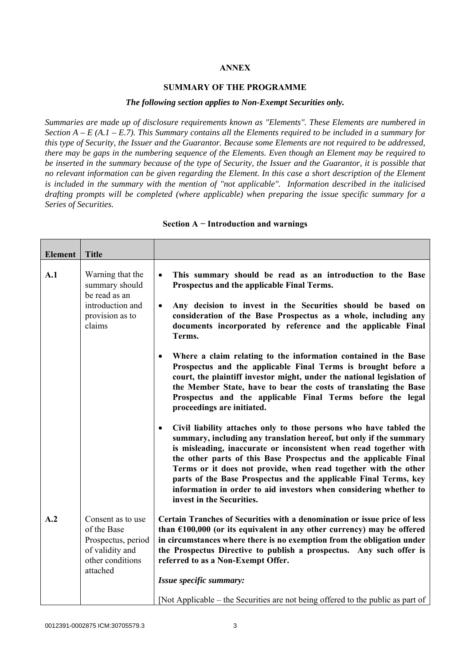#### **ANNEX**

#### **SUMMARY OF THE PROGRAMME**

#### *The following section applies to Non-Exempt Securities only.*

*Summaries are made up of disclosure requirements known as "Elements". These Elements are numbered in Section A – E (A.1 – E.7). This Summary contains all the Elements required to be included in a summary for this type of Security, the Issuer and the Guarantor. Because some Elements are not required to be addressed, there may be gaps in the numbering sequence of the Elements. Even though an Element may be required to be inserted in the summary because of the type of Security, the Issuer and the Guarantor, it is possible that no relevant information can be given regarding the Element. In this case a short description of the Element is included in the summary with the mention of "not applicable". Information described in the italicised drafting prompts will be completed (where applicable) when preparing the issue specific summary for a Series of Securities.*

| <b>Element</b> | <b>Title</b>                                                                                              |                                                                                                                                                                                                                                                                                                                                                                                                                                                                                                                                         |  |
|----------------|-----------------------------------------------------------------------------------------------------------|-----------------------------------------------------------------------------------------------------------------------------------------------------------------------------------------------------------------------------------------------------------------------------------------------------------------------------------------------------------------------------------------------------------------------------------------------------------------------------------------------------------------------------------------|--|
| A.1            | Warning that the<br>summary should<br>be read as an<br>introduction and<br>provision as to<br>claims      | This summary should be read as an introduction to the Base<br>$\bullet$<br>Prospectus and the applicable Final Terms.<br>Any decision to invest in the Securities should be based on<br>$\bullet$<br>consideration of the Base Prospectus as a whole, including any<br>documents incorporated by reference and the applicable Final<br>Terms.                                                                                                                                                                                           |  |
|                |                                                                                                           | Where a claim relating to the information contained in the Base<br>$\bullet$<br>Prospectus and the applicable Final Terms is brought before a<br>court, the plaintiff investor might, under the national legislation of<br>the Member State, have to bear the costs of translating the Base<br>Prospectus and the applicable Final Terms before the legal<br>proceedings are initiated.                                                                                                                                                 |  |
|                |                                                                                                           | Civil liability attaches only to those persons who have tabled the<br>$\bullet$<br>summary, including any translation hereof, but only if the summary<br>is misleading, inaccurate or inconsistent when read together with<br>the other parts of this Base Prospectus and the applicable Final<br>Terms or it does not provide, when read together with the other<br>parts of the Base Prospectus and the applicable Final Terms, key<br>information in order to aid investors when considering whether to<br>invest in the Securities. |  |
| A.2            | Consent as to use<br>of the Base<br>Prospectus, period<br>of validity and<br>other conditions<br>attached | Certain Tranches of Securities with a denomination or issue price of less<br>than $£100,000$ (or its equivalent in any other currency) may be offered<br>in circumstances where there is no exemption from the obligation under<br>the Prospectus Directive to publish a prospectus. Any such offer is<br>referred to as a Non-Exempt Offer.<br>Issue specific summary:<br>[Not Applicable – the Securities are not being offered to the public as part of                                                                              |  |

#### **Section A − Introduction and warnings**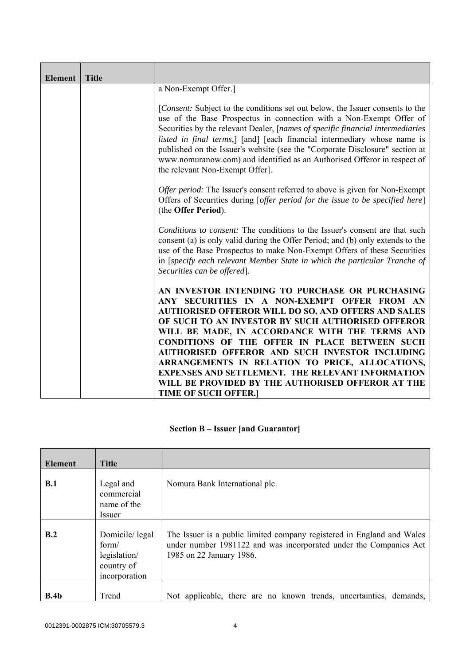| <b>Element</b> | <b>Title</b> |                                                                                                                                                                                                                                                                                                                                                                                                                                                                                                                                                                           |
|----------------|--------------|---------------------------------------------------------------------------------------------------------------------------------------------------------------------------------------------------------------------------------------------------------------------------------------------------------------------------------------------------------------------------------------------------------------------------------------------------------------------------------------------------------------------------------------------------------------------------|
|                |              | a Non-Exempt Offer.]                                                                                                                                                                                                                                                                                                                                                                                                                                                                                                                                                      |
|                |              | [Consent: Subject to the conditions set out below, the Issuer consents to the<br>use of the Base Prospectus in connection with a Non-Exempt Offer of<br>Securities by the relevant Dealer, [names of specific financial intermediaries<br>listed in final terms,] [and] [each financial intermediary whose name is<br>published on the Issuer's website (see the "Corporate Disclosure" section at<br>www.nomuranow.com) and identified as an Authorised Offeror in respect of<br>the relevant Non-Exempt Offer].                                                         |
|                |              | <i>Offer period:</i> The Issuer's consent referred to above is given for Non-Exempt<br>Offers of Securities during [offer period for the issue to be specified here]<br>(the Offer Period).                                                                                                                                                                                                                                                                                                                                                                               |
|                |              | <i>Conditions to consent:</i> The conditions to the Issuer's consent are that such<br>consent (a) is only valid during the Offer Period; and (b) only extends to the<br>use of the Base Prospectus to make Non-Exempt Offers of these Securities<br>in [specify each relevant Member State in which the particular Tranche of<br>Securities can be offered].                                                                                                                                                                                                              |
|                |              | AN INVESTOR INTENDING TO PURCHASE OR PURCHASING<br>ANY SECURITIES IN A NON-EXEMPT OFFER FROM AN<br><b>AUTHORISED OFFEROR WILL DO SO, AND OFFERS AND SALES</b><br>OF SUCH TO AN INVESTOR BY SUCH AUTHORISED OFFEROR<br>WILL BE MADE, IN ACCORDANCE WITH THE TERMS AND<br>CONDITIONS OF THE OFFER IN PLACE BETWEEN SUCH<br>AUTHORISED OFFEROR AND SUCH INVESTOR INCLUDING<br>ARRANGEMENTS IN RELATION TO PRICE, ALLOCATIONS,<br><b>EXPENSES AND SETTLEMENT. THE RELEVANT INFORMATION</b><br>WILL BE PROVIDED BY THE AUTHORISED OFFEROR AT THE<br><b>TIME OF SUCH OFFER.</b> |

## **Section B – Issuer [and Guarantor]**

| <b>Element</b>   | <b>Title</b>                                                           |                                                                                                                                                                         |
|------------------|------------------------------------------------------------------------|-------------------------------------------------------------------------------------------------------------------------------------------------------------------------|
| B.1              | Legal and<br>commercial<br>name of the<br>Issuer                       | Nomura Bank International plc.                                                                                                                                          |
| B.2              | Domicile/legal<br>form/<br>legislation/<br>country of<br>incorporation | The Issuer is a public limited company registered in England and Wales<br>under number 1981122 and was incorporated under the Companies Act<br>1985 on 22 January 1986. |
| B.4 <sub>b</sub> | Trend                                                                  | Not applicable, there are no known trends, uncertainties, demands,                                                                                                      |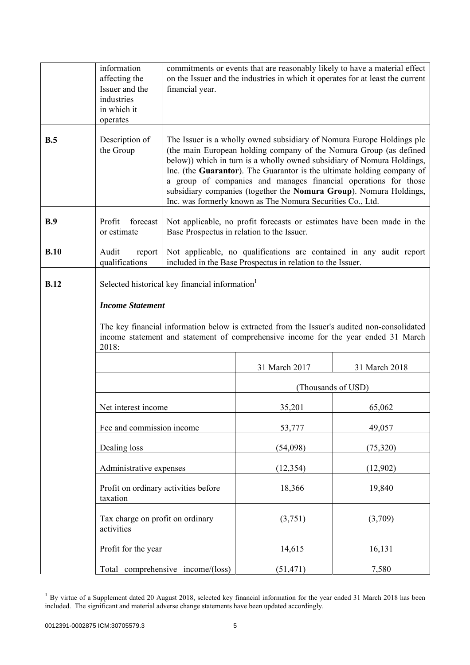|             | information<br>affecting the<br>Issuer and the<br>industries<br>in which it<br>operates | financial year.                                                                                                                                                                                                                                                                                                                                                                                                                                                                                        |                                                            | commitments or events that are reasonably likely to have a material effect<br>on the Issuer and the industries in which it operates for at least the current |
|-------------|-----------------------------------------------------------------------------------------|--------------------------------------------------------------------------------------------------------------------------------------------------------------------------------------------------------------------------------------------------------------------------------------------------------------------------------------------------------------------------------------------------------------------------------------------------------------------------------------------------------|------------------------------------------------------------|--------------------------------------------------------------------------------------------------------------------------------------------------------------|
| B.5         | Description of<br>the Group                                                             | The Issuer is a wholly owned subsidiary of Nomura Europe Holdings plc<br>(the main European holding company of the Nomura Group (as defined<br>below)) which in turn is a wholly owned subsidiary of Nomura Holdings,<br>Inc. (the Guarantor). The Guarantor is the ultimate holding company of<br>a group of companies and manages financial operations for those<br>subsidiary companies (together the Nomura Group). Nomura Holdings,<br>Inc. was formerly known as The Nomura Securities Co., Ltd. |                                                            |                                                                                                                                                              |
| B.9         | Profit<br>forecast<br>or estimate                                                       |                                                                                                                                                                                                                                                                                                                                                                                                                                                                                                        | Base Prospectus in relation to the Issuer.                 | Not applicable, no profit forecasts or estimates have been made in the                                                                                       |
| B.10        | Audit<br>report<br>qualifications                                                       |                                                                                                                                                                                                                                                                                                                                                                                                                                                                                                        | included in the Base Prospectus in relation to the Issuer. | Not applicable, no qualifications are contained in any audit report                                                                                          |
| <b>B.12</b> | <b>Income Statement</b><br>2018:                                                        | Selected historical key financial information <sup>1</sup><br>The key financial information below is extracted from the Issuer's audited non-consolidated<br>income statement and statement of comprehensive income for the year ended 31 March                                                                                                                                                                                                                                                        |                                                            |                                                                                                                                                              |
|             |                                                                                         |                                                                                                                                                                                                                                                                                                                                                                                                                                                                                                        | 31 March 2017                                              | 31 March 2018                                                                                                                                                |
|             |                                                                                         |                                                                                                                                                                                                                                                                                                                                                                                                                                                                                                        | (Thousands of USD)                                         |                                                                                                                                                              |
|             | Net interest income                                                                     |                                                                                                                                                                                                                                                                                                                                                                                                                                                                                                        | 35,201                                                     | 65,062                                                                                                                                                       |
|             | Fee and commission income                                                               |                                                                                                                                                                                                                                                                                                                                                                                                                                                                                                        | 53,777                                                     | 49,057                                                                                                                                                       |
|             | Dealing loss                                                                            |                                                                                                                                                                                                                                                                                                                                                                                                                                                                                                        | (54,098)                                                   | (75, 320)                                                                                                                                                    |
|             |                                                                                         | Administrative expenses                                                                                                                                                                                                                                                                                                                                                                                                                                                                                |                                                            | (12,902)                                                                                                                                                     |
|             | Profit on ordinary activities before<br>taxation                                        |                                                                                                                                                                                                                                                                                                                                                                                                                                                                                                        | 18,366                                                     | 19,840                                                                                                                                                       |
|             | Tax charge on profit on ordinary<br>activities                                          |                                                                                                                                                                                                                                                                                                                                                                                                                                                                                                        | (3,751)                                                    | (3,709)                                                                                                                                                      |
|             | Profit for the year                                                                     |                                                                                                                                                                                                                                                                                                                                                                                                                                                                                                        | 14,615                                                     | 16,131                                                                                                                                                       |
|             |                                                                                         | Total comprehensive income/(loss)                                                                                                                                                                                                                                                                                                                                                                                                                                                                      | (51, 471)                                                  | 7,580                                                                                                                                                        |

 $1$  By virtue of a Supplement dated 20 August 2018, selected key financial information for the year ended 31 March 2018 has been included. The significant and material adverse change statements have been updated accordingly.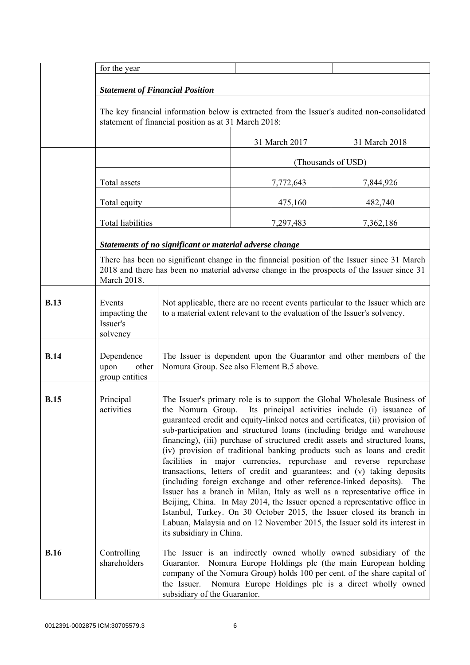|             | for the year                                                                                                                                        |                                                                                                                                                                                                                                                                                                                                                                                                                                                                                                                                                                                                                                                                                                                                                                                                                                                                                                                                                                                                                                           |                    |               |
|-------------|-----------------------------------------------------------------------------------------------------------------------------------------------------|-------------------------------------------------------------------------------------------------------------------------------------------------------------------------------------------------------------------------------------------------------------------------------------------------------------------------------------------------------------------------------------------------------------------------------------------------------------------------------------------------------------------------------------------------------------------------------------------------------------------------------------------------------------------------------------------------------------------------------------------------------------------------------------------------------------------------------------------------------------------------------------------------------------------------------------------------------------------------------------------------------------------------------------------|--------------------|---------------|
|             |                                                                                                                                                     |                                                                                                                                                                                                                                                                                                                                                                                                                                                                                                                                                                                                                                                                                                                                                                                                                                                                                                                                                                                                                                           |                    |               |
|             | <b>Statement of Financial Position</b>                                                                                                              |                                                                                                                                                                                                                                                                                                                                                                                                                                                                                                                                                                                                                                                                                                                                                                                                                                                                                                                                                                                                                                           |                    |               |
|             | The key financial information below is extracted from the Issuer's audited non-consolidated<br>statement of financial position as at 31 March 2018: |                                                                                                                                                                                                                                                                                                                                                                                                                                                                                                                                                                                                                                                                                                                                                                                                                                                                                                                                                                                                                                           |                    |               |
|             |                                                                                                                                                     |                                                                                                                                                                                                                                                                                                                                                                                                                                                                                                                                                                                                                                                                                                                                                                                                                                                                                                                                                                                                                                           | 31 March 2017      | 31 March 2018 |
|             |                                                                                                                                                     |                                                                                                                                                                                                                                                                                                                                                                                                                                                                                                                                                                                                                                                                                                                                                                                                                                                                                                                                                                                                                                           | (Thousands of USD) |               |
|             | Total assets                                                                                                                                        |                                                                                                                                                                                                                                                                                                                                                                                                                                                                                                                                                                                                                                                                                                                                                                                                                                                                                                                                                                                                                                           | 7,772,643          | 7,844,926     |
|             | Total equity                                                                                                                                        |                                                                                                                                                                                                                                                                                                                                                                                                                                                                                                                                                                                                                                                                                                                                                                                                                                                                                                                                                                                                                                           | 475,160            | 482,740       |
|             | Total liabilities                                                                                                                                   |                                                                                                                                                                                                                                                                                                                                                                                                                                                                                                                                                                                                                                                                                                                                                                                                                                                                                                                                                                                                                                           | 7,297,483          | 7,362,186     |
|             |                                                                                                                                                     | Statements of no significant or material adverse change                                                                                                                                                                                                                                                                                                                                                                                                                                                                                                                                                                                                                                                                                                                                                                                                                                                                                                                                                                                   |                    |               |
|             | March 2018.                                                                                                                                         | There has been no significant change in the financial position of the Issuer since 31 March<br>2018 and there has been no material adverse change in the prospects of the Issuer since 31                                                                                                                                                                                                                                                                                                                                                                                                                                                                                                                                                                                                                                                                                                                                                                                                                                                 |                    |               |
| <b>B.13</b> | Events<br>impacting the<br>Issuer's<br>solvency                                                                                                     | Not applicable, there are no recent events particular to the Issuer which are<br>to a material extent relevant to the evaluation of the Issuer's solvency.                                                                                                                                                                                                                                                                                                                                                                                                                                                                                                                                                                                                                                                                                                                                                                                                                                                                                |                    |               |
| <b>B.14</b> | Dependence<br>upon<br>other<br>group entities                                                                                                       | The Issuer is dependent upon the Guarantor and other members of the<br>Nomura Group. See also Element B.5 above.                                                                                                                                                                                                                                                                                                                                                                                                                                                                                                                                                                                                                                                                                                                                                                                                                                                                                                                          |                    |               |
| <b>B.15</b> | Principal<br>activities                                                                                                                             | The Issuer's primary role is to support the Global Wholesale Business of<br>the Nomura Group. Its principal activities include (i) issuance of<br>guaranteed credit and equity-linked notes and certificates, (ii) provision of<br>sub-participation and structured loans (including bridge and warehouse<br>financing), (iii) purchase of structured credit assets and structured loans,<br>(iv) provision of traditional banking products such as loans and credit<br>facilities in major currencies, repurchase and reverse repurchase<br>transactions, letters of credit and guarantees; and (v) taking deposits<br>(including foreign exchange and other reference-linked deposits). The<br>Issuer has a branch in Milan, Italy as well as a representative office in<br>Beijing, China. In May 2014, the Issuer opened a representative office in<br>Istanbul, Turkey. On 30 October 2015, the Issuer closed its branch in<br>Labuan, Malaysia and on 12 November 2015, the Issuer sold its interest in<br>its subsidiary in China. |                    |               |
| <b>B.16</b> | Controlling<br>shareholders                                                                                                                         | The Issuer is an indirectly owned wholly owned subsidiary of the<br>Guarantor. Nomura Europe Holdings plc (the main European holding<br>company of the Nomura Group) holds 100 per cent. of the share capital of<br>the Issuer.<br>Nomura Europe Holdings plc is a direct wholly owned<br>subsidiary of the Guarantor.                                                                                                                                                                                                                                                                                                                                                                                                                                                                                                                                                                                                                                                                                                                    |                    |               |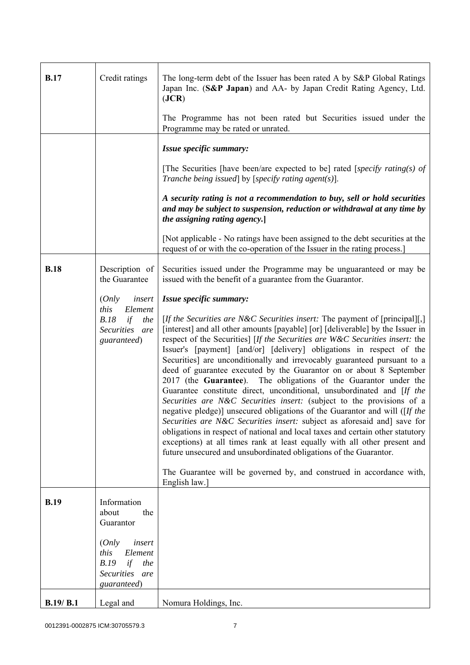| <b>B.17</b> | Credit ratings                                                                                     | The long-term debt of the Issuer has been rated A by S&P Global Ratings<br>Japan Inc. (S&P Japan) and AA- by Japan Credit Rating Agency, Ltd.<br>( <b>JCR</b> )<br>The Programme has not been rated but Securities issued under the<br>Programme may be rated or unrated.                                                                                                                                                                                                                                                                                                                                                                                                                                                                                                                                                                                                                                                                                                                                                                                                                                                                                                                                         |
|-------------|----------------------------------------------------------------------------------------------------|-------------------------------------------------------------------------------------------------------------------------------------------------------------------------------------------------------------------------------------------------------------------------------------------------------------------------------------------------------------------------------------------------------------------------------------------------------------------------------------------------------------------------------------------------------------------------------------------------------------------------------------------------------------------------------------------------------------------------------------------------------------------------------------------------------------------------------------------------------------------------------------------------------------------------------------------------------------------------------------------------------------------------------------------------------------------------------------------------------------------------------------------------------------------------------------------------------------------|
|             |                                                                                                    | Issue specific summary:                                                                                                                                                                                                                                                                                                                                                                                                                                                                                                                                                                                                                                                                                                                                                                                                                                                                                                                                                                                                                                                                                                                                                                                           |
|             |                                                                                                    | [The Securities [have been/are expected to be] rated [specify rating(s) of<br>Tranche being issued] by [specify rating agent(s)].                                                                                                                                                                                                                                                                                                                                                                                                                                                                                                                                                                                                                                                                                                                                                                                                                                                                                                                                                                                                                                                                                 |
|             |                                                                                                    | A security rating is not a recommendation to buy, sell or hold securities<br>and may be subject to suspension, reduction or withdrawal at any time by<br>the assigning rating agency.]                                                                                                                                                                                                                                                                                                                                                                                                                                                                                                                                                                                                                                                                                                                                                                                                                                                                                                                                                                                                                            |
|             |                                                                                                    | [Not applicable - No ratings have been assigned to the debt securities at the<br>request of or with the co-operation of the Issuer in the rating process.                                                                                                                                                                                                                                                                                                                                                                                                                                                                                                                                                                                                                                                                                                                                                                                                                                                                                                                                                                                                                                                         |
| <b>B.18</b> | Description of<br>the Guarantee                                                                    | Securities issued under the Programme may be unguaranteed or may be<br>issued with the benefit of a guarantee from the Guarantor.                                                                                                                                                                                                                                                                                                                                                                                                                                                                                                                                                                                                                                                                                                                                                                                                                                                                                                                                                                                                                                                                                 |
|             | insert<br>(Only<br>this<br>Element<br>B.18<br>if<br>the<br>Securities are<br>guaranteed)           | Issue specific summary:<br>[If the Securities are N&C Securities insert: The payment of [principal][,]<br>[interest] and all other amounts [payable] [or] [deliverable] by the Issuer in<br>respect of the Securities] [If the Securities are W&C Securities insert: the<br>Issuer's [payment] [and/or] [delivery] obligations in respect of the<br>Securities] are unconditionally and irrevocably guaranteed pursuant to a<br>deed of guarantee executed by the Guarantor on or about 8 September<br>2017 (the Guarantee). The obligations of the Guarantor under the<br>Guarantee constitute direct, unconditional, unsubordinated and [If the<br>Securities are N&C Securities insert: (subject to the provisions of a<br>negative pledge)] unsecured obligations of the Guarantor and will ([If the<br>Securities are N&C Securities insert: subject as aforesaid and] save for<br>obligations in respect of national and local taxes and certain other statutory<br>exceptions) at all times rank at least equally with all other present and<br>future unsecured and unsubordinated obligations of the Guarantor.<br>The Guarantee will be governed by, and construed in accordance with,<br>English law.] |
| <b>B.19</b> | Information<br>about<br>the<br>Guarantor                                                           |                                                                                                                                                                                                                                                                                                                                                                                                                                                                                                                                                                                                                                                                                                                                                                                                                                                                                                                                                                                                                                                                                                                                                                                                                   |
|             | (Only<br>insert<br>this<br>Element<br>if<br>B.19<br>the<br><b>Securities</b><br>are<br>guaranteed) |                                                                                                                                                                                                                                                                                                                                                                                                                                                                                                                                                                                                                                                                                                                                                                                                                                                                                                                                                                                                                                                                                                                                                                                                                   |
| B.19/ B.1   | Legal and                                                                                          | Nomura Holdings, Inc.                                                                                                                                                                                                                                                                                                                                                                                                                                                                                                                                                                                                                                                                                                                                                                                                                                                                                                                                                                                                                                                                                                                                                                                             |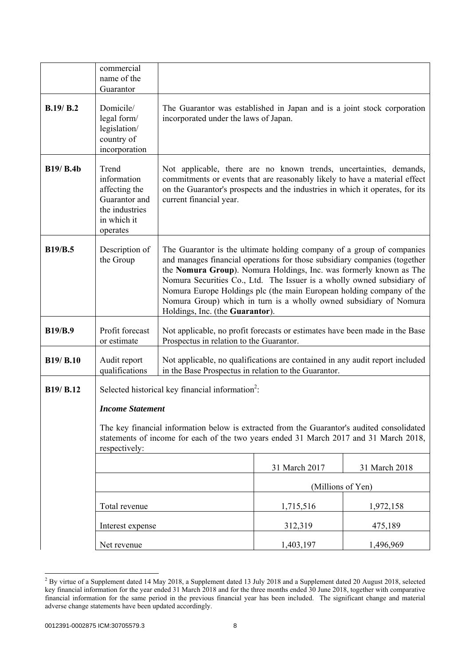|                  | commercial<br>name of the<br>Guarantor                                                                                                                                                                                                                                                          |                                                                                                                                                                                                                                                                                                                                                                                                                                                                                     |                   |               |
|------------------|-------------------------------------------------------------------------------------------------------------------------------------------------------------------------------------------------------------------------------------------------------------------------------------------------|-------------------------------------------------------------------------------------------------------------------------------------------------------------------------------------------------------------------------------------------------------------------------------------------------------------------------------------------------------------------------------------------------------------------------------------------------------------------------------------|-------------------|---------------|
| B.19/B.2         | Domicile/<br>legal form/<br>legislation/<br>country of<br>incorporation                                                                                                                                                                                                                         | The Guarantor was established in Japan and is a joint stock corporation<br>incorporated under the laws of Japan.                                                                                                                                                                                                                                                                                                                                                                    |                   |               |
| <b>B19/ B.4b</b> | Trend<br>information<br>affecting the<br>Guarantor and<br>the industries<br>in which it<br>operates                                                                                                                                                                                             | Not applicable, there are no known trends, uncertainties, demands,<br>commitments or events that are reasonably likely to have a material effect<br>on the Guarantor's prospects and the industries in which it operates, for its<br>current financial year.                                                                                                                                                                                                                        |                   |               |
| <b>B19/B.5</b>   | Description of<br>the Group                                                                                                                                                                                                                                                                     | The Guarantor is the ultimate holding company of a group of companies<br>and manages financial operations for those subsidiary companies (together<br>the Nomura Group). Nomura Holdings, Inc. was formerly known as The<br>Nomura Securities Co., Ltd. The Issuer is a wholly owned subsidiary of<br>Nomura Europe Holdings plc (the main European holding company of the<br>Nomura Group) which in turn is a wholly owned subsidiary of Nomura<br>Holdings, Inc. (the Guarantor). |                   |               |
| <b>B19/B.9</b>   | Profit forecast<br>or estimate                                                                                                                                                                                                                                                                  | Not applicable, no profit forecasts or estimates have been made in the Base<br>Prospectus in relation to the Guarantor.                                                                                                                                                                                                                                                                                                                                                             |                   |               |
| B19/ B.10        | Audit report<br>qualifications                                                                                                                                                                                                                                                                  | Not applicable, no qualifications are contained in any audit report included<br>in the Base Prospectus in relation to the Guarantor.                                                                                                                                                                                                                                                                                                                                                |                   |               |
| B19/ B.12        | Selected historical key financial information <sup>2</sup> :<br><b>Income Statement</b><br>The key financial information below is extracted from the Guarantor's audited consolidated<br>statements of income for each of the two years ended 31 March 2017 and 31 March 2018,<br>respectively: |                                                                                                                                                                                                                                                                                                                                                                                                                                                                                     |                   |               |
|                  |                                                                                                                                                                                                                                                                                                 |                                                                                                                                                                                                                                                                                                                                                                                                                                                                                     | 31 March 2017     | 31 March 2018 |
|                  |                                                                                                                                                                                                                                                                                                 |                                                                                                                                                                                                                                                                                                                                                                                                                                                                                     | (Millions of Yen) |               |
|                  | Total revenue                                                                                                                                                                                                                                                                                   |                                                                                                                                                                                                                                                                                                                                                                                                                                                                                     | 1,715,516         | 1,972,158     |
|                  | Interest expense                                                                                                                                                                                                                                                                                |                                                                                                                                                                                                                                                                                                                                                                                                                                                                                     | 312,319           | 475,189       |
|                  | Net revenue                                                                                                                                                                                                                                                                                     |                                                                                                                                                                                                                                                                                                                                                                                                                                                                                     | 1,403,197         | 1,496,969     |

<sup>&</sup>lt;sup>2</sup> By virtue of a Supplement dated 14 May 2018, a Supplement dated 13 July 2018 and a Supplement dated 20 August 2018, selected key financial information for the year ended 31 March 2018 and for the three months ended 30 June 2018, together with comparative financial information for the same period in the previous financial year has been included. The significant change and material adverse change statements have been updated accordingly.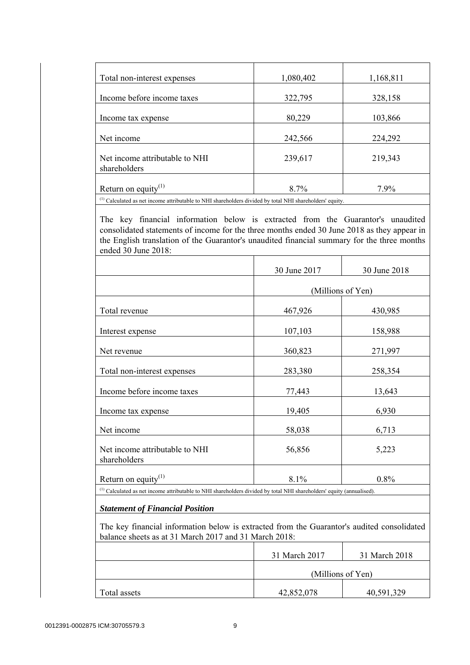| Total non-interest expenses                                                                                         | 1,080,402 | 1,168,811 |
|---------------------------------------------------------------------------------------------------------------------|-----------|-----------|
| Income before income taxes                                                                                          | 322,795   | 328,158   |
|                                                                                                                     |           |           |
| Income tax expense                                                                                                  | 80,229    | 103,866   |
| Net income                                                                                                          | 242,566   | 224,292   |
| Net income attributable to NHI<br>shareholders                                                                      | 239,617   | 219,343   |
| Return on equity <sup>(1)</sup>                                                                                     | 8.7%      | 7.9%      |
| <sup>(1)</sup> Calculated as net income attributable to NHI shareholders divided by total NHI shareholders' equity. |           |           |

 The key financial information below is extracted from the Guarantor's unaudited consolidated statements of income for the three months ended 30 June 2018 as they appear in the English translation of the Guarantor's unaudited financial summary for the three months ended 30 June 2018:

|                                                                                                                                  | 30 June 2017 | 30 June 2018      |
|----------------------------------------------------------------------------------------------------------------------------------|--------------|-------------------|
|                                                                                                                                  |              | (Millions of Yen) |
| Total revenue                                                                                                                    | 467,926      | 430,985           |
| Interest expense                                                                                                                 | 107,103      | 158,988           |
| Net revenue                                                                                                                      | 360,823      | 271,997           |
| Total non-interest expenses                                                                                                      | 283,380      | 258,354           |
| Income before income taxes                                                                                                       | 77,443       | 13,643            |
| Income tax expense                                                                                                               | 19,405       | 6,930             |
| Net income                                                                                                                       | 58,038       | 6,713             |
| Net income attributable to NHI<br>shareholders                                                                                   | 56,856       | 5,223             |
| Return on equity <sup>(1)</sup>                                                                                                  | 8.1%         | 0.8%              |
| <sup>(1)</sup> Calculated as net income attributable to NHI shareholders divided by total NHI shareholders' equity (annualised). |              |                   |

#### *Statement of Financial Position*

 The key financial information below is extracted from the Guarantor's audited consolidated balance sheets as at 31 March 2017 and 31 March 2018:

|                   |              | 31 March 2017 | 31 March 2018 |
|-------------------|--------------|---------------|---------------|
| (Millions of Yen) |              |               |               |
|                   | Total assets | 42,852,078    | 40,591,329    |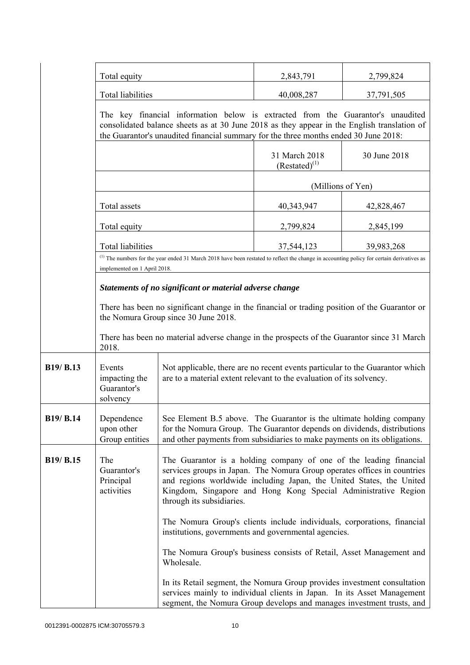|           | Total equity                                                                                                                          |                                                                                                                                                                                                                                                                                                                       | 2,843,791                                                                                                                                                                      | 2,799,824    |
|-----------|---------------------------------------------------------------------------------------------------------------------------------------|-----------------------------------------------------------------------------------------------------------------------------------------------------------------------------------------------------------------------------------------------------------------------------------------------------------------------|--------------------------------------------------------------------------------------------------------------------------------------------------------------------------------|--------------|
|           | Total liabilities                                                                                                                     |                                                                                                                                                                                                                                                                                                                       | 40,008,287                                                                                                                                                                     | 37,791,505   |
|           | the Guarantor's unaudited financial summary for the three months ended 30 June 2018:                                                  |                                                                                                                                                                                                                                                                                                                       | The key financial information below is extracted from the Guarantor's unaudited<br>consolidated balance sheets as at 30 June 2018 as they appear in the English translation of |              |
|           |                                                                                                                                       |                                                                                                                                                                                                                                                                                                                       | 31 March 2018<br>$(Restated)^{(1)}$                                                                                                                                            | 30 June 2018 |
|           |                                                                                                                                       |                                                                                                                                                                                                                                                                                                                       | (Millions of Yen)                                                                                                                                                              |              |
|           | Total assets                                                                                                                          |                                                                                                                                                                                                                                                                                                                       | 40, 343, 947                                                                                                                                                                   | 42,828,467   |
|           | Total equity                                                                                                                          |                                                                                                                                                                                                                                                                                                                       | 2,799,824                                                                                                                                                                      | 2,845,199    |
|           | <b>Total liabilities</b>                                                                                                              |                                                                                                                                                                                                                                                                                                                       | 37,544,123                                                                                                                                                                     | 39,983,268   |
|           | implemented on 1 April 2018.                                                                                                          | $^{(1)}$ The numbers for the year ended 31 March 2018 have been restated to reflect the change in accounting policy for certain derivatives as                                                                                                                                                                        |                                                                                                                                                                                |              |
|           |                                                                                                                                       | Statements of no significant or material adverse change                                                                                                                                                                                                                                                               |                                                                                                                                                                                |              |
|           | There has been no significant change in the financial or trading position of the Guarantor or<br>the Nomura Group since 30 June 2018. |                                                                                                                                                                                                                                                                                                                       |                                                                                                                                                                                |              |
|           | 2018.                                                                                                                                 | There has been no material adverse change in the prospects of the Guarantor since 31 March                                                                                                                                                                                                                            |                                                                                                                                                                                |              |
| B19/ B.13 | Events<br>impacting the<br>Guarantor's<br>solvency                                                                                    | Not applicable, there are no recent events particular to the Guarantor which<br>are to a material extent relevant to the evaluation of its solvency.                                                                                                                                                                  |                                                                                                                                                                                |              |
| B19/ B.14 | Dependence<br>upon other<br>Group entities                                                                                            | See Element B.5 above. The Guarantor is the ultimate holding company<br>for the Nomura Group. The Guarantor depends on dividends, distributions<br>and other payments from subsidiaries to make payments on its obligations.                                                                                          |                                                                                                                                                                                |              |
| B19/ B.15 | The<br>Guarantor's<br>Principal<br>activities                                                                                         | The Guarantor is a holding company of one of the leading financial<br>services groups in Japan. The Nomura Group operates offices in countries<br>and regions worldwide including Japan, the United States, the United<br>Kingdom, Singapore and Hong Kong Special Administrative Region<br>through its subsidiaries. |                                                                                                                                                                                |              |
|           |                                                                                                                                       | The Nomura Group's clients include individuals, corporations, financial<br>institutions, governments and governmental agencies.                                                                                                                                                                                       |                                                                                                                                                                                |              |
|           |                                                                                                                                       | The Nomura Group's business consists of Retail, Asset Management and<br>Wholesale.                                                                                                                                                                                                                                    |                                                                                                                                                                                |              |
|           |                                                                                                                                       | In its Retail segment, the Nomura Group provides investment consultation<br>services mainly to individual clients in Japan. In its Asset Management<br>segment, the Nomura Group develops and manages investment trusts, and                                                                                          |                                                                                                                                                                                |              |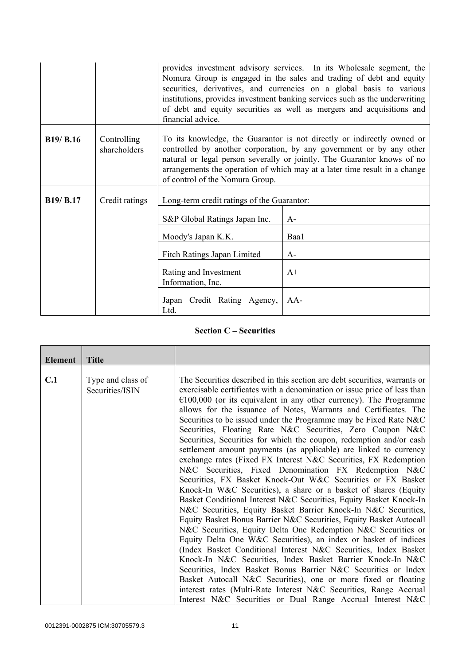|                  |                             | provides investment advisory services. In its Wholesale segment, the<br>Nomura Group is engaged in the sales and trading of debt and equity<br>securities, derivatives, and currencies on a global basis to various<br>institutions, provides investment banking services such as the underwriting<br>of debt and equity securities as well as mergers and acquisitions and<br>financial advice. |       |  |
|------------------|-----------------------------|--------------------------------------------------------------------------------------------------------------------------------------------------------------------------------------------------------------------------------------------------------------------------------------------------------------------------------------------------------------------------------------------------|-------|--|
| <b>B19/ B.16</b> | Controlling<br>shareholders | To its knowledge, the Guarantor is not directly or indirectly owned or<br>controlled by another corporation, by any government or by any other<br>natural or legal person severally or jointly. The Guarantor knows of no<br>arrangements the operation of which may at a later time result in a change<br>of control of the Nomura Group.                                                       |       |  |
| <b>B19/ B.17</b> | Credit ratings              | Long-term credit ratings of the Guarantor:                                                                                                                                                                                                                                                                                                                                                       |       |  |
|                  |                             | S&P Global Ratings Japan Inc.                                                                                                                                                                                                                                                                                                                                                                    | $A-$  |  |
|                  |                             | Moody's Japan K.K.                                                                                                                                                                                                                                                                                                                                                                               | Baa1  |  |
|                  |                             | Fitch Ratings Japan Limited<br>$A-$                                                                                                                                                                                                                                                                                                                                                              |       |  |
|                  |                             | Rating and Investment<br>$A+$<br>Information, Inc.                                                                                                                                                                                                                                                                                                                                               |       |  |
|                  |                             | Japan Credit Rating Agency,<br>Ltd.                                                                                                                                                                                                                                                                                                                                                              | $AA-$ |  |

### **Section C – Securities**

| <b>Element</b> | <b>Title</b>                         |                                                                                                                                                                                                                                                                                                                                                                                                                                                                                                                                                                                                                                                                                                                                                                                                                                                                                                                                                                                                                                                                                                                                                                                                                                                                                                                                                                                                                                                                                                                                                                                                               |
|----------------|--------------------------------------|---------------------------------------------------------------------------------------------------------------------------------------------------------------------------------------------------------------------------------------------------------------------------------------------------------------------------------------------------------------------------------------------------------------------------------------------------------------------------------------------------------------------------------------------------------------------------------------------------------------------------------------------------------------------------------------------------------------------------------------------------------------------------------------------------------------------------------------------------------------------------------------------------------------------------------------------------------------------------------------------------------------------------------------------------------------------------------------------------------------------------------------------------------------------------------------------------------------------------------------------------------------------------------------------------------------------------------------------------------------------------------------------------------------------------------------------------------------------------------------------------------------------------------------------------------------------------------------------------------------|
| C.1            | Type and class of<br>Securities/ISIN | The Securities described in this section are debt securities, warrants or<br>exercisable certificates with a denomination or issue price of less than<br>$\epsilon$ 100,000 (or its equivalent in any other currency). The Programme<br>allows for the issuance of Notes, Warrants and Certificates. The<br>Securities to be issued under the Programme may be Fixed Rate N&C<br>Securities, Floating Rate N&C Securities, Zero Coupon N&C<br>Securities, Securities for which the coupon, redemption and/or cash<br>settlement amount payments (as applicable) are linked to currency<br>exchange rates (Fixed FX Interest N&C Securities, FX Redemption<br>N&C Securities, Fixed Denomination FX Redemption N&C<br>Securities, FX Basket Knock-Out W&C Securities or FX Basket<br>Knock-In W&C Securities), a share or a basket of shares (Equity<br>Basket Conditional Interest N&C Securities, Equity Basket Knock-In<br>N&C Securities, Equity Basket Barrier Knock-In N&C Securities,<br>Equity Basket Bonus Barrier N&C Securities, Equity Basket Autocall<br>N&C Securities, Equity Delta One Redemption N&C Securities or<br>Equity Delta One W&C Securities), an index or basket of indices<br>(Index Basket Conditional Interest N&C Securities, Index Basket<br>Knock-In N&C Securities, Index Basket Barrier Knock-In N&C<br>Securities, Index Basket Bonus Barrier N&C Securities or Index<br>Basket Autocall N&C Securities), one or more fixed or floating<br>interest rates (Multi-Rate Interest N&C Securities, Range Accrual<br>Interest N&C Securities or Dual Range Accrual Interest N&C |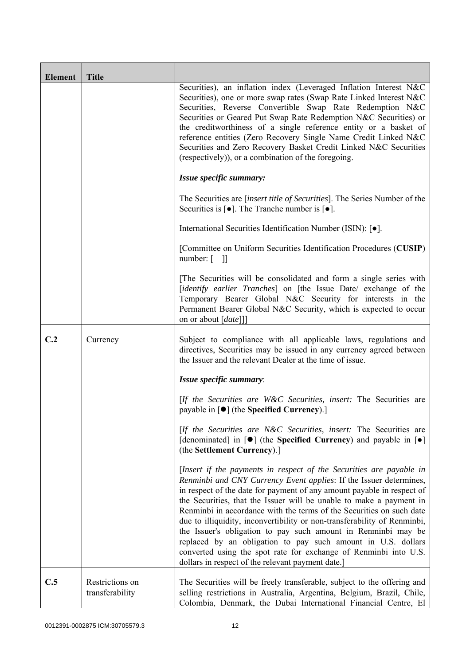| <b>Element</b> | <b>Title</b>                       |                                                                                                                                                                                                                                                                                                                                                                                                                                                                                                                                                                                                                                                                                                          |
|----------------|------------------------------------|----------------------------------------------------------------------------------------------------------------------------------------------------------------------------------------------------------------------------------------------------------------------------------------------------------------------------------------------------------------------------------------------------------------------------------------------------------------------------------------------------------------------------------------------------------------------------------------------------------------------------------------------------------------------------------------------------------|
|                |                                    | Securities), an inflation index (Leveraged Inflation Interest N&C<br>Securities), one or more swap rates (Swap Rate Linked Interest N&C<br>Securities, Reverse Convertible Swap Rate Redemption N&C<br>Securities or Geared Put Swap Rate Redemption N&C Securities) or<br>the creditworthiness of a single reference entity or a basket of<br>reference entities (Zero Recovery Single Name Credit Linked N&C<br>Securities and Zero Recovery Basket Credit Linked N&C Securities<br>(respectively)), or a combination of the foregoing.                                                                                                                                                                |
|                |                                    | Issue specific summary:                                                                                                                                                                                                                                                                                                                                                                                                                                                                                                                                                                                                                                                                                  |
|                |                                    | The Securities are <i>[insert title of Securities]</i> . The Series Number of the<br>Securities is $\lceil \bullet \rceil$ . The Tranche number is $\lceil \bullet \rceil$ .                                                                                                                                                                                                                                                                                                                                                                                                                                                                                                                             |
|                |                                    | International Securities Identification Number (ISIN): [ $\bullet$ ].                                                                                                                                                                                                                                                                                                                                                                                                                                                                                                                                                                                                                                    |
|                |                                    | [Committee on Uniform Securities Identification Procedures (CUSIP)<br>number: $\begin{bmatrix} 1 \end{bmatrix}$                                                                                                                                                                                                                                                                                                                                                                                                                                                                                                                                                                                          |
|                |                                    | The Securities will be consolidated and form a single series with<br>[identify earlier Tranches] on [the Issue Date/ exchange of the<br>Temporary Bearer Global N&C Security for interests in the<br>Permanent Bearer Global N&C Security, which is expected to occur<br>on or about [date]]]                                                                                                                                                                                                                                                                                                                                                                                                            |
| C.2            | Currency                           | Subject to compliance with all applicable laws, regulations and<br>directives, Securities may be issued in any currency agreed between<br>the Issuer and the relevant Dealer at the time of issue.                                                                                                                                                                                                                                                                                                                                                                                                                                                                                                       |
|                |                                    | Issue specific summary:                                                                                                                                                                                                                                                                                                                                                                                                                                                                                                                                                                                                                                                                                  |
|                |                                    | [If the Securities are W&C Securities, insert: The Securities are<br>payable in [ $\bullet$ ] (the Specified Currency).]                                                                                                                                                                                                                                                                                                                                                                                                                                                                                                                                                                                 |
|                |                                    | [If the Securities are N&C Securities, insert: The Securities are<br>[denominated] in $[\bullet]$ (the Specified Currency) and payable in $[\bullet]$<br>(the Settlement Currency).]                                                                                                                                                                                                                                                                                                                                                                                                                                                                                                                     |
|                |                                    | [Insert if the payments in respect of the Securities are payable in<br>Renminbi and CNY Currency Event applies: If the Issuer determines,<br>in respect of the date for payment of any amount payable in respect of<br>the Securities, that the Issuer will be unable to make a payment in<br>Renminbi in accordance with the terms of the Securities on such date<br>due to illiquidity, inconvertibility or non-transferability of Renminbi,<br>the Issuer's obligation to pay such amount in Renminbi may be<br>replaced by an obligation to pay such amount in U.S. dollars<br>converted using the spot rate for exchange of Renminbi into U.S.<br>dollars in respect of the relevant payment date.] |
| C.5            | Restrictions on<br>transferability | The Securities will be freely transferable, subject to the offering and<br>selling restrictions in Australia, Argentina, Belgium, Brazil, Chile,<br>Colombia, Denmark, the Dubai International Financial Centre, El                                                                                                                                                                                                                                                                                                                                                                                                                                                                                      |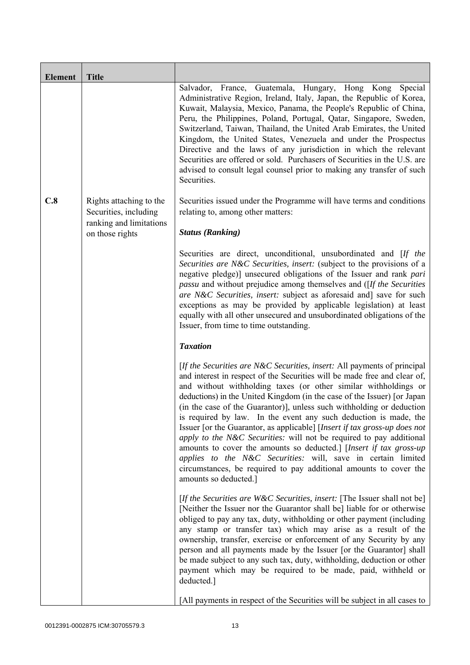| <b>Element</b> | <b>Title</b>                                     |                                                                                                                                                                                                                                                                                                                                                                                                                                                                                                                                                                                                                                                                                                                                                                                                                                          |
|----------------|--------------------------------------------------|------------------------------------------------------------------------------------------------------------------------------------------------------------------------------------------------------------------------------------------------------------------------------------------------------------------------------------------------------------------------------------------------------------------------------------------------------------------------------------------------------------------------------------------------------------------------------------------------------------------------------------------------------------------------------------------------------------------------------------------------------------------------------------------------------------------------------------------|
|                |                                                  | Salvador, France, Guatemala, Hungary, Hong Kong<br>Special<br>Administrative Region, Ireland, Italy, Japan, the Republic of Korea,<br>Kuwait, Malaysia, Mexico, Panama, the People's Republic of China,<br>Peru, the Philippines, Poland, Portugal, Qatar, Singapore, Sweden,<br>Switzerland, Taiwan, Thailand, the United Arab Emirates, the United<br>Kingdom, the United States, Venezuela and under the Prospectus<br>Directive and the laws of any jurisdiction in which the relevant<br>Securities are offered or sold. Purchasers of Securities in the U.S. are<br>advised to consult legal counsel prior to making any transfer of such<br>Securities.                                                                                                                                                                           |
| C.8            | Rights attaching to the<br>Securities, including | Securities issued under the Programme will have terms and conditions<br>relating to, among other matters:                                                                                                                                                                                                                                                                                                                                                                                                                                                                                                                                                                                                                                                                                                                                |
|                | ranking and limitations<br>on those rights       | <b>Status (Ranking)</b>                                                                                                                                                                                                                                                                                                                                                                                                                                                                                                                                                                                                                                                                                                                                                                                                                  |
|                |                                                  | Securities are direct, unconditional, unsubordinated and [If the<br>Securities are N&C Securities, insert: (subject to the provisions of a<br>negative pledge)] unsecured obligations of the Issuer and rank pari<br><i>passu</i> and without prejudice among themselves and ([If the Securities]<br>are N&C Securities, insert: subject as aforesaid and] save for such<br>exceptions as may be provided by applicable legislation) at least<br>equally with all other unsecured and unsubordinated obligations of the<br>Issuer, from time to time outstanding.                                                                                                                                                                                                                                                                        |
|                |                                                  | <b>Taxation</b>                                                                                                                                                                                                                                                                                                                                                                                                                                                                                                                                                                                                                                                                                                                                                                                                                          |
|                |                                                  | [If the Securities are N&C Securities, insert: All payments of principal<br>and interest in respect of the Securities will be made free and clear of,<br>and without withholding taxes (or other similar withholdings or<br>deductions) in the United Kingdom (in the case of the Issuer) [or Japan<br>(in the case of the Guarantor)], unless such withholding or deduction<br>is required by law. In the event any such deduction is made, the<br>Issuer [or the Guarantor, as applicable] [Insert if tax gross-up does not<br>apply to the N&C Securities: will not be required to pay additional<br>amounts to cover the amounts so deducted.] [Insert if tax gross-up<br>applies to the N&C Securities: will, save in certain limited<br>circumstances, be required to pay additional amounts to cover the<br>amounts so deducted.] |
|                |                                                  | [If the Securities are W&C Securities, insert: [The Issuer shall not be]<br>[Neither the Issuer nor the Guarantor shall be] liable for or otherwise<br>obliged to pay any tax, duty, withholding or other payment (including<br>any stamp or transfer tax) which may arise as a result of the<br>ownership, transfer, exercise or enforcement of any Security by any<br>person and all payments made by the Issuer [or the Guarantor] shall<br>be made subject to any such tax, duty, withholding, deduction or other<br>payment which may be required to be made, paid, withheld or<br>deducted.]                                                                                                                                                                                                                                       |
|                |                                                  | [All payments in respect of the Securities will be subject in all cases to                                                                                                                                                                                                                                                                                                                                                                                                                                                                                                                                                                                                                                                                                                                                                               |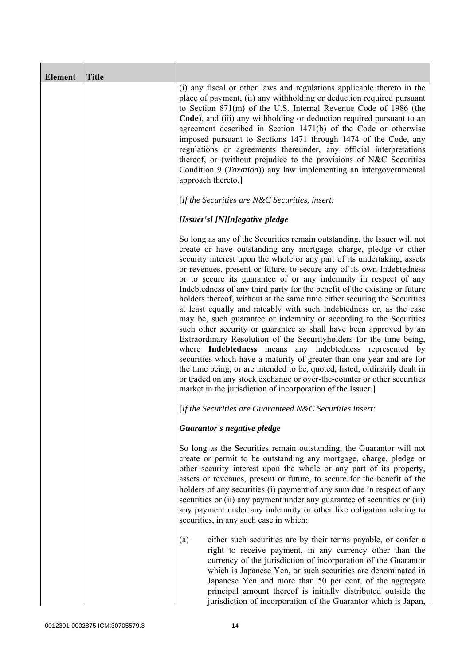| <b>Element</b> | <b>Title</b> |                                                                                                                                                                                                                                                                                                                                                                                                                                                                                                                                                                                                                                                                                                                                                                                                                                                                                                                                                                                                                                                                                                                                                                                       |
|----------------|--------------|---------------------------------------------------------------------------------------------------------------------------------------------------------------------------------------------------------------------------------------------------------------------------------------------------------------------------------------------------------------------------------------------------------------------------------------------------------------------------------------------------------------------------------------------------------------------------------------------------------------------------------------------------------------------------------------------------------------------------------------------------------------------------------------------------------------------------------------------------------------------------------------------------------------------------------------------------------------------------------------------------------------------------------------------------------------------------------------------------------------------------------------------------------------------------------------|
|                |              | (i) any fiscal or other laws and regulations applicable thereto in the<br>place of payment, (ii) any withholding or deduction required pursuant<br>to Section 871(m) of the U.S. Internal Revenue Code of 1986 (the<br>Code), and (iii) any withholding or deduction required pursuant to an<br>agreement described in Section 1471(b) of the Code or otherwise<br>imposed pursuant to Sections 1471 through 1474 of the Code, any<br>regulations or agreements thereunder, any official interpretations<br>thereof, or (without prejudice to the provisions of N&C Securities<br>Condition 9 ( <i>Taxation</i> )) any law implementing an intergovernmental<br>approach thereto.]                                                                                                                                                                                                                                                                                                                                                                                                                                                                                                    |
|                |              | [If the Securities are $N\&C$ Securities, insert:                                                                                                                                                                                                                                                                                                                                                                                                                                                                                                                                                                                                                                                                                                                                                                                                                                                                                                                                                                                                                                                                                                                                     |
|                |              | [Issuer's] [N][n]egative pledge                                                                                                                                                                                                                                                                                                                                                                                                                                                                                                                                                                                                                                                                                                                                                                                                                                                                                                                                                                                                                                                                                                                                                       |
|                |              | So long as any of the Securities remain outstanding, the Issuer will not<br>create or have outstanding any mortgage, charge, pledge or other<br>security interest upon the whole or any part of its undertaking, assets<br>or revenues, present or future, to secure any of its own Indebtedness<br>or to secure its guarantee of or any indemnity in respect of any<br>Indebtedness of any third party for the benefit of the existing or future<br>holders thereof, without at the same time either securing the Securities<br>at least equally and rateably with such Indebtedness or, as the case<br>may be, such guarantee or indemnity or according to the Securities<br>such other security or guarantee as shall have been approved by an<br>Extraordinary Resolution of the Securityholders for the time being,<br>where Indebtedness means any indebtedness represented by<br>securities which have a maturity of greater than one year and are for<br>the time being, or are intended to be, quoted, listed, ordinarily dealt in<br>or traded on any stock exchange or over-the-counter or other securities<br>market in the jurisdiction of incorporation of the Issuer.] |
|                |              | [If the Securities are Guaranteed N&C Securities insert:                                                                                                                                                                                                                                                                                                                                                                                                                                                                                                                                                                                                                                                                                                                                                                                                                                                                                                                                                                                                                                                                                                                              |
|                |              | Guarantor's negative pledge                                                                                                                                                                                                                                                                                                                                                                                                                                                                                                                                                                                                                                                                                                                                                                                                                                                                                                                                                                                                                                                                                                                                                           |
|                |              | So long as the Securities remain outstanding, the Guarantor will not<br>create or permit to be outstanding any mortgage, charge, pledge or<br>other security interest upon the whole or any part of its property,<br>assets or revenues, present or future, to secure for the benefit of the<br>holders of any securities (i) payment of any sum due in respect of any<br>securities or (ii) any payment under any guarantee of securities or (iii)<br>any payment under any indemnity or other like obligation relating to<br>securities, in any such case in which:                                                                                                                                                                                                                                                                                                                                                                                                                                                                                                                                                                                                                 |
|                |              | either such securities are by their terms payable, or confer a<br>(a)<br>right to receive payment, in any currency other than the<br>currency of the jurisdiction of incorporation of the Guarantor<br>which is Japanese Yen, or such securities are denominated in<br>Japanese Yen and more than 50 per cent. of the aggregate<br>principal amount thereof is initially distributed outside the<br>jurisdiction of incorporation of the Guarantor which is Japan,                                                                                                                                                                                                                                                                                                                                                                                                                                                                                                                                                                                                                                                                                                                    |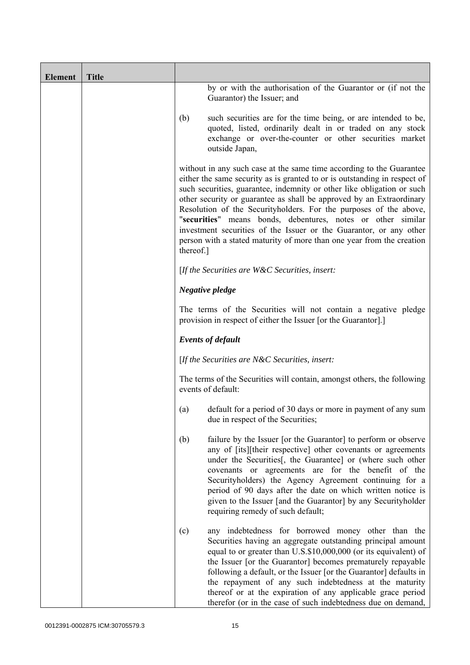| <b>Element</b> | <b>Title</b> |           |                                                                                                                                                                                                                                                                                                                                                                                                                                                                                                                                                                                         |
|----------------|--------------|-----------|-----------------------------------------------------------------------------------------------------------------------------------------------------------------------------------------------------------------------------------------------------------------------------------------------------------------------------------------------------------------------------------------------------------------------------------------------------------------------------------------------------------------------------------------------------------------------------------------|
|                |              |           | by or with the authorisation of the Guarantor or (if not the<br>Guarantor) the Issuer; and                                                                                                                                                                                                                                                                                                                                                                                                                                                                                              |
|                |              | (b)       | such securities are for the time being, or are intended to be,<br>quoted, listed, ordinarily dealt in or traded on any stock<br>exchange or over-the-counter or other securities market<br>outside Japan,                                                                                                                                                                                                                                                                                                                                                                               |
|                |              | thereof.] | without in any such case at the same time according to the Guarantee<br>either the same security as is granted to or is outstanding in respect of<br>such securities, guarantee, indemnity or other like obligation or such<br>other security or guarantee as shall be approved by an Extraordinary<br>Resolution of the Securityholders. For the purposes of the above,<br>"securities" means bonds, debentures, notes or other similar<br>investment securities of the Issuer or the Guarantor, or any other<br>person with a stated maturity of more than one year from the creation |
|                |              |           | [If the Securities are $W\&C$ Securities, insert:                                                                                                                                                                                                                                                                                                                                                                                                                                                                                                                                       |
|                |              |           | Negative pledge                                                                                                                                                                                                                                                                                                                                                                                                                                                                                                                                                                         |
|                |              |           | The terms of the Securities will not contain a negative pledge<br>provision in respect of either the Issuer [or the Guarantor].]                                                                                                                                                                                                                                                                                                                                                                                                                                                        |
|                |              |           | <b>Events of default</b>                                                                                                                                                                                                                                                                                                                                                                                                                                                                                                                                                                |
|                |              |           | [If the Securities are N&C Securities, insert:                                                                                                                                                                                                                                                                                                                                                                                                                                                                                                                                          |
|                |              |           | The terms of the Securities will contain, amongst others, the following<br>events of default:                                                                                                                                                                                                                                                                                                                                                                                                                                                                                           |
|                |              | (a)       | default for a period of 30 days or more in payment of any sum<br>due in respect of the Securities;                                                                                                                                                                                                                                                                                                                                                                                                                                                                                      |
|                |              | (b)       | failure by the Issuer [or the Guarantor] to perform or observe<br>any of [its][their respective] other covenants or agreements<br>under the Securities[, the Guarantee] or (where such other<br>covenants or agreements are for the benefit of the<br>Securityholders) the Agency Agreement continuing for a<br>period of 90 days after the date on which written notice is<br>given to the Issuer [and the Guarantor] by any Securityholder<br>requiring remedy of such default;                                                                                                       |
|                |              | (c)       | any indebtedness for borrowed money other than the<br>Securities having an aggregate outstanding principal amount<br>equal to or greater than U.S.\$10,000,000 (or its equivalent) of<br>the Issuer [or the Guarantor] becomes prematurely repayable<br>following a default, or the Issuer [or the Guarantor] defaults in<br>the repayment of any such indebtedness at the maturity<br>thereof or at the expiration of any applicable grace period<br>therefor (or in the case of such indebtedness due on demand,                                                                      |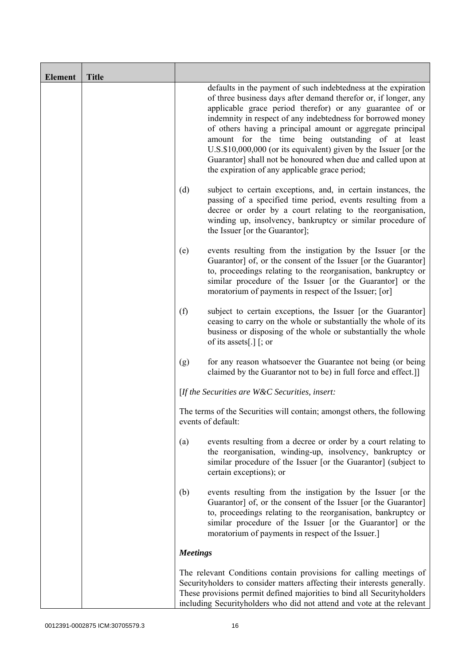| <b>Element</b> | <b>Title</b> |                 |                                                                                                                                                                                                                                                                                                                                                                                                                                                                                                                                                                       |
|----------------|--------------|-----------------|-----------------------------------------------------------------------------------------------------------------------------------------------------------------------------------------------------------------------------------------------------------------------------------------------------------------------------------------------------------------------------------------------------------------------------------------------------------------------------------------------------------------------------------------------------------------------|
|                |              |                 | defaults in the payment of such indebtedness at the expiration<br>of three business days after demand therefor or, if longer, any<br>applicable grace period therefor) or any guarantee of or<br>indemnity in respect of any indebtedness for borrowed money<br>of others having a principal amount or aggregate principal<br>amount for the time being outstanding of at least<br>U.S.\$10,000,000 (or its equivalent) given by the Issuer [or the<br>Guarantor] shall not be honoured when due and called upon at<br>the expiration of any applicable grace period; |
|                |              | (d)             | subject to certain exceptions, and, in certain instances, the<br>passing of a specified time period, events resulting from a<br>decree or order by a court relating to the reorganisation,<br>winding up, insolvency, bankruptcy or similar procedure of<br>the Issuer [or the Guarantor];                                                                                                                                                                                                                                                                            |
|                |              | (e)             | events resulting from the instigation by the Issuer [or the<br>Guarantor] of, or the consent of the Issuer [or the Guarantor]<br>to, proceedings relating to the reorganisation, bankruptcy or<br>similar procedure of the Issuer [or the Guarantor] or the<br>moratorium of payments in respect of the Issuer; [or]                                                                                                                                                                                                                                                  |
|                |              | (f)             | subject to certain exceptions, the Issuer [or the Guarantor]<br>ceasing to carry on the whole or substantially the whole of its<br>business or disposing of the whole or substantially the whole<br>of its assets[.] $\lceil$ ; or                                                                                                                                                                                                                                                                                                                                    |
|                |              | (g)             | for any reason whatsoever the Guarantee not being (or being<br>claimed by the Guarantor not to be) in full force and effect.]                                                                                                                                                                                                                                                                                                                                                                                                                                         |
|                |              |                 | [If the Securities are $W\&C$ Securities, insert:                                                                                                                                                                                                                                                                                                                                                                                                                                                                                                                     |
|                |              |                 | The terms of the Securities will contain; amongst others, the following<br>events of default:                                                                                                                                                                                                                                                                                                                                                                                                                                                                         |
|                |              | (a)             | events resulting from a decree or order by a court relating to<br>the reorganisation, winding-up, insolvency, bankruptcy or<br>similar procedure of the Issuer [or the Guarantor] (subject to<br>certain exceptions); or                                                                                                                                                                                                                                                                                                                                              |
|                |              | (b)             | events resulting from the instigation by the Issuer [or the<br>Guarantor] of, or the consent of the Issuer [or the Guarantor]<br>to, proceedings relating to the reorganisation, bankruptcy or<br>similar procedure of the Issuer [or the Guarantor] or the<br>moratorium of payments in respect of the Issuer.]                                                                                                                                                                                                                                                      |
|                |              | <b>Meetings</b> |                                                                                                                                                                                                                                                                                                                                                                                                                                                                                                                                                                       |
|                |              |                 | The relevant Conditions contain provisions for calling meetings of<br>Securityholders to consider matters affecting their interests generally.<br>These provisions permit defined majorities to bind all Securityholders<br>including Security holders who did not attend and vote at the relevant                                                                                                                                                                                                                                                                    |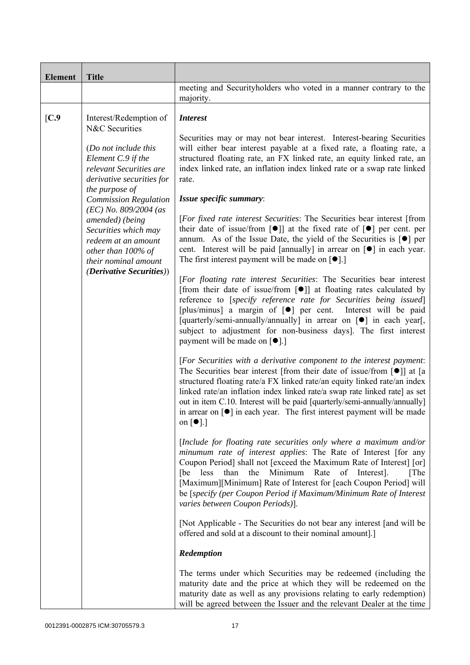| <b>Element</b> | <b>Title</b>                                                                                                                                                                                                                                                                                    |                                                                                                                                                                                                                                                                                                                                                                                                                                                                                                                                |
|----------------|-------------------------------------------------------------------------------------------------------------------------------------------------------------------------------------------------------------------------------------------------------------------------------------------------|--------------------------------------------------------------------------------------------------------------------------------------------------------------------------------------------------------------------------------------------------------------------------------------------------------------------------------------------------------------------------------------------------------------------------------------------------------------------------------------------------------------------------------|
|                |                                                                                                                                                                                                                                                                                                 | meeting and Securityholders who voted in a manner contrary to the<br>majority.                                                                                                                                                                                                                                                                                                                                                                                                                                                 |
| [C.9]          | Interest/Redemption of<br>N&C Securities                                                                                                                                                                                                                                                        | <b>Interest</b><br>Securities may or may not bear interest. Interest-bearing Securities                                                                                                                                                                                                                                                                                                                                                                                                                                        |
|                | (Do not include this<br>Element C.9 if the<br>relevant Securities are<br>derivative securities for<br>the purpose of<br><b>Commission Regulation</b><br>$(EC)$ No. 809/2004 (as<br>amended) (being<br>Securities which may<br>redeem at an amount<br>other than 100% of<br>their nominal amount | will either bear interest payable at a fixed rate, a floating rate, a<br>structured floating rate, an FX linked rate, an equity linked rate, an<br>index linked rate, an inflation index linked rate or a swap rate linked<br>rate.                                                                                                                                                                                                                                                                                            |
|                |                                                                                                                                                                                                                                                                                                 | Issue specific summary:                                                                                                                                                                                                                                                                                                                                                                                                                                                                                                        |
|                |                                                                                                                                                                                                                                                                                                 | [For fixed rate interest Securities: The Securities bear interest [from<br>their date of issue/from [ $\bullet$ ]] at the fixed rate of [ $\bullet$ ] per cent. per<br>annum. As of the Issue Date, the yield of the Securities is $\lceil \bullet \rceil$ per<br>cent. Interest will be paid [annually] in arrear on $\lceil \bullet \rceil$ in each year.<br>The first interest payment will be made on $\lceil \bullet \rceil$ .                                                                                            |
|                | <i>(Derivative Securities))</i>                                                                                                                                                                                                                                                                 | [For floating rate interest Securities: The Securities bear interest<br>[from their date of issue/from $\lceil \bullet \rceil$ ] at floating rates calculated by<br>reference to [specify reference rate for Securities being issued]<br>[plus/minus] a margin of [ <sup>o</sup> ] per cent.<br>Interest will be paid<br>[quarterly/semi-annually/annually] in arrear on [ $\bullet$ ] in each year[,<br>subject to adjustment for non-business days]. The first interest<br>payment will be made on [●].]                     |
|                |                                                                                                                                                                                                                                                                                                 | [For Securities with a derivative component to the interest payment:<br>The Securities bear interest [from their date of issue/from $\lceil \bullet \rceil$ ] at [a<br>structured floating rate/a FX linked rate/an equity linked rate/an index<br>linked rate/an inflation index linked rate/a swap rate linked rate] as set<br>out in item C.10. Interest will be paid [quarterly/semi-annually/annually]<br>in arrear on $\lceil \bullet \rceil$ in each year. The first interest payment will be made<br>on $[\bullet]$ .] |
|                |                                                                                                                                                                                                                                                                                                 | [Include for floating rate securities only where a maximum and/or<br>minumum rate of interest applies: The Rate of Interest [for any<br>Coupon Period] shall not [exceed the Maximum Rate of Interest] [or]<br>Minimum Rate<br>[be less than the<br>of<br>Interest].<br>[The<br>[Maximum][Minimum] Rate of Interest for [each Coupon Period] will<br>be [specify (per Coupon Period if Maximum/Minimum Rate of Interest<br>varies between Coupon Periods)].                                                                    |
|                |                                                                                                                                                                                                                                                                                                 | [Not Applicable - The Securities do not bear any interest [and will be<br>offered and sold at a discount to their nominal amount].]                                                                                                                                                                                                                                                                                                                                                                                            |
|                |                                                                                                                                                                                                                                                                                                 | Redemption                                                                                                                                                                                                                                                                                                                                                                                                                                                                                                                     |
|                |                                                                                                                                                                                                                                                                                                 | The terms under which Securities may be redeemed (including the<br>maturity date and the price at which they will be redeemed on the<br>maturity date as well as any provisions relating to early redemption)<br>will be agreed between the Issuer and the relevant Dealer at the time                                                                                                                                                                                                                                         |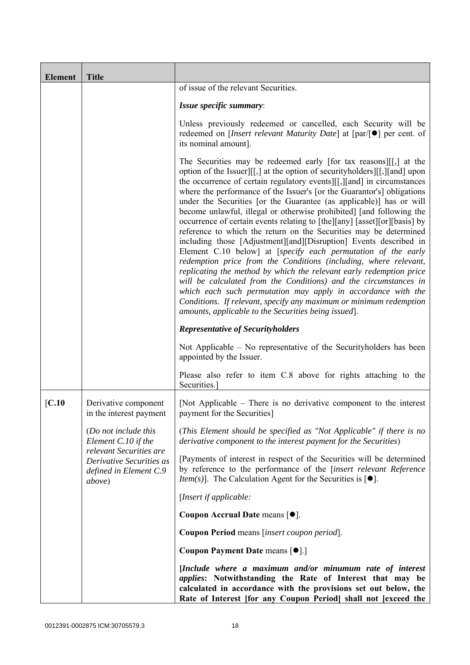| <b>Element</b> | <b>Title</b>                                                                            |                                                                                                                                                                                                                                                                                                                                                                                                                                                                                                                                                                                                                                                                                                                                                                                                                                                                                                                                                                                                                                                                                                                                                          |
|----------------|-----------------------------------------------------------------------------------------|----------------------------------------------------------------------------------------------------------------------------------------------------------------------------------------------------------------------------------------------------------------------------------------------------------------------------------------------------------------------------------------------------------------------------------------------------------------------------------------------------------------------------------------------------------------------------------------------------------------------------------------------------------------------------------------------------------------------------------------------------------------------------------------------------------------------------------------------------------------------------------------------------------------------------------------------------------------------------------------------------------------------------------------------------------------------------------------------------------------------------------------------------------|
|                |                                                                                         | of issue of the relevant Securities.                                                                                                                                                                                                                                                                                                                                                                                                                                                                                                                                                                                                                                                                                                                                                                                                                                                                                                                                                                                                                                                                                                                     |
|                |                                                                                         | Issue specific summary:                                                                                                                                                                                                                                                                                                                                                                                                                                                                                                                                                                                                                                                                                                                                                                                                                                                                                                                                                                                                                                                                                                                                  |
|                |                                                                                         | Unless previously redeemed or cancelled, each Security will be<br>redeemed on [ <i>Insert relevant Maturity Date</i> ] at $\lceil par/\lceil \bullet \rceil$ per cent. of<br>its nominal amount].                                                                                                                                                                                                                                                                                                                                                                                                                                                                                                                                                                                                                                                                                                                                                                                                                                                                                                                                                        |
|                |                                                                                         | The Securities may be redeemed early [for tax reasons][[,] at the<br>option of the Issuer][[,] at the option of security holders][[,][and] upon<br>the occurrence of certain regulatory events [[[,][and] in circumstances<br>where the performance of the Issuer's [or the Guarantor's] obligations<br>under the Securities [or the Guarantee (as applicable)] has or will<br>become unlawful, illegal or otherwise prohibited] [and following the<br>occurrence of certain events relating to [the][any] [asset][or][basis] by<br>reference to which the return on the Securities may be determined<br>including those [Adjustment][and][Disruption] Events described in<br>Element C.10 below] at [specify each permutation of the early<br>redemption price from the Conditions (including, where relevant,<br>replicating the method by which the relevant early redemption price<br>will be calculated from the Conditions) and the circumstances in<br>which each such permutation may apply in accordance with the<br>Conditions. If relevant, specify any maximum or minimum redemption<br>amounts, applicable to the Securities being issued]. |
|                |                                                                                         | <b>Representative of Securityholders</b>                                                                                                                                                                                                                                                                                                                                                                                                                                                                                                                                                                                                                                                                                                                                                                                                                                                                                                                                                                                                                                                                                                                 |
|                |                                                                                         | Not Applicable – No representative of the Security holders has been<br>appointed by the Issuer.                                                                                                                                                                                                                                                                                                                                                                                                                                                                                                                                                                                                                                                                                                                                                                                                                                                                                                                                                                                                                                                          |
|                |                                                                                         | Please also refer to item C.8 above for rights attaching to the<br>Securities.]                                                                                                                                                                                                                                                                                                                                                                                                                                                                                                                                                                                                                                                                                                                                                                                                                                                                                                                                                                                                                                                                          |
| [C.10]         | Derivative component<br>in the interest payment                                         | [Not Applicable $-$ There is no derivative component to the interest<br>payment for the Securities]                                                                                                                                                                                                                                                                                                                                                                                                                                                                                                                                                                                                                                                                                                                                                                                                                                                                                                                                                                                                                                                      |
|                | (Do not include this<br>Element C.10 if the                                             | (This Element should be specified as "Not Applicable" if there is no<br>derivative component to the interest payment for the Securities)                                                                                                                                                                                                                                                                                                                                                                                                                                                                                                                                                                                                                                                                                                                                                                                                                                                                                                                                                                                                                 |
|                | relevant Securities are<br>Derivative Securities as<br>defined in Element C.9<br>above) | [Payments of interest in respect of the Securities will be determined<br>by reference to the performance of the [insert relevant Reference<br><i>Item(s)</i> ]. The Calculation Agent for the Securities is $[•]$ .                                                                                                                                                                                                                                                                                                                                                                                                                                                                                                                                                                                                                                                                                                                                                                                                                                                                                                                                      |
|                |                                                                                         | [Insert if applicable:                                                                                                                                                                                                                                                                                                                                                                                                                                                                                                                                                                                                                                                                                                                                                                                                                                                                                                                                                                                                                                                                                                                                   |
|                |                                                                                         | Coupon Accrual Date means [ $\bullet$ ].                                                                                                                                                                                                                                                                                                                                                                                                                                                                                                                                                                                                                                                                                                                                                                                                                                                                                                                                                                                                                                                                                                                 |
|                |                                                                                         | Coupon Period means [insert coupon period].                                                                                                                                                                                                                                                                                                                                                                                                                                                                                                                                                                                                                                                                                                                                                                                                                                                                                                                                                                                                                                                                                                              |
|                |                                                                                         | Coupon Payment Date means [ $\bullet$ ].]                                                                                                                                                                                                                                                                                                                                                                                                                                                                                                                                                                                                                                                                                                                                                                                                                                                                                                                                                                                                                                                                                                                |
|                |                                                                                         | [Include where a maximum and/or minumum rate of interest<br><i>applies:</i> Notwithstanding the Rate of Interest that may be<br>calculated in accordance with the provisions set out below, the<br>Rate of Interest [for any Coupon Period] shall not [exceed the                                                                                                                                                                                                                                                                                                                                                                                                                                                                                                                                                                                                                                                                                                                                                                                                                                                                                        |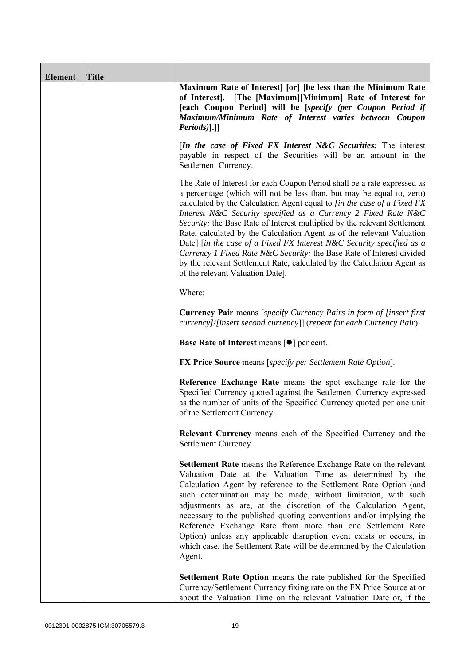| <b>Element</b> | <b>Title</b> |                                                                                                                                                                                                                                                                                                                                                                                                                                                                                                                                                                                                                                                                                                                        |
|----------------|--------------|------------------------------------------------------------------------------------------------------------------------------------------------------------------------------------------------------------------------------------------------------------------------------------------------------------------------------------------------------------------------------------------------------------------------------------------------------------------------------------------------------------------------------------------------------------------------------------------------------------------------------------------------------------------------------------------------------------------------|
|                |              | Maximum Rate of Interest [or] [be less than the Minimum Rate<br>of Interest]. [The [Maximum][Minimum] Rate of Interest for<br>[each Coupon Period] will be [specify (per Coupon Period if<br>Maximum/Minimum Rate of Interest varies between Coupon<br>$Periods$ ].]                                                                                                                                                                                                                                                                                                                                                                                                                                                   |
|                |              | [In the case of Fixed FX Interest N&C Securities: The interest<br>payable in respect of the Securities will be an amount in the<br>Settlement Currency.                                                                                                                                                                                                                                                                                                                                                                                                                                                                                                                                                                |
|                |              | The Rate of Interest for each Coupon Period shall be a rate expressed as<br>a percentage (which will not be less than, but may be equal to, zero)<br>calculated by the Calculation Agent equal to [in the case of a Fixed FX<br>Interest N&C Security specified as a Currency 2 Fixed Rate N&C<br>Security: the Base Rate of Interest multiplied by the relevant Settlement<br>Rate, calculated by the Calculation Agent as of the relevant Valuation<br>Date] [in the case of a Fixed FX Interest N&C Security specified as a<br>Currency 1 Fixed Rate N&C Security: the Base Rate of Interest divided<br>by the relevant Settlement Rate, calculated by the Calculation Agent as<br>of the relevant Valuation Date]. |
|                |              | Where:                                                                                                                                                                                                                                                                                                                                                                                                                                                                                                                                                                                                                                                                                                                 |
|                |              | <b>Currency Pair</b> means [specify Currency Pairs in form of [insert first]<br>currency]/[insert second currency]] (repeat for each Currency Pair).                                                                                                                                                                                                                                                                                                                                                                                                                                                                                                                                                                   |
|                |              | <b>Base Rate of Interest means [<math>\bullet</math>] per cent.</b>                                                                                                                                                                                                                                                                                                                                                                                                                                                                                                                                                                                                                                                    |
|                |              | <b>FX Price Source</b> means [specify per Settlement Rate Option].                                                                                                                                                                                                                                                                                                                                                                                                                                                                                                                                                                                                                                                     |
|                |              | Reference Exchange Rate means the spot exchange rate for the<br>Specified Currency quoted against the Settlement Currency expressed<br>as the number of units of the Specified Currency quoted per one unit<br>of the Settlement Currency.                                                                                                                                                                                                                                                                                                                                                                                                                                                                             |
|                |              | <b>Relevant Currency</b> means each of the Specified Currency and the<br>Settlement Currency.                                                                                                                                                                                                                                                                                                                                                                                                                                                                                                                                                                                                                          |
|                |              | Settlement Rate means the Reference Exchange Rate on the relevant<br>Valuation Date at the Valuation Time as determined by the<br>Calculation Agent by reference to the Settlement Rate Option (and<br>such determination may be made, without limitation, with such<br>adjustments as are, at the discretion of the Calculation Agent,<br>necessary to the published quoting conventions and/or implying the<br>Reference Exchange Rate from more than one Settlement Rate<br>Option) unless any applicable disruption event exists or occurs, in<br>which case, the Settlement Rate will be determined by the Calculation<br>Agent.                                                                                  |
|                |              | Settlement Rate Option means the rate published for the Specified<br>Currency/Settlement Currency fixing rate on the FX Price Source at or<br>about the Valuation Time on the relevant Valuation Date or, if the                                                                                                                                                                                                                                                                                                                                                                                                                                                                                                       |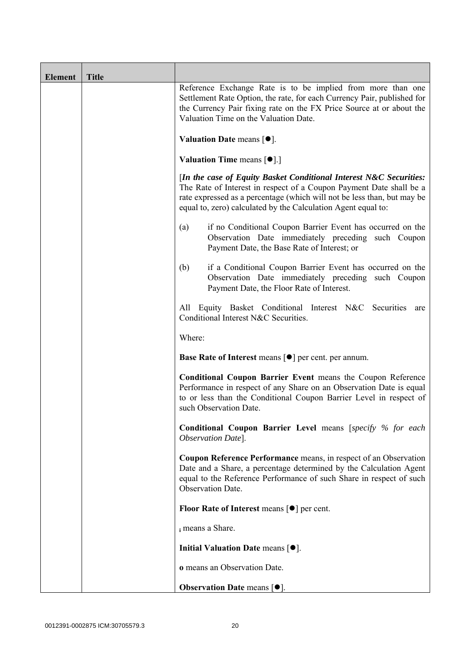| <b>Element</b> | <b>Title</b> |                                                                                                                                                                                                                                                                                       |
|----------------|--------------|---------------------------------------------------------------------------------------------------------------------------------------------------------------------------------------------------------------------------------------------------------------------------------------|
|                |              | Reference Exchange Rate is to be implied from more than one<br>Settlement Rate Option, the rate, for each Currency Pair, published for<br>the Currency Pair fixing rate on the FX Price Source at or about the<br>Valuation Time on the Valuation Date.                               |
|                |              | Valuation Date means $\lceil \bullet \rceil$ .                                                                                                                                                                                                                                        |
|                |              | <b>Valuation Time means <math>\lceil \bullet \rceil</math>.</b>                                                                                                                                                                                                                       |
|                |              | [In the case of Equity Basket Conditional Interest N&C Securities:<br>The Rate of Interest in respect of a Coupon Payment Date shall be a<br>rate expressed as a percentage (which will not be less than, but may be<br>equal to, zero) calculated by the Calculation Agent equal to: |
|                |              | if no Conditional Coupon Barrier Event has occurred on the<br>(a)<br>Observation Date immediately preceding such Coupon<br>Payment Date, the Base Rate of Interest; or                                                                                                                |
|                |              | if a Conditional Coupon Barrier Event has occurred on the<br>(b)<br>Observation Date immediately preceding such Coupon<br>Payment Date, the Floor Rate of Interest.                                                                                                                   |
|                |              | All Equity Basket Conditional Interest N&C Securities<br>are<br>Conditional Interest N&C Securities.                                                                                                                                                                                  |
|                |              | Where:                                                                                                                                                                                                                                                                                |
|                |              | <b>Base Rate of Interest means [<math>\bullet</math>] per cent. per annum.</b>                                                                                                                                                                                                        |
|                |              | <b>Conditional Coupon Barrier Event means the Coupon Reference</b><br>Performance in respect of any Share on an Observation Date is equal<br>to or less than the Conditional Coupon Barrier Level in respect of<br>such Observation Date.                                             |
|                |              | Conditional Coupon Barrier Level means [specify % for each<br>Observation Date].                                                                                                                                                                                                      |
|                |              | Coupon Reference Performance means, in respect of an Observation<br>Date and a Share, a percentage determined by the Calculation Agent<br>equal to the Reference Performance of such Share in respect of such<br>Observation Date.                                                    |
|                |              | Floor Rate of Interest means $\lceil \bullet \rceil$ per cent.                                                                                                                                                                                                                        |
|                |              | i means a Share.                                                                                                                                                                                                                                                                      |
|                |              | Initial Valuation Date means $[•]$ .                                                                                                                                                                                                                                                  |
|                |              | o means an Observation Date.                                                                                                                                                                                                                                                          |
|                |              | <b>Observation Date means <math>[•]</math>.</b>                                                                                                                                                                                                                                       |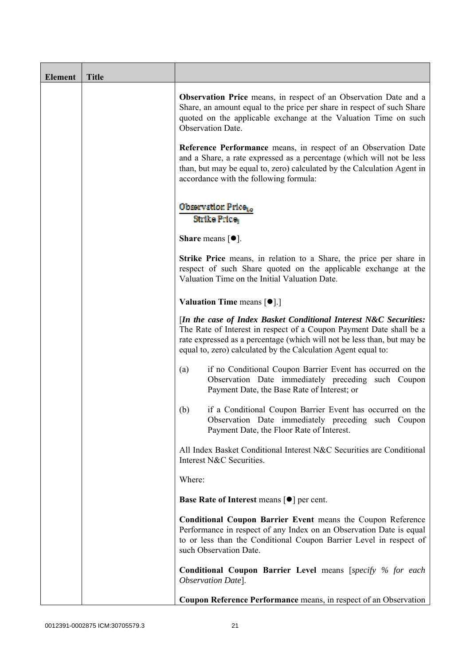| <b>Element</b> | <b>Title</b> |                                                                                                                                                                                                                                                                                      |
|----------------|--------------|--------------------------------------------------------------------------------------------------------------------------------------------------------------------------------------------------------------------------------------------------------------------------------------|
|                |              | <b>Observation Price</b> means, in respect of an Observation Date and a<br>Share, an amount equal to the price per share in respect of such Share<br>quoted on the applicable exchange at the Valuation Time on such<br>Observation Date.                                            |
|                |              | Reference Performance means, in respect of an Observation Date<br>and a Share, a rate expressed as a percentage (which will not be less<br>than, but may be equal to, zero) calculated by the Calculation Agent in<br>accordance with the following formula:                         |
|                |              | Observation Price <sub>to</sub><br>Strike Price                                                                                                                                                                                                                                      |
|                |              | <b>Share</b> means $\lceil \bullet \rceil$ .                                                                                                                                                                                                                                         |
|                |              | <b>Strike Price</b> means, in relation to a Share, the price per share in<br>respect of such Share quoted on the applicable exchange at the<br>Valuation Time on the Initial Valuation Date.                                                                                         |
|                |              | <b>Valuation Time means <math>\lceil \bullet \rceil</math>.</b>                                                                                                                                                                                                                      |
|                |              | [In the case of Index Basket Conditional Interest N&C Securities:<br>The Rate of Interest in respect of a Coupon Payment Date shall be a<br>rate expressed as a percentage (which will not be less than, but may be<br>equal to, zero) calculated by the Calculation Agent equal to: |
|                |              | if no Conditional Coupon Barrier Event has occurred on the<br>(a)<br>Observation Date immediately preceding such Coupon<br>Payment Date, the Base Rate of Interest; or                                                                                                               |
|                |              | if a Conditional Coupon Barrier Event has occurred on the<br>(b)<br>Observation Date immediately preceding such Coupon<br>Payment Date, the Floor Rate of Interest.                                                                                                                  |
|                |              | All Index Basket Conditional Interest N&C Securities are Conditional<br>Interest N&C Securities.                                                                                                                                                                                     |
|                |              | Where:                                                                                                                                                                                                                                                                               |
|                |              | <b>Base Rate of Interest means <math>\lceil \bullet \rceil</math> per cent.</b>                                                                                                                                                                                                      |
|                |              | <b>Conditional Coupon Barrier Event means the Coupon Reference</b><br>Performance in respect of any Index on an Observation Date is equal<br>to or less than the Conditional Coupon Barrier Level in respect of<br>such Observation Date.                                            |
|                |              | <b>Conditional Coupon Barrier Level means [specify % for each</b><br>Observation Date].                                                                                                                                                                                              |
|                |              | <b>Coupon Reference Performance</b> means, in respect of an Observation                                                                                                                                                                                                              |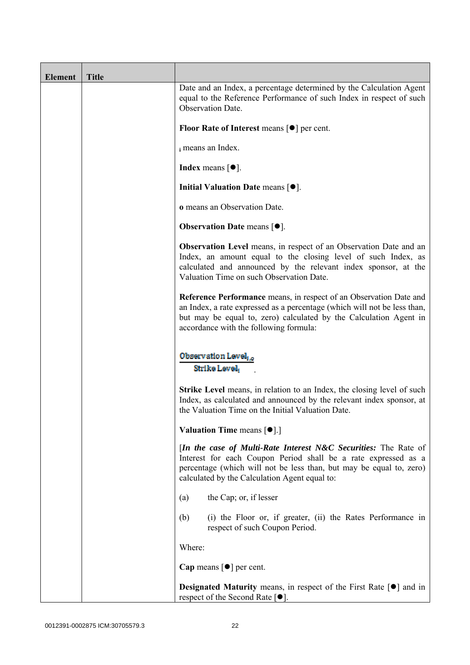| <b>Element</b> | <b>Title</b> |                                                                                                                                                                                                                                                               |
|----------------|--------------|---------------------------------------------------------------------------------------------------------------------------------------------------------------------------------------------------------------------------------------------------------------|
|                |              | Date and an Index, a percentage determined by the Calculation Agent<br>equal to the Reference Performance of such Index in respect of such<br>Observation Date.                                                                                               |
|                |              | Floor Rate of Interest means $\lceil \bullet \rceil$ per cent.                                                                                                                                                                                                |
|                |              | i means an Index.                                                                                                                                                                                                                                             |
|                |              | Index means $\lceil \bullet \rceil$ .                                                                                                                                                                                                                         |
|                |              | Initial Valuation Date means $[•]$ .                                                                                                                                                                                                                          |
|                |              | o means an Observation Date.                                                                                                                                                                                                                                  |
|                |              | <b>Observation Date means <math>\lceil \bullet \rceil</math>.</b>                                                                                                                                                                                             |
|                |              | <b>Observation Level</b> means, in respect of an Observation Date and an<br>Index, an amount equal to the closing level of such Index, as<br>calculated and announced by the relevant index sponsor, at the<br>Valuation Time on such Observation Date.       |
|                |              | Reference Performance means, in respect of an Observation Date and<br>an Index, a rate expressed as a percentage (which will not be less than,<br>but may be equal to, zero) calculated by the Calculation Agent in<br>accordance with the following formula: |
|                |              | <b>Observation Level</b><br>Strike Level                                                                                                                                                                                                                      |
|                |              | <b>Strike Level</b> means, in relation to an Index, the closing level of such<br>Index, as calculated and announced by the relevant index sponsor, at<br>the Valuation Time on the Initial Valuation Date.                                                    |
|                |              | <b>Valuation Time means <math>\lceil \bullet \rceil</math>.</b>                                                                                                                                                                                               |
|                |              | [In the case of Multi-Rate Interest N&C Securities: The Rate of<br>Interest for each Coupon Period shall be a rate expressed as a<br>percentage (which will not be less than, but may be equal to, zero)<br>calculated by the Calculation Agent equal to:     |
|                |              | the Cap; or, if lesser<br>(a)                                                                                                                                                                                                                                 |
|                |              | (i) the Floor or, if greater, (ii) the Rates Performance in<br>(b)<br>respect of such Coupon Period.                                                                                                                                                          |
|                |              | Where:                                                                                                                                                                                                                                                        |
|                |              | Cap means $\lceil \bullet \rceil$ per cent.                                                                                                                                                                                                                   |
|                |              | <b>Designated Maturity</b> means, in respect of the First Rate $\lceil \bullet \rceil$ and in<br>respect of the Second Rate $[•]$ .                                                                                                                           |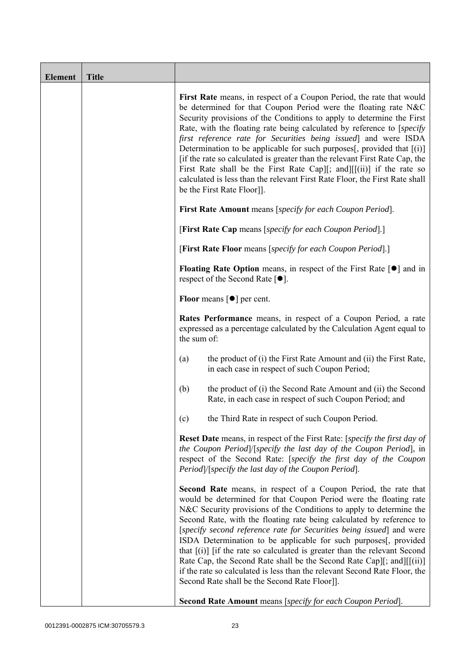| <b>Element</b> | <b>Title</b> |                                                                                                                                                                                                                                                                                                                                                                                                                                                                                                                                                                                                                                                                                                                              |  |  |
|----------------|--------------|------------------------------------------------------------------------------------------------------------------------------------------------------------------------------------------------------------------------------------------------------------------------------------------------------------------------------------------------------------------------------------------------------------------------------------------------------------------------------------------------------------------------------------------------------------------------------------------------------------------------------------------------------------------------------------------------------------------------------|--|--|
|                |              | First Rate means, in respect of a Coupon Period, the rate that would<br>be determined for that Coupon Period were the floating rate N&C<br>Security provisions of the Conditions to apply to determine the First<br>Rate, with the floating rate being calculated by reference to [specify]<br>first reference rate for Securities being issued and were ISDA<br>Determination to be applicable for such purposes[, provided that [(i)]<br>[if the rate so calculated is greater than the relevant First Rate Cap, the<br>First Rate shall be the First Rate Cap][; and][[(ii)] if the rate so<br>calculated is less than the relevant First Rate Floor, the First Rate shall<br>be the First Rate Floor]].                  |  |  |
|                |              | <b>First Rate Amount</b> means [specify for each Coupon Period].                                                                                                                                                                                                                                                                                                                                                                                                                                                                                                                                                                                                                                                             |  |  |
|                |              | [First Rate Cap means [specify for each Coupon Period].]                                                                                                                                                                                                                                                                                                                                                                                                                                                                                                                                                                                                                                                                     |  |  |
|                |              | [First Rate Floor means [specify for each Coupon Period].]                                                                                                                                                                                                                                                                                                                                                                                                                                                                                                                                                                                                                                                                   |  |  |
|                |              | <b>Floating Rate Option</b> means, in respect of the First Rate $\lceil \bullet \rceil$ and in<br>respect of the Second Rate $[•]$ .                                                                                                                                                                                                                                                                                                                                                                                                                                                                                                                                                                                         |  |  |
|                |              | <b>Floor</b> means $\lceil \bullet \rceil$ per cent.                                                                                                                                                                                                                                                                                                                                                                                                                                                                                                                                                                                                                                                                         |  |  |
|                |              | Rates Performance means, in respect of a Coupon Period, a rate<br>expressed as a percentage calculated by the Calculation Agent equal to<br>the sum of:                                                                                                                                                                                                                                                                                                                                                                                                                                                                                                                                                                      |  |  |
|                |              | the product of (i) the First Rate Amount and (ii) the First Rate,<br>(a)<br>in each case in respect of such Coupon Period;                                                                                                                                                                                                                                                                                                                                                                                                                                                                                                                                                                                                   |  |  |
|                |              | the product of (i) the Second Rate Amount and (ii) the Second<br>(b)<br>Rate, in each case in respect of such Coupon Period; and                                                                                                                                                                                                                                                                                                                                                                                                                                                                                                                                                                                             |  |  |
|                |              | (c)<br>the Third Rate in respect of such Coupon Period.                                                                                                                                                                                                                                                                                                                                                                                                                                                                                                                                                                                                                                                                      |  |  |
|                |              | <b>Reset Date</b> means, in respect of the First Rate: [specify the first day of<br>the Coupon Period /[specify the last day of the Coupon Period], in<br>respect of the Second Rate: [specify the first day of the Coupon<br>Period /[specify the last day of the Coupon Period].                                                                                                                                                                                                                                                                                                                                                                                                                                           |  |  |
|                |              | <b>Second Rate</b> means, in respect of a Coupon Period, the rate that<br>would be determined for that Coupon Period were the floating rate<br>N&C Security provisions of the Conditions to apply to determine the<br>Second Rate, with the floating rate being calculated by reference to<br>[specify second reference rate for Securities being issued] and were<br>ISDA Determination to be applicable for such purposes[, provided<br>that $[(i)]$ if the rate so calculated is greater than the relevant Second<br>Rate Cap, the Second Rate shall be the Second Rate Cap][; and][[(ii)]<br>if the rate so calculated is less than the relevant Second Rate Floor, the<br>Second Rate shall be the Second Rate Floor]]. |  |  |
|                |              | Second Rate Amount means [specify for each Coupon Period].                                                                                                                                                                                                                                                                                                                                                                                                                                                                                                                                                                                                                                                                   |  |  |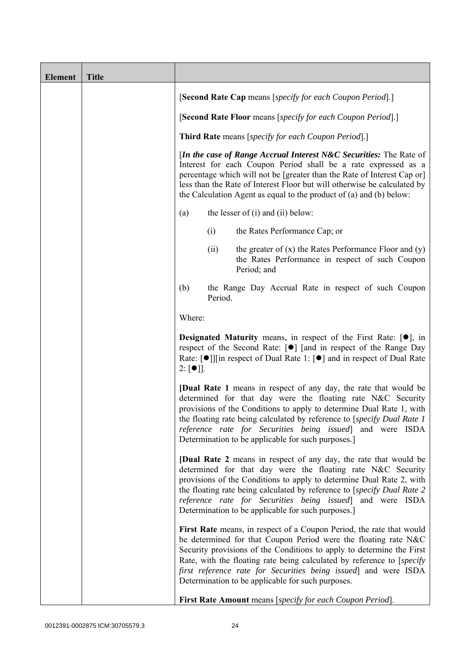| <b>Element</b> | <b>Title</b> |                                                            |                                                             |                                                                                                                                                                                                                                                                                                                                                                                                                    |  |
|----------------|--------------|------------------------------------------------------------|-------------------------------------------------------------|--------------------------------------------------------------------------------------------------------------------------------------------------------------------------------------------------------------------------------------------------------------------------------------------------------------------------------------------------------------------------------------------------------------------|--|
|                |              |                                                            |                                                             | [Second Rate Cap means [specify for each Coupon Period].]                                                                                                                                                                                                                                                                                                                                                          |  |
|                |              |                                                            | [Second Rate Floor means [specify for each Coupon Period].] |                                                                                                                                                                                                                                                                                                                                                                                                                    |  |
|                |              | <b>Third Rate</b> means [specify for each Coupon Period].] |                                                             |                                                                                                                                                                                                                                                                                                                                                                                                                    |  |
|                |              |                                                            |                                                             | [In the case of Range Accrual Interest N&C Securities: The Rate of<br>Interest for each Coupon Period shall be a rate expressed as a<br>percentage which will not be [greater than the Rate of Interest Cap or]<br>less than the Rate of Interest Floor but will otherwise be calculated by<br>the Calculation Agent as equal to the product of (a) and (b) below:                                                 |  |
|                |              | (a)                                                        |                                                             | the lesser of $(i)$ and $(ii)$ below:                                                                                                                                                                                                                                                                                                                                                                              |  |
|                |              |                                                            | (i)                                                         | the Rates Performance Cap; or                                                                                                                                                                                                                                                                                                                                                                                      |  |
|                |              |                                                            | (ii)                                                        | the greater of $(x)$ the Rates Performance Floor and $(y)$<br>the Rates Performance in respect of such Coupon<br>Period; and                                                                                                                                                                                                                                                                                       |  |
|                |              | (b)                                                        | Period.                                                     | the Range Day Accrual Rate in respect of such Coupon                                                                                                                                                                                                                                                                                                                                                               |  |
|                |              | Where:                                                     |                                                             |                                                                                                                                                                                                                                                                                                                                                                                                                    |  |
|                |              | $2: [\bullet]$ ].                                          |                                                             | <b>Designated Maturity</b> means, in respect of the First Rate: $[•]$ , in<br>respect of the Second Rate: [●] [and in respect of the Range Day<br>Rate: [ $\bullet$ ]][in respect of Dual Rate 1: [ $\bullet$ ] and in respect of Dual Rate                                                                                                                                                                        |  |
|                |              |                                                            |                                                             | [Dual Rate 1 means in respect of any day, the rate that would be<br>determined for that day were the floating rate N&C Security<br>provisions of the Conditions to apply to determine Dual Rate 1, with<br>the floating rate being calculated by reference to [specify Dual Rate 1]<br>reference rate for Securities being issued] and were ISDA<br>Determination to be applicable for such purposes.]             |  |
|                |              |                                                            |                                                             | <b>[Dual Rate 2</b> means in respect of any day, the rate that would be<br>determined for that day were the floating rate N&C Security<br>provisions of the Conditions to apply to determine Dual Rate 2, with<br>the floating rate being calculated by reference to [specify Dual Rate 2<br>reference rate for Securities being issued] and were ISDA<br>Determination to be applicable for such purposes.]       |  |
|                |              |                                                            |                                                             | First Rate means, in respect of a Coupon Period, the rate that would<br>be determined for that Coupon Period were the floating rate N&C<br>Security provisions of the Conditions to apply to determine the First<br>Rate, with the floating rate being calculated by reference to [specify]<br>first reference rate for Securities being issued and were ISDA<br>Determination to be applicable for such purposes. |  |
|                |              |                                                            |                                                             | First Rate Amount means [specify for each Coupon Period].                                                                                                                                                                                                                                                                                                                                                          |  |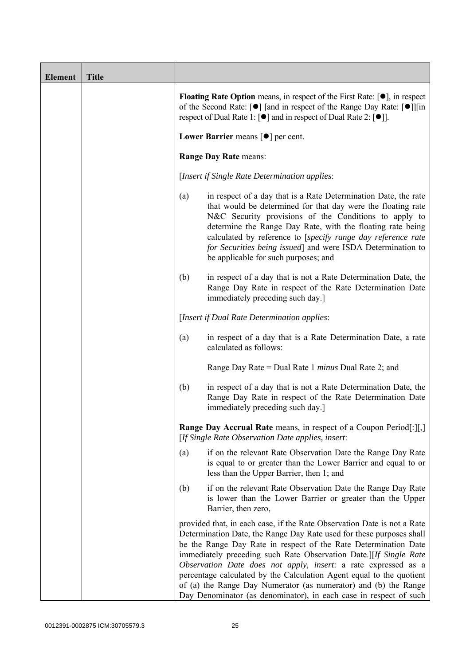| <b>Element</b> | <b>Title</b> |                                                       |                                                                                                                                                                                                                                                                                                                                                                                                                                                                                                                                                                           |  |
|----------------|--------------|-------------------------------------------------------|---------------------------------------------------------------------------------------------------------------------------------------------------------------------------------------------------------------------------------------------------------------------------------------------------------------------------------------------------------------------------------------------------------------------------------------------------------------------------------------------------------------------------------------------------------------------------|--|
|                |              |                                                       | <b>Floating Rate Option</b> means, in respect of the First Rate: $[•]$ , in respect<br>of the Second Rate: [ $\bullet$ ] [and in respect of the Range Day Rate: [ $\bullet$ ]][in<br>respect of Dual Rate 1: $\lceil \bullet \rceil$ and in respect of Dual Rate 2: $\lceil \bullet \rceil$ .                                                                                                                                                                                                                                                                             |  |
|                |              | Lower Barrier means $\lceil \bullet \rceil$ per cent. |                                                                                                                                                                                                                                                                                                                                                                                                                                                                                                                                                                           |  |
|                |              |                                                       | <b>Range Day Rate means:</b>                                                                                                                                                                                                                                                                                                                                                                                                                                                                                                                                              |  |
|                |              | [Insert if Single Rate Determination applies:         |                                                                                                                                                                                                                                                                                                                                                                                                                                                                                                                                                                           |  |
|                |              | (a)                                                   | in respect of a day that is a Rate Determination Date, the rate<br>that would be determined for that day were the floating rate<br>N&C Security provisions of the Conditions to apply to<br>determine the Range Day Rate, with the floating rate being<br>calculated by reference to [specify range day reference rate<br>for Securities being issued] and were ISDA Determination to<br>be applicable for such purposes; and                                                                                                                                             |  |
|                |              | (b)                                                   | in respect of a day that is not a Rate Determination Date, the<br>Range Day Rate in respect of the Rate Determination Date<br>immediately preceding such day.]                                                                                                                                                                                                                                                                                                                                                                                                            |  |
|                |              |                                                       | [Insert if Dual Rate Determination applies:                                                                                                                                                                                                                                                                                                                                                                                                                                                                                                                               |  |
|                |              | (a)                                                   | in respect of a day that is a Rate Determination Date, a rate<br>calculated as follows:                                                                                                                                                                                                                                                                                                                                                                                                                                                                                   |  |
|                |              |                                                       | Range Day Rate = Dual Rate 1 <i>minus</i> Dual Rate 2; and                                                                                                                                                                                                                                                                                                                                                                                                                                                                                                                |  |
|                |              | (b)                                                   | in respect of a day that is not a Rate Determination Date, the<br>Range Day Rate in respect of the Rate Determination Date<br>immediately preceding such day.]                                                                                                                                                                                                                                                                                                                                                                                                            |  |
|                |              |                                                       | <b>Range Day Accrual Rate</b> means, in respect of a Coupon Period[:][,]<br>[If Single Rate Observation Date applies, insert:                                                                                                                                                                                                                                                                                                                                                                                                                                             |  |
|                |              | (a)                                                   | if on the relevant Rate Observation Date the Range Day Rate<br>is equal to or greater than the Lower Barrier and equal to or<br>less than the Upper Barrier, then 1; and                                                                                                                                                                                                                                                                                                                                                                                                  |  |
|                |              | (b)                                                   | if on the relevant Rate Observation Date the Range Day Rate<br>is lower than the Lower Barrier or greater than the Upper<br>Barrier, then zero,                                                                                                                                                                                                                                                                                                                                                                                                                           |  |
|                |              |                                                       | provided that, in each case, if the Rate Observation Date is not a Rate<br>Determination Date, the Range Day Rate used for these purposes shall<br>be the Range Day Rate in respect of the Rate Determination Date<br>immediately preceding such Rate Observation Date.][If Single Rate<br>Observation Date does not apply, insert: a rate expressed as a<br>percentage calculated by the Calculation Agent equal to the quotient<br>of (a) the Range Day Numerator (as numerator) and (b) the Range<br>Day Denominator (as denominator), in each case in respect of such |  |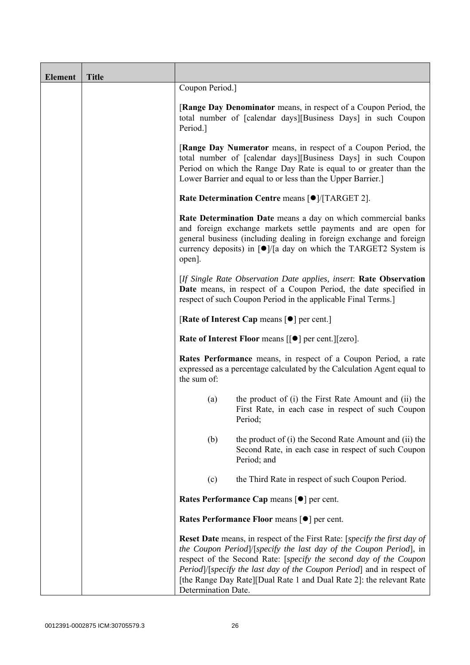| <b>Element</b> | <b>Title</b> |                                                                                                                                                                                                                                                                                                                                                                                              |  |  |
|----------------|--------------|----------------------------------------------------------------------------------------------------------------------------------------------------------------------------------------------------------------------------------------------------------------------------------------------------------------------------------------------------------------------------------------------|--|--|
|                |              | Coupon Period.]                                                                                                                                                                                                                                                                                                                                                                              |  |  |
|                |              | [Range Day Denominator means, in respect of a Coupon Period, the<br>total number of [calendar days][Business Days] in such Coupon<br>Period.]                                                                                                                                                                                                                                                |  |  |
|                |              | [Range Day Numerator means, in respect of a Coupon Period, the<br>total number of [calendar days][Business Days] in such Coupon<br>Period on which the Range Day Rate is equal to or greater than the<br>Lower Barrier and equal to or less than the Upper Barrier.]                                                                                                                         |  |  |
|                |              | Rate Determination Centre means [ $\bullet$ ]/[TARGET 2].                                                                                                                                                                                                                                                                                                                                    |  |  |
|                |              | Rate Determination Date means a day on which commercial banks<br>and foreign exchange markets settle payments and are open for<br>general business (including dealing in foreign exchange and foreign<br>currency deposits) in $\lceil \bullet \rceil$ a day on which the TARGET2 System is<br>open].                                                                                        |  |  |
|                |              | [If Single Rate Observation Date applies, insert: Rate Observation<br>Date means, in respect of a Coupon Period, the date specified in<br>respect of such Coupon Period in the applicable Final Terms.                                                                                                                                                                                       |  |  |
|                |              | [Rate of Interest Cap means $[•]$ per cent.]                                                                                                                                                                                                                                                                                                                                                 |  |  |
|                |              | Rate of Interest Floor means [[ $\bullet$ ] per cent.][zero].                                                                                                                                                                                                                                                                                                                                |  |  |
|                |              | Rates Performance means, in respect of a Coupon Period, a rate<br>expressed as a percentage calculated by the Calculation Agent equal to<br>the sum of:                                                                                                                                                                                                                                      |  |  |
|                |              | the product of (i) the First Rate Amount and (ii) the<br>(a)<br>First Rate, in each case in respect of such Coupon<br>Period;                                                                                                                                                                                                                                                                |  |  |
|                |              | the product of (i) the Second Rate Amount and (ii) the<br>(b)<br>Second Rate, in each case in respect of such Coupon<br>Period; and                                                                                                                                                                                                                                                          |  |  |
|                |              | the Third Rate in respect of such Coupon Period.<br>(c)                                                                                                                                                                                                                                                                                                                                      |  |  |
|                |              | Rates Performance Cap means [ $\bullet$ ] per cent.                                                                                                                                                                                                                                                                                                                                          |  |  |
|                |              | Rates Performance Floor means [ $\bullet$ ] per cent.                                                                                                                                                                                                                                                                                                                                        |  |  |
|                |              | Reset Date means, in respect of the First Rate: [specify the first day of<br>the Coupon Period]/[specify the last day of the Coupon Period], in<br>respect of the Second Rate: [specify the second day of the Coupon<br>Period /[specify the last day of the Coupon Period] and in respect of<br>[the Range Day Rate][Dual Rate 1 and Dual Rate 2]: the relevant Rate<br>Determination Date. |  |  |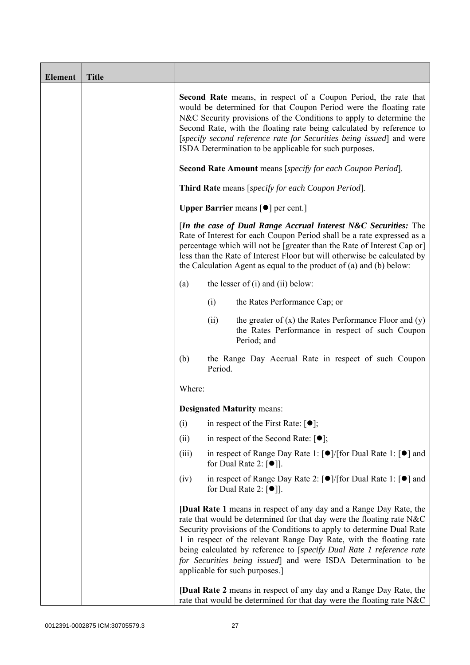| <b>Element</b> | <b>Title</b> |                                                                   |                                                               |                                                                                                                                                                                                                                                                                                                                                                                                                                                                                                                                                             |  |
|----------------|--------------|-------------------------------------------------------------------|---------------------------------------------------------------|-------------------------------------------------------------------------------------------------------------------------------------------------------------------------------------------------------------------------------------------------------------------------------------------------------------------------------------------------------------------------------------------------------------------------------------------------------------------------------------------------------------------------------------------------------------|--|
|                |              |                                                                   |                                                               | <b>Second Rate</b> means, in respect of a Coupon Period, the rate that<br>would be determined for that Coupon Period were the floating rate<br>N&C Security provisions of the Conditions to apply to determine the<br>Second Rate, with the floating rate being calculated by reference to<br>[specify second reference rate for Securities being issued] and were<br>ISDA Determination to be applicable for such purposes.                                                                                                                                |  |
|                |              | <b>Second Rate Amount</b> means [specify for each Coupon Period]. |                                                               |                                                                                                                                                                                                                                                                                                                                                                                                                                                                                                                                                             |  |
|                |              | <b>Third Rate</b> means [specify for each Coupon Period].         |                                                               |                                                                                                                                                                                                                                                                                                                                                                                                                                                                                                                                                             |  |
|                |              |                                                                   | <b>Upper Barrier</b> means $\lceil \bullet \rceil$ per cent.] |                                                                                                                                                                                                                                                                                                                                                                                                                                                                                                                                                             |  |
|                |              |                                                                   |                                                               | [In the case of Dual Range Accrual Interest N&C Securities: The<br>Rate of Interest for each Coupon Period shall be a rate expressed as a<br>percentage which will not be [greater than the Rate of Interest Cap or]<br>less than the Rate of Interest Floor but will otherwise be calculated by<br>the Calculation Agent as equal to the product of $(a)$ and $(b)$ below:                                                                                                                                                                                 |  |
|                |              | (a)                                                               |                                                               | the lesser of $(i)$ and $(ii)$ below:                                                                                                                                                                                                                                                                                                                                                                                                                                                                                                                       |  |
|                |              |                                                                   | (i)                                                           | the Rates Performance Cap; or                                                                                                                                                                                                                                                                                                                                                                                                                                                                                                                               |  |
|                |              |                                                                   | (ii)                                                          | the greater of $(x)$ the Rates Performance Floor and $(y)$<br>the Rates Performance in respect of such Coupon<br>Period; and                                                                                                                                                                                                                                                                                                                                                                                                                                |  |
|                |              | (b)                                                               | Period.                                                       | the Range Day Accrual Rate in respect of such Coupon                                                                                                                                                                                                                                                                                                                                                                                                                                                                                                        |  |
|                |              | Where:                                                            |                                                               |                                                                                                                                                                                                                                                                                                                                                                                                                                                                                                                                                             |  |
|                |              |                                                                   |                                                               | <b>Designated Maturity means:</b>                                                                                                                                                                                                                                                                                                                                                                                                                                                                                                                           |  |
|                |              | (i)                                                               |                                                               | in respect of the First Rate: $\lceil \bullet \rceil$ ;                                                                                                                                                                                                                                                                                                                                                                                                                                                                                                     |  |
|                |              | (ii)                                                              |                                                               | in respect of the Second Rate: $[•]$ ;                                                                                                                                                                                                                                                                                                                                                                                                                                                                                                                      |  |
|                |              | (iii)                                                             |                                                               | in respect of Range Day Rate 1: $\lceil \bullet \rceil / \lceil \text{for Dual Rate 1} \rceil \rceil$ and<br>for Dual Rate 2: $\lceil \bullet \rceil$ .                                                                                                                                                                                                                                                                                                                                                                                                     |  |
|                |              | (iv)                                                              |                                                               | in respect of Range Day Rate 2: $\lceil \bullet \rceil / \lceil \text{for Dual Rate 1} \rceil \rceil$ and<br>for Dual Rate 2: $[①$ ].                                                                                                                                                                                                                                                                                                                                                                                                                       |  |
|                |              |                                                                   |                                                               | <b>[Dual Rate 1</b> means in respect of any day and a Range Day Rate, the<br>rate that would be determined for that day were the floating rate N&C<br>Security provisions of the Conditions to apply to determine Dual Rate<br>1 in respect of the relevant Range Day Rate, with the floating rate<br>being calculated by reference to [specify Dual Rate 1 reference rate<br>for Securities being issued] and were ISDA Determination to be<br>applicable for such purposes.]<br><b>[Dual Rate 2</b> means in respect of any day and a Range Day Rate, the |  |
|                |              |                                                                   |                                                               | rate that would be determined for that day were the floating rate N&C                                                                                                                                                                                                                                                                                                                                                                                                                                                                                       |  |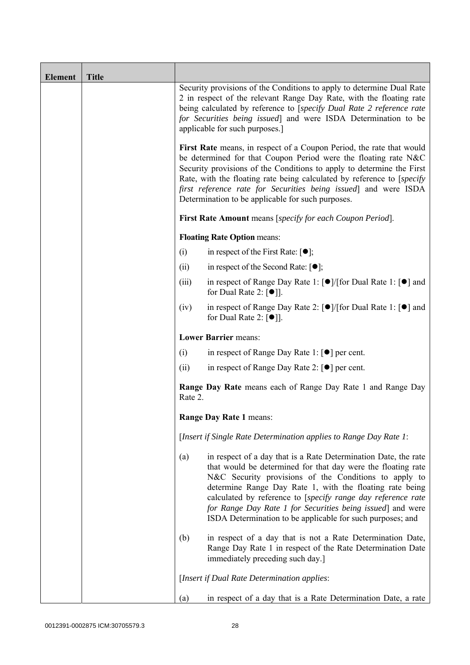| <b>Element</b> | <b>Title</b> |                                                                                                                                                                                                                                                                                                                                                                                                                    |                                                                                                                                                                                                                                                                                                                                                                                                                                                  |  |
|----------------|--------------|--------------------------------------------------------------------------------------------------------------------------------------------------------------------------------------------------------------------------------------------------------------------------------------------------------------------------------------------------------------------------------------------------------------------|--------------------------------------------------------------------------------------------------------------------------------------------------------------------------------------------------------------------------------------------------------------------------------------------------------------------------------------------------------------------------------------------------------------------------------------------------|--|
|                |              |                                                                                                                                                                                                                                                                                                                                                                                                                    | Security provisions of the Conditions to apply to determine Dual Rate<br>2 in respect of the relevant Range Day Rate, with the floating rate<br>being calculated by reference to [specify Dual Rate 2 reference rate<br>for Securities being issued] and were ISDA Determination to be<br>applicable for such purposes.]                                                                                                                         |  |
|                |              | First Rate means, in respect of a Coupon Period, the rate that would<br>be determined for that Coupon Period were the floating rate N&C<br>Security provisions of the Conditions to apply to determine the First<br>Rate, with the floating rate being calculated by reference to [specify]<br>first reference rate for Securities being issued and were ISDA<br>Determination to be applicable for such purposes. |                                                                                                                                                                                                                                                                                                                                                                                                                                                  |  |
|                |              |                                                                                                                                                                                                                                                                                                                                                                                                                    | <b>First Rate Amount</b> means [specify for each Coupon Period].                                                                                                                                                                                                                                                                                                                                                                                 |  |
|                |              |                                                                                                                                                                                                                                                                                                                                                                                                                    | <b>Floating Rate Option means:</b>                                                                                                                                                                                                                                                                                                                                                                                                               |  |
|                |              | (i)                                                                                                                                                                                                                                                                                                                                                                                                                | in respect of the First Rate: $[\bullet]$ ;                                                                                                                                                                                                                                                                                                                                                                                                      |  |
|                |              | (ii)                                                                                                                                                                                                                                                                                                                                                                                                               | in respect of the Second Rate: $[•]$ ;                                                                                                                                                                                                                                                                                                                                                                                                           |  |
|                |              | (iii)                                                                                                                                                                                                                                                                                                                                                                                                              | in respect of Range Day Rate 1: [●]/[for Dual Rate 1: [●] and<br>for Dual Rate 2: $\lceil \bullet \rceil$ .                                                                                                                                                                                                                                                                                                                                      |  |
|                |              | (iv)                                                                                                                                                                                                                                                                                                                                                                                                               | in respect of Range Day Rate 2: $\lceil \bullet \rceil / \lceil \text{for Dual Rate 1} \rceil \rceil$ and<br>for Dual Rate 2: $\lceil \bullet \rceil$ .                                                                                                                                                                                                                                                                                          |  |
|                |              |                                                                                                                                                                                                                                                                                                                                                                                                                    | <b>Lower Barrier means:</b>                                                                                                                                                                                                                                                                                                                                                                                                                      |  |
|                |              | (i)                                                                                                                                                                                                                                                                                                                                                                                                                | in respect of Range Day Rate 1: $\lceil \bullet \rceil$ per cent.                                                                                                                                                                                                                                                                                                                                                                                |  |
|                |              | (ii)                                                                                                                                                                                                                                                                                                                                                                                                               | in respect of Range Day Rate 2: [●] per cent.                                                                                                                                                                                                                                                                                                                                                                                                    |  |
|                |              | Rate 2.                                                                                                                                                                                                                                                                                                                                                                                                            | <b>Range Day Rate</b> means each of Range Day Rate 1 and Range Day                                                                                                                                                                                                                                                                                                                                                                               |  |
|                |              |                                                                                                                                                                                                                                                                                                                                                                                                                    | <b>Range Day Rate 1 means:</b>                                                                                                                                                                                                                                                                                                                                                                                                                   |  |
|                |              |                                                                                                                                                                                                                                                                                                                                                                                                                    | [Insert if Single Rate Determination applies to Range Day Rate 1:                                                                                                                                                                                                                                                                                                                                                                                |  |
|                |              | (a)                                                                                                                                                                                                                                                                                                                                                                                                                | in respect of a day that is a Rate Determination Date, the rate<br>that would be determined for that day were the floating rate<br>N&C Security provisions of the Conditions to apply to<br>determine Range Day Rate 1, with the floating rate being<br>calculated by reference to [specify range day reference rate<br>for Range Day Rate 1 for Securities being issued] and were<br>ISDA Determination to be applicable for such purposes; and |  |
|                |              | (b)                                                                                                                                                                                                                                                                                                                                                                                                                | in respect of a day that is not a Rate Determination Date,<br>Range Day Rate 1 in respect of the Rate Determination Date<br>immediately preceding such day.]                                                                                                                                                                                                                                                                                     |  |
|                |              |                                                                                                                                                                                                                                                                                                                                                                                                                    | [Insert if Dual Rate Determination applies:                                                                                                                                                                                                                                                                                                                                                                                                      |  |
|                |              | (a)                                                                                                                                                                                                                                                                                                                                                                                                                | in respect of a day that is a Rate Determination Date, a rate                                                                                                                                                                                                                                                                                                                                                                                    |  |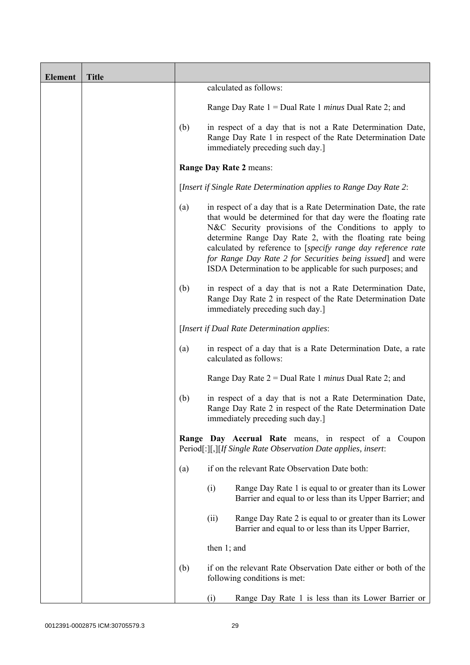| <b>Element</b> | <b>Title</b> |                                                                                                                                                                     |                                                                                                                                                                                                                                                                                                                                                                                                                                                  |  |
|----------------|--------------|---------------------------------------------------------------------------------------------------------------------------------------------------------------------|--------------------------------------------------------------------------------------------------------------------------------------------------------------------------------------------------------------------------------------------------------------------------------------------------------------------------------------------------------------------------------------------------------------------------------------------------|--|
|                |              |                                                                                                                                                                     | calculated as follows:                                                                                                                                                                                                                                                                                                                                                                                                                           |  |
|                |              |                                                                                                                                                                     | Range Day Rate $1 =$ Dual Rate 1 <i>minus</i> Dual Rate 2; and                                                                                                                                                                                                                                                                                                                                                                                   |  |
|                |              | (b)                                                                                                                                                                 | in respect of a day that is not a Rate Determination Date,<br>Range Day Rate 1 in respect of the Rate Determination Date<br>immediately preceding such day.]                                                                                                                                                                                                                                                                                     |  |
|                |              |                                                                                                                                                                     | Range Day Rate 2 means:                                                                                                                                                                                                                                                                                                                                                                                                                          |  |
|                |              |                                                                                                                                                                     | [Insert if Single Rate Determination applies to Range Day Rate 2:                                                                                                                                                                                                                                                                                                                                                                                |  |
|                |              | (a)                                                                                                                                                                 | in respect of a day that is a Rate Determination Date, the rate<br>that would be determined for that day were the floating rate<br>N&C Security provisions of the Conditions to apply to<br>determine Range Day Rate 2, with the floating rate being<br>calculated by reference to [specify range day reference rate<br>for Range Day Rate 2 for Securities being issued] and were<br>ISDA Determination to be applicable for such purposes; and |  |
|                |              | in respect of a day that is not a Rate Determination Date,<br>(b)<br>Range Day Rate 2 in respect of the Rate Determination Date<br>immediately preceding such day.] |                                                                                                                                                                                                                                                                                                                                                                                                                                                  |  |
|                |              | [Insert if Dual Rate Determination applies:                                                                                                                         |                                                                                                                                                                                                                                                                                                                                                                                                                                                  |  |
|                |              | (a)                                                                                                                                                                 | in respect of a day that is a Rate Determination Date, a rate<br>calculated as follows:                                                                                                                                                                                                                                                                                                                                                          |  |
|                |              |                                                                                                                                                                     | Range Day Rate $2 =$ Dual Rate 1 <i>minus</i> Dual Rate 2; and                                                                                                                                                                                                                                                                                                                                                                                   |  |
|                |              | (b)                                                                                                                                                                 | in respect of a day that is not a Rate Determination Date,<br>Range Day Rate 2 in respect of the Rate Determination Date<br>immediately preceding such day.                                                                                                                                                                                                                                                                                      |  |
|                |              |                                                                                                                                                                     | Range Day Accrual Rate means, in respect of a Coupon<br>Period[:][,][If Single Rate Observation Date applies, insert:                                                                                                                                                                                                                                                                                                                            |  |
|                |              | (a)                                                                                                                                                                 | if on the relevant Rate Observation Date both:                                                                                                                                                                                                                                                                                                                                                                                                   |  |
|                |              |                                                                                                                                                                     | (i)<br>Range Day Rate 1 is equal to or greater than its Lower<br>Barrier and equal to or less than its Upper Barrier; and                                                                                                                                                                                                                                                                                                                        |  |
|                |              |                                                                                                                                                                     | Range Day Rate 2 is equal to or greater than its Lower<br>(ii)<br>Barrier and equal to or less than its Upper Barrier,                                                                                                                                                                                                                                                                                                                           |  |
|                |              |                                                                                                                                                                     | then $1$ ; and                                                                                                                                                                                                                                                                                                                                                                                                                                   |  |
|                |              | (b)                                                                                                                                                                 | if on the relevant Rate Observation Date either or both of the<br>following conditions is met:                                                                                                                                                                                                                                                                                                                                                   |  |
|                |              |                                                                                                                                                                     | (i)<br>Range Day Rate 1 is less than its Lower Barrier or                                                                                                                                                                                                                                                                                                                                                                                        |  |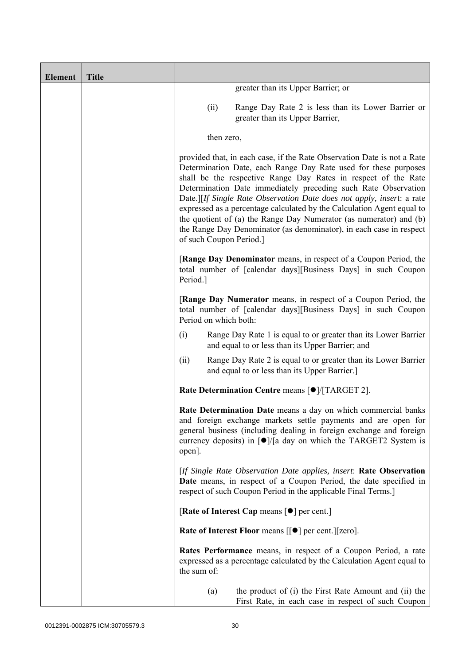| <b>Element</b> | <b>Title</b> |                                                                                                                                                                                                                                                                                                                                                                                                                                                                                                                                                                                                           |
|----------------|--------------|-----------------------------------------------------------------------------------------------------------------------------------------------------------------------------------------------------------------------------------------------------------------------------------------------------------------------------------------------------------------------------------------------------------------------------------------------------------------------------------------------------------------------------------------------------------------------------------------------------------|
|                |              | greater than its Upper Barrier; or                                                                                                                                                                                                                                                                                                                                                                                                                                                                                                                                                                        |
|                |              | (ii)<br>Range Day Rate 2 is less than its Lower Barrier or<br>greater than its Upper Barrier,                                                                                                                                                                                                                                                                                                                                                                                                                                                                                                             |
|                |              | then zero,                                                                                                                                                                                                                                                                                                                                                                                                                                                                                                                                                                                                |
|                |              | provided that, in each case, if the Rate Observation Date is not a Rate<br>Determination Date, each Range Day Rate used for these purposes<br>shall be the respective Range Day Rates in respect of the Rate<br>Determination Date immediately preceding such Rate Observation<br>Date.][If Single Rate Observation Date does not apply, insert: a rate<br>expressed as a percentage calculated by the Calculation Agent equal to<br>the quotient of (a) the Range Day Numerator (as numerator) and (b)<br>the Range Day Denominator (as denominator), in each case in respect<br>of such Coupon Period.] |
|                |              | [Range Day Denominator means, in respect of a Coupon Period, the<br>total number of [calendar days][Business Days] in such Coupon<br>Period.]                                                                                                                                                                                                                                                                                                                                                                                                                                                             |
|                |              | <b>[Range Day Numerator</b> means, in respect of a Coupon Period, the<br>total number of [calendar days][Business Days] in such Coupon<br>Period on which both:                                                                                                                                                                                                                                                                                                                                                                                                                                           |
|                |              | Range Day Rate 1 is equal to or greater than its Lower Barrier<br>(i)<br>and equal to or less than its Upper Barrier; and                                                                                                                                                                                                                                                                                                                                                                                                                                                                                 |
|                |              | Range Day Rate 2 is equal to or greater than its Lower Barrier<br>(ii)<br>and equal to or less than its Upper Barrier.]                                                                                                                                                                                                                                                                                                                                                                                                                                                                                   |
|                |              | Rate Determination Centre means [ $\bullet$ ]/[TARGET 2].                                                                                                                                                                                                                                                                                                                                                                                                                                                                                                                                                 |
|                |              | Rate Determination Date means a day on which commercial banks<br>and foreign exchange markets settle payments and are open for<br>general business (including dealing in foreign exchange and foreign<br>currency deposits) in [●]/[a day on which the TARGET2 System is<br>open].                                                                                                                                                                                                                                                                                                                        |
|                |              | [If Single Rate Observation Date applies, insert: Rate Observation<br>Date means, in respect of a Coupon Period, the date specified in<br>respect of such Coupon Period in the applicable Final Terms.]                                                                                                                                                                                                                                                                                                                                                                                                   |
|                |              | [Rate of Interest Cap means $[•]$ per cent.]                                                                                                                                                                                                                                                                                                                                                                                                                                                                                                                                                              |
|                |              | Rate of Interest Floor means [[ $\bullet$ ] per cent.][zero].                                                                                                                                                                                                                                                                                                                                                                                                                                                                                                                                             |
|                |              | Rates Performance means, in respect of a Coupon Period, a rate<br>expressed as a percentage calculated by the Calculation Agent equal to<br>the sum of:                                                                                                                                                                                                                                                                                                                                                                                                                                                   |
|                |              | the product of (i) the First Rate Amount and (ii) the<br>(a)<br>First Rate, in each case in respect of such Coupon                                                                                                                                                                                                                                                                                                                                                                                                                                                                                        |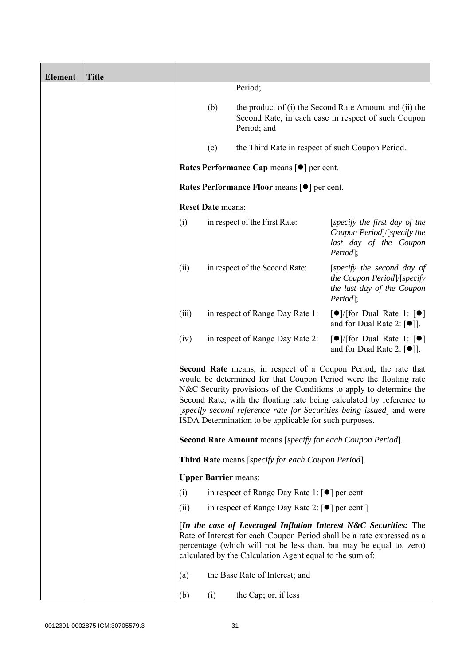| <b>Element</b> | <b>Title</b> |       |                             |                                                                   |                                                                                                                                                                                                                                                                                                                                                             |
|----------------|--------------|-------|-----------------------------|-------------------------------------------------------------------|-------------------------------------------------------------------------------------------------------------------------------------------------------------------------------------------------------------------------------------------------------------------------------------------------------------------------------------------------------------|
|                |              |       |                             | Period;                                                           |                                                                                                                                                                                                                                                                                                                                                             |
|                |              |       | (b)                         | Period; and                                                       | the product of (i) the Second Rate Amount and (ii) the<br>Second Rate, in each case in respect of such Coupon                                                                                                                                                                                                                                               |
|                |              |       | (c)                         | the Third Rate in respect of such Coupon Period.                  |                                                                                                                                                                                                                                                                                                                                                             |
|                |              |       |                             | Rates Performance Cap means [ $\bullet$ ] per cent.               |                                                                                                                                                                                                                                                                                                                                                             |
|                |              |       |                             | Rates Performance Floor means [ $\bullet$ ] per cent.             |                                                                                                                                                                                                                                                                                                                                                             |
|                |              |       | <b>Reset Date means:</b>    |                                                                   |                                                                                                                                                                                                                                                                                                                                                             |
|                |              | (i)   |                             | in respect of the First Rate:                                     | [specify the first day of the<br>Coupon Period /[specify the<br>last day of the Coupon<br>$Period$ ;                                                                                                                                                                                                                                                        |
|                |              | (ii)  |                             | in respect of the Second Rate:                                    | [specify the second day of<br>the Coupon Period /[specify<br>the last day of the Coupon<br>Period];                                                                                                                                                                                                                                                         |
|                |              | (iii) |                             | in respect of Range Day Rate 1:                                   | $\lceil \bullet \rceil$ [for Dual Rate 1: $\lceil \bullet \rceil$<br>and for Dual Rate 2: $[•]$ ].                                                                                                                                                                                                                                                          |
|                |              | (iv)  |                             | in respect of Range Day Rate 2:                                   | $\lceil \bullet \rceil$ [for Dual Rate 1: $\lceil \bullet \rceil$<br>and for Dual Rate 2: $[•]$ ].                                                                                                                                                                                                                                                          |
|                |              |       |                             | ISDA Determination to be applicable for such purposes.            | Second Rate means, in respect of a Coupon Period, the rate that<br>would be determined for that Coupon Period were the floating rate<br>N&C Security provisions of the Conditions to apply to determine the<br>Second Rate, with the floating rate being calculated by reference to<br>[specify second reference rate for Securities being issued] and were |
|                |              |       |                             | Second Rate Amount means [specify for each Coupon Period].        |                                                                                                                                                                                                                                                                                                                                                             |
|                |              |       |                             | Third Rate means [specify for each Coupon Period].                |                                                                                                                                                                                                                                                                                                                                                             |
|                |              |       | <b>Upper Barrier means:</b> |                                                                   |                                                                                                                                                                                                                                                                                                                                                             |
|                |              | (i)   |                             | in respect of Range Day Rate 1: $\lceil \bullet \rceil$ per cent. |                                                                                                                                                                                                                                                                                                                                                             |
|                |              | (ii)  |                             | in respect of Range Day Rate 2: [●] per cent.]                    |                                                                                                                                                                                                                                                                                                                                                             |
|                |              |       |                             | calculated by the Calculation Agent equal to the sum of:          | [In the case of Leveraged Inflation Interest N&C Securities: The<br>Rate of Interest for each Coupon Period shall be a rate expressed as a<br>percentage (which will not be less than, but may be equal to, zero)                                                                                                                                           |
|                |              | (a)   |                             | the Base Rate of Interest; and                                    |                                                                                                                                                                                                                                                                                                                                                             |
|                |              | (b)   | (i)                         | the Cap; or, if less                                              |                                                                                                                                                                                                                                                                                                                                                             |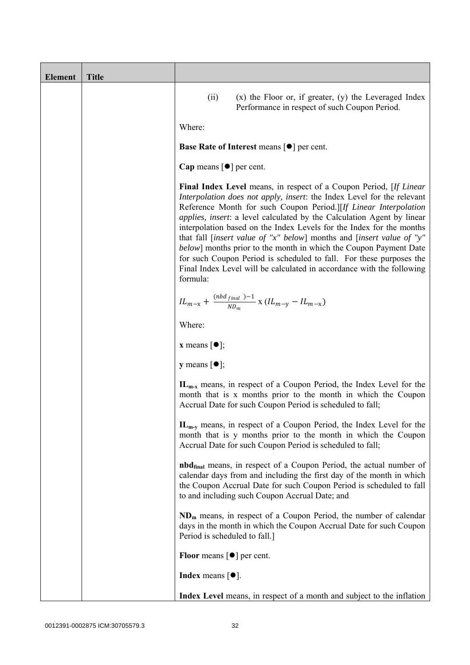| <b>Element</b> | <b>Title</b> |                                                                                                                                                                                                                                                                                                                                                                                                                                                                                                                                                                                                                                                                                                    |
|----------------|--------------|----------------------------------------------------------------------------------------------------------------------------------------------------------------------------------------------------------------------------------------------------------------------------------------------------------------------------------------------------------------------------------------------------------------------------------------------------------------------------------------------------------------------------------------------------------------------------------------------------------------------------------------------------------------------------------------------------|
|                |              | $(x)$ the Floor or, if greater, $(y)$ the Leveraged Index<br>(ii)<br>Performance in respect of such Coupon Period.                                                                                                                                                                                                                                                                                                                                                                                                                                                                                                                                                                                 |
|                |              | Where:                                                                                                                                                                                                                                                                                                                                                                                                                                                                                                                                                                                                                                                                                             |
|                |              | <b>Base Rate of Interest means <math>\lceil \bullet \rceil</math> per cent.</b>                                                                                                                                                                                                                                                                                                                                                                                                                                                                                                                                                                                                                    |
|                |              | Cap means $\lceil \bullet \rceil$ per cent.                                                                                                                                                                                                                                                                                                                                                                                                                                                                                                                                                                                                                                                        |
|                |              | <b>Final Index Level</b> means, in respect of a Coupon Period, [If Linear<br>Interpolation does not apply, insert: the Index Level for the relevant<br>Reference Month for such Coupon Period.][If Linear Interpolation<br><i>applies, insert: a level calculated by the Calculation Agent by linear</i><br>interpolation based on the Index Levels for the Index for the months<br>that fall [insert value of "x" below] months and [insert value of "y"<br><i>below</i> ] months prior to the month in which the Coupon Payment Date<br>for such Coupon Period is scheduled to fall. For these purposes the<br>Final Index Level will be calculated in accordance with the following<br>formula: |
|                |              | $IL_{m-x} + \frac{(nbd_{final})-1}{ND_m} \times (IL_{m-y} - IL_{m-x})$                                                                                                                                                                                                                                                                                                                                                                                                                                                                                                                                                                                                                             |
|                |              | Where:                                                                                                                                                                                                                                                                                                                                                                                                                                                                                                                                                                                                                                                                                             |
|                |              | <b>x</b> means $\lceil \bullet \rceil$ ;                                                                                                                                                                                                                                                                                                                                                                                                                                                                                                                                                                                                                                                           |
|                |              | <b>y</b> means $\lceil \bullet \rceil$ ;                                                                                                                                                                                                                                                                                                                                                                                                                                                                                                                                                                                                                                                           |
|                |              | $IL_{m-x}$ means, in respect of a Coupon Period, the Index Level for the<br>month that is x months prior to the month in which the Coupon<br>Accrual Date for such Coupon Period is scheduled to fall;                                                                                                                                                                                                                                                                                                                                                                                                                                                                                             |
|                |              | $IL_{m-v}$ means, in respect of a Coupon Period, the Index Level for the<br>month that is y months prior to the month in which the Coupon<br>Accrual Date for such Coupon Period is scheduled to fall;                                                                                                                                                                                                                                                                                                                                                                                                                                                                                             |
|                |              | <b>nbd</b> <sub>final</sub> means, in respect of a Coupon Period, the actual number of<br>calendar days from and including the first day of the month in which<br>the Coupon Accrual Date for such Coupon Period is scheduled to fall<br>to and including such Coupon Accrual Date; and                                                                                                                                                                                                                                                                                                                                                                                                            |
|                |              | $NDm$ means, in respect of a Coupon Period, the number of calendar<br>days in the month in which the Coupon Accrual Date for such Coupon<br>Period is scheduled to fall.]                                                                                                                                                                                                                                                                                                                                                                                                                                                                                                                          |
|                |              | <b>Floor</b> means $\lceil \bullet \rceil$ per cent.                                                                                                                                                                                                                                                                                                                                                                                                                                                                                                                                                                                                                                               |
|                |              | <b>Index</b> means $[①]$ .                                                                                                                                                                                                                                                                                                                                                                                                                                                                                                                                                                                                                                                                         |
|                |              | Index Level means, in respect of a month and subject to the inflation                                                                                                                                                                                                                                                                                                                                                                                                                                                                                                                                                                                                                              |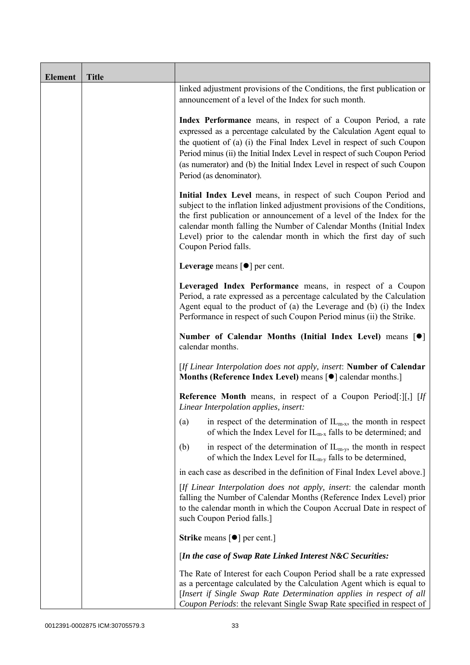| <b>Element</b> | <b>Title</b> |                                                                                                                                                                                                                                                                                                                                                                                                           |
|----------------|--------------|-----------------------------------------------------------------------------------------------------------------------------------------------------------------------------------------------------------------------------------------------------------------------------------------------------------------------------------------------------------------------------------------------------------|
|                |              | linked adjustment provisions of the Conditions, the first publication or<br>announcement of a level of the Index for such month.                                                                                                                                                                                                                                                                          |
|                |              | Index Performance means, in respect of a Coupon Period, a rate<br>expressed as a percentage calculated by the Calculation Agent equal to<br>the quotient of (a) (i) the Final Index Level in respect of such Coupon<br>Period minus (ii) the Initial Index Level in respect of such Coupon Period<br>(as numerator) and (b) the Initial Index Level in respect of such Coupon<br>Period (as denominator). |
|                |              | Initial Index Level means, in respect of such Coupon Period and<br>subject to the inflation linked adjustment provisions of the Conditions,<br>the first publication or announcement of a level of the Index for the<br>calendar month falling the Number of Calendar Months (Initial Index<br>Level) prior to the calendar month in which the first day of such<br>Coupon Period falls.                  |
|                |              | Leverage means $\lceil \bullet \rceil$ per cent.                                                                                                                                                                                                                                                                                                                                                          |
|                |              | Leveraged Index Performance means, in respect of a Coupon<br>Period, a rate expressed as a percentage calculated by the Calculation<br>Agent equal to the product of (a) the Leverage and (b) (i) the Index<br>Performance in respect of such Coupon Period minus (ii) the Strike.                                                                                                                        |
|                |              | Number of Calendar Months (Initial Index Level) means [ $\bullet$ ]<br>calendar months.                                                                                                                                                                                                                                                                                                                   |
|                |              | [If Linear Interpolation does not apply, insert: Number of Calendar<br>Months (Reference Index Level) means [ $\bullet$ ] calendar months.]                                                                                                                                                                                                                                                               |
|                |              | <b>Reference Month</b> means, in respect of a Coupon Period[:][,] [If<br>Linear Interpolation applies, insert:                                                                                                                                                                                                                                                                                            |
|                |              | in respect of the determination of $IL_{m-x}$ , the month in respect<br>(a)<br>of which the Index Level for $IL_{m-x}$ falls to be determined; and                                                                                                                                                                                                                                                        |
|                |              | in respect of the determination of $IL_{m-v}$ , the month in respect<br>(b)<br>of which the Index Level for $IL_{m-v}$ falls to be determined,                                                                                                                                                                                                                                                            |
|                |              | in each case as described in the definition of Final Index Level above.]                                                                                                                                                                                                                                                                                                                                  |
|                |              | [If Linear Interpolation does not apply, insert: the calendar month<br>falling the Number of Calendar Months (Reference Index Level) prior<br>to the calendar month in which the Coupon Accrual Date in respect of<br>such Coupon Period falls.]                                                                                                                                                          |
|                |              | <b>Strike</b> means $\lceil \bullet \rceil$ per cent.                                                                                                                                                                                                                                                                                                                                                     |
|                |              | [In the case of Swap Rate Linked Interest N&C Securities:                                                                                                                                                                                                                                                                                                                                                 |
|                |              | The Rate of Interest for each Coupon Period shall be a rate expressed<br>as a percentage calculated by the Calculation Agent which is equal to<br>[Insert if Single Swap Rate Determination applies in respect of all<br>Coupon Periods: the relevant Single Swap Rate specified in respect of                                                                                                            |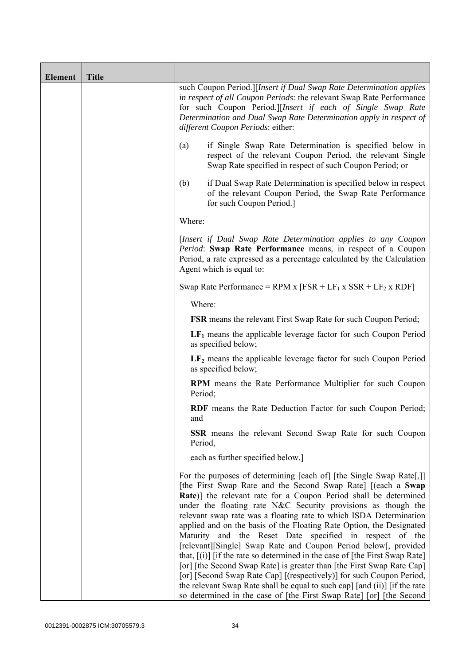| <b>Element</b> | <b>Title</b> |                                                                                                                                                                                                                                                                                                                                                                                                                                                                                                                                                                                                                                                                                                                                                                                                                                                                      |
|----------------|--------------|----------------------------------------------------------------------------------------------------------------------------------------------------------------------------------------------------------------------------------------------------------------------------------------------------------------------------------------------------------------------------------------------------------------------------------------------------------------------------------------------------------------------------------------------------------------------------------------------------------------------------------------------------------------------------------------------------------------------------------------------------------------------------------------------------------------------------------------------------------------------|
|                |              | such Coupon Period.][Insert if Dual Swap Rate Determination applies<br>in respect of all Coupon Periods: the relevant Swap Rate Performance<br>for such Coupon Period.][Insert if each of Single Swap Rate<br>Determination and Dual Swap Rate Determination apply in respect of<br>different Coupon Periods: either:                                                                                                                                                                                                                                                                                                                                                                                                                                                                                                                                                |
|                |              | (a)<br>if Single Swap Rate Determination is specified below in<br>respect of the relevant Coupon Period, the relevant Single<br>Swap Rate specified in respect of such Coupon Period; or                                                                                                                                                                                                                                                                                                                                                                                                                                                                                                                                                                                                                                                                             |
|                |              | if Dual Swap Rate Determination is specified below in respect<br>(b)<br>of the relevant Coupon Period, the Swap Rate Performance<br>for such Coupon Period.]                                                                                                                                                                                                                                                                                                                                                                                                                                                                                                                                                                                                                                                                                                         |
|                |              | Where:                                                                                                                                                                                                                                                                                                                                                                                                                                                                                                                                                                                                                                                                                                                                                                                                                                                               |
|                |              | [Insert if Dual Swap Rate Determination applies to any Coupon<br>Period: Swap Rate Performance means, in respect of a Coupon<br>Period, a rate expressed as a percentage calculated by the Calculation<br>Agent which is equal to:                                                                                                                                                                                                                                                                                                                                                                                                                                                                                                                                                                                                                                   |
|                |              | Swap Rate Performance = RPM x $[FSR + LF_1 x SSR + LF_2 x RDF]$                                                                                                                                                                                                                                                                                                                                                                                                                                                                                                                                                                                                                                                                                                                                                                                                      |
|                |              | Where:                                                                                                                                                                                                                                                                                                                                                                                                                                                                                                                                                                                                                                                                                                                                                                                                                                                               |
|                |              | <b>FSR</b> means the relevant First Swap Rate for such Coupon Period;                                                                                                                                                                                                                                                                                                                                                                                                                                                                                                                                                                                                                                                                                                                                                                                                |
|                |              | $LF1$ means the applicable leverage factor for such Coupon Period<br>as specified below;                                                                                                                                                                                                                                                                                                                                                                                                                                                                                                                                                                                                                                                                                                                                                                             |
|                |              | $LF2$ means the applicable leverage factor for such Coupon Period<br>as specified below;                                                                                                                                                                                                                                                                                                                                                                                                                                                                                                                                                                                                                                                                                                                                                                             |
|                |              | <b>RPM</b> means the Rate Performance Multiplier for such Coupon<br>Period;                                                                                                                                                                                                                                                                                                                                                                                                                                                                                                                                                                                                                                                                                                                                                                                          |
|                |              | <b>RDF</b> means the Rate Deduction Factor for such Coupon Period;<br>and                                                                                                                                                                                                                                                                                                                                                                                                                                                                                                                                                                                                                                                                                                                                                                                            |
|                |              | SSR means the relevant Second Swap Rate for such Coupon<br>Period,                                                                                                                                                                                                                                                                                                                                                                                                                                                                                                                                                                                                                                                                                                                                                                                                   |
|                |              | each as further specified below.]                                                                                                                                                                                                                                                                                                                                                                                                                                                                                                                                                                                                                                                                                                                                                                                                                                    |
|                |              | For the purposes of determining [each of] [the Single Swap Rate[,]]<br>[the First Swap Rate and the Second Swap Rate] [(each a Swap<br>Rate)] the relevant rate for a Coupon Period shall be determined<br>under the floating rate N&C Security provisions as though the<br>relevant swap rate was a floating rate to which ISDA Determination<br>applied and on the basis of the Floating Rate Option, the Designated<br>Maturity and the Reset Date specified in respect of the<br>[relevant][Single] Swap Rate and Coupon Period below[, provided<br>that, $[(i)]$ [if the rate so determined in the case of [the First Swap Rate]<br>[or] [the Second Swap Rate] is greater than [the First Swap Rate Cap]<br>[or] [Second Swap Rate Cap] [(respectively)] for such Coupon Period,<br>the relevant Swap Rate shall be equal to such cap] [and (ii)] [if the rate |
|                |              | so determined in the case of [the First Swap Rate] [or] [the Second                                                                                                                                                                                                                                                                                                                                                                                                                                                                                                                                                                                                                                                                                                                                                                                                  |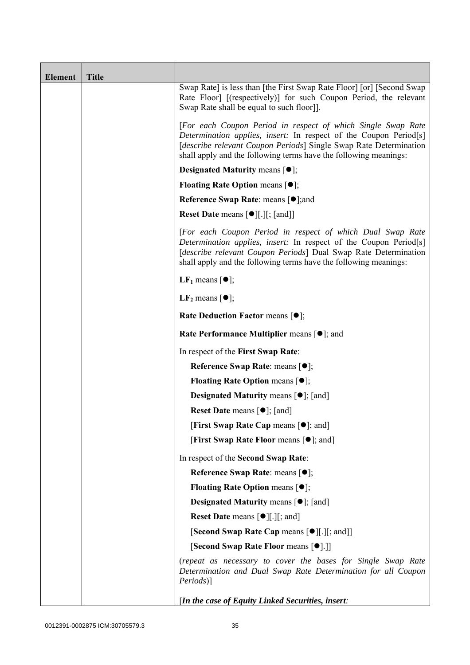| <b>Element</b> | <b>Title</b> |                                                                                                                                                                                                                                                                                    |
|----------------|--------------|------------------------------------------------------------------------------------------------------------------------------------------------------------------------------------------------------------------------------------------------------------------------------------|
|                |              | Swap Rate] is less than [the First Swap Rate Floor] [or] [Second Swap<br>Rate Floor] [(respectively)] for such Coupon Period, the relevant<br>Swap Rate shall be equal to such floor].                                                                                             |
|                |              | [For each Coupon Period in respect of which Single Swap Rate<br>Determination applies, insert: In respect of the Coupon Period[s]<br>[describe relevant Coupon Periods] Single Swap Rate Determination<br>shall apply and the following terms have the following meanings:         |
|                |              | <b>Designated Maturity means <math>[•]</math>;</b>                                                                                                                                                                                                                                 |
|                |              | <b>Floating Rate Option means <math>[•]</math>;</b>                                                                                                                                                                                                                                |
|                |              | <b>Reference Swap Rate: means [●];and</b>                                                                                                                                                                                                                                          |
|                |              | <b>Reset Date means <math>\lceil \bullet \rceil</math>.</b> [ <i>i</i> , [and]]                                                                                                                                                                                                    |
|                |              | [For each Coupon Period in respect of which Dual Swap Rate<br>Determination applies, insert: In respect of the Coupon Period <sup>[s]</sup><br>[describe relevant Coupon Periods] Dual Swap Rate Determination<br>shall apply and the following terms have the following meanings: |
|                |              | LF <sub>1</sub> means $\lceil \bullet \rceil$ ;                                                                                                                                                                                                                                    |
|                |              | <b>LF</b> <sub>2</sub> means $\lceil \bullet \rceil$ ;                                                                                                                                                                                                                             |
|                |              | Rate Deduction Factor means [ $\bullet$ ];                                                                                                                                                                                                                                         |
|                |              | <b>Rate Performance Multiplier means <math>\lceil \bullet \rceil</math>; and</b>                                                                                                                                                                                                   |
|                |              | In respect of the First Swap Rate:                                                                                                                                                                                                                                                 |
|                |              | Reference Swap Rate: means [ $\bullet$ ];                                                                                                                                                                                                                                          |
|                |              | <b>Floating Rate Option means <math>[①]</math>;</b>                                                                                                                                                                                                                                |
|                |              | <b>Designated Maturity means <math>\lceil \bullet \rceil</math>; [and]</b>                                                                                                                                                                                                         |
|                |              | <b>Reset Date means <math>[\bullet]</math>; [and]</b>                                                                                                                                                                                                                              |
|                |              | <b>[First Swap Rate Cap means [<math>\bullet</math>]; and</b> ]                                                                                                                                                                                                                    |
|                |              | [First Swap Rate Floor means [ $\bullet$ ]; and]                                                                                                                                                                                                                                   |
|                |              | In respect of the Second Swap Rate:                                                                                                                                                                                                                                                |
|                |              | Reference Swap Rate: means [●];                                                                                                                                                                                                                                                    |
|                |              | <b>Floating Rate Option means <math>[①]</math>;</b>                                                                                                                                                                                                                                |
|                |              | Designated Maturity means [ $\bullet$ ]; [and]                                                                                                                                                                                                                                     |
|                |              | <b>Reset Date means <math>\lceil \bullet \rceil</math>.</b> $\lfloor \cdot \rfloor$ and $\lfloor \cdot \rfloor$                                                                                                                                                                    |
|                |              | [Second Swap Rate Cap means [●][.][; and]]                                                                                                                                                                                                                                         |
|                |              | [Second Swap Rate Floor means [ $\bullet$ ].]]                                                                                                                                                                                                                                     |
|                |              | (repeat as necessary to cover the bases for Single Swap Rate<br>Determination and Dual Swap Rate Determination for all Coupon<br><i>Periods</i> )]                                                                                                                                 |
|                |              | [In the case of Equity Linked Securities, insert:                                                                                                                                                                                                                                  |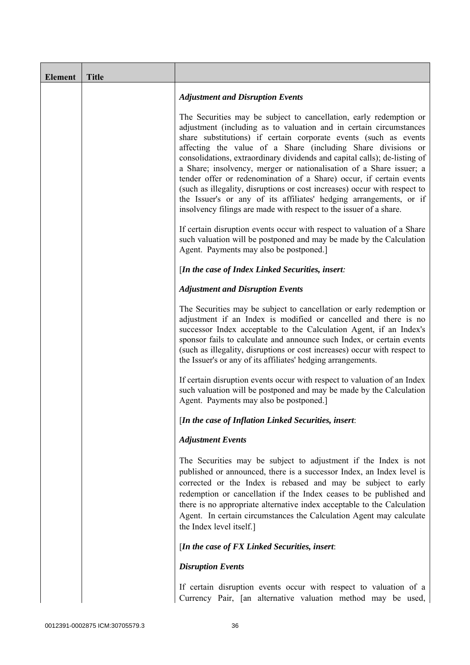| <b>Element</b> | <b>Title</b> |                                                                                                                                                                                                                                                                                                                                                                                                                                                                                                                                                                                                                                                                                                                                  |
|----------------|--------------|----------------------------------------------------------------------------------------------------------------------------------------------------------------------------------------------------------------------------------------------------------------------------------------------------------------------------------------------------------------------------------------------------------------------------------------------------------------------------------------------------------------------------------------------------------------------------------------------------------------------------------------------------------------------------------------------------------------------------------|
|                |              | <b>Adjustment and Disruption Events</b>                                                                                                                                                                                                                                                                                                                                                                                                                                                                                                                                                                                                                                                                                          |
|                |              | The Securities may be subject to cancellation, early redemption or<br>adjustment (including as to valuation and in certain circumstances<br>share substitutions) if certain corporate events (such as events<br>affecting the value of a Share (including Share divisions or<br>consolidations, extraordinary dividends and capital calls); de-listing of<br>a Share; insolvency, merger or nationalisation of a Share issuer; a<br>tender offer or redenomination of a Share) occur, if certain events<br>(such as illegality, disruptions or cost increases) occur with respect to<br>the Issuer's or any of its affiliates' hedging arrangements, or if<br>insolvency filings are made with respect to the issuer of a share. |
|                |              | If certain disruption events occur with respect to valuation of a Share<br>such valuation will be postponed and may be made by the Calculation<br>Agent. Payments may also be postponed.]                                                                                                                                                                                                                                                                                                                                                                                                                                                                                                                                        |
|                |              | [In the case of Index Linked Securities, insert:                                                                                                                                                                                                                                                                                                                                                                                                                                                                                                                                                                                                                                                                                 |
|                |              | <b>Adjustment and Disruption Events</b>                                                                                                                                                                                                                                                                                                                                                                                                                                                                                                                                                                                                                                                                                          |
|                |              | The Securities may be subject to cancellation or early redemption or<br>adjustment if an Index is modified or cancelled and there is no<br>successor Index acceptable to the Calculation Agent, if an Index's<br>sponsor fails to calculate and announce such Index, or certain events<br>(such as illegality, disruptions or cost increases) occur with respect to<br>the Issuer's or any of its affiliates' hedging arrangements.                                                                                                                                                                                                                                                                                              |
|                |              | If certain disruption events occur with respect to valuation of an Index<br>such valuation will be postponed and may be made by the Calculation<br>Agent. Payments may also be postponed.]                                                                                                                                                                                                                                                                                                                                                                                                                                                                                                                                       |
|                |              | [In the case of Inflation Linked Securities, insert:                                                                                                                                                                                                                                                                                                                                                                                                                                                                                                                                                                                                                                                                             |
|                |              | <b>Adjustment Events</b>                                                                                                                                                                                                                                                                                                                                                                                                                                                                                                                                                                                                                                                                                                         |
|                |              | The Securities may be subject to adjustment if the Index is not<br>published or announced, there is a successor Index, an Index level is<br>corrected or the Index is rebased and may be subject to early<br>redemption or cancellation if the Index ceases to be published and<br>there is no appropriate alternative index acceptable to the Calculation<br>Agent. In certain circumstances the Calculation Agent may calculate<br>the Index level itself.]                                                                                                                                                                                                                                                                    |
|                |              | [In the case of FX Linked Securities, insert:                                                                                                                                                                                                                                                                                                                                                                                                                                                                                                                                                                                                                                                                                    |
|                |              | <b>Disruption Events</b>                                                                                                                                                                                                                                                                                                                                                                                                                                                                                                                                                                                                                                                                                                         |
|                |              | If certain disruption events occur with respect to valuation of a<br>Currency Pair, [an alternative valuation method may be used,                                                                                                                                                                                                                                                                                                                                                                                                                                                                                                                                                                                                |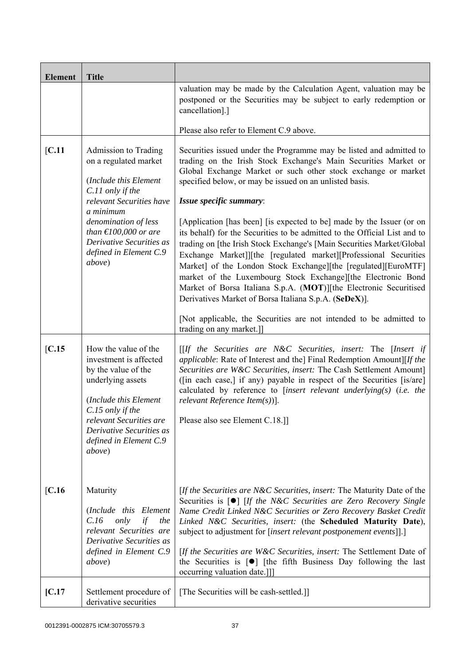| <b>Element</b>        | <b>Title</b>                                                                                                                                                                                                                                                             |                                                                                                                                                                                                                                                                                                                                                                                                                                                                                                                                                                                                                                                                                                                                                                                                                                                                                                                                        |  |
|-----------------------|--------------------------------------------------------------------------------------------------------------------------------------------------------------------------------------------------------------------------------------------------------------------------|----------------------------------------------------------------------------------------------------------------------------------------------------------------------------------------------------------------------------------------------------------------------------------------------------------------------------------------------------------------------------------------------------------------------------------------------------------------------------------------------------------------------------------------------------------------------------------------------------------------------------------------------------------------------------------------------------------------------------------------------------------------------------------------------------------------------------------------------------------------------------------------------------------------------------------------|--|
|                       |                                                                                                                                                                                                                                                                          | valuation may be made by the Calculation Agent, valuation may be<br>postponed or the Securities may be subject to early redemption or<br>cancellation].]                                                                                                                                                                                                                                                                                                                                                                                                                                                                                                                                                                                                                                                                                                                                                                               |  |
|                       |                                                                                                                                                                                                                                                                          | Please also refer to Element C.9 above.                                                                                                                                                                                                                                                                                                                                                                                                                                                                                                                                                                                                                                                                                                                                                                                                                                                                                                |  |
| [C.11]                | Admission to Trading<br>on a regulated market<br>(Include this Element<br>C.11 only if the<br>relevant Securities have<br>a minimum<br>denomination of less<br>than $\text{\textsterling}100,000$ or are<br>Derivative Securities as<br>defined in Element C.9<br>above) | Securities issued under the Programme may be listed and admitted to<br>trading on the Irish Stock Exchange's Main Securities Market or<br>Global Exchange Market or such other stock exchange or market<br>specified below, or may be issued on an unlisted basis.<br>Issue specific summary:<br>[Application [has been] [is expected to be] made by the Issuer (or on<br>its behalf) for the Securities to be admitted to the Official List and to<br>trading on [the Irish Stock Exchange's [Main Securities Market/Global<br>Exchange Market]][the [regulated market][Professional Securities<br>Market] of the London Stock Exchange][the [regulated][EuroMTF]<br>market of the Luxembourg Stock Exchange][the Electronic Bond<br>Market of Borsa Italiana S.p.A. (MOT)][the Electronic Securitised<br>Derivatives Market of Borsa Italiana S.p.A. (SeDeX)].<br>[Not applicable, the Securities are not intended to be admitted to |  |
|                       |                                                                                                                                                                                                                                                                          | trading on any market.]]                                                                                                                                                                                                                                                                                                                                                                                                                                                                                                                                                                                                                                                                                                                                                                                                                                                                                                               |  |
| IC.15                 | How the value of the<br>investment is affected<br>by the value of the<br>underlying assets<br>(Include this Element<br>C.15 only if the<br>relevant Securities are<br>Derivative Securities as<br>defined in Element C.9<br><i>above</i> )                               | $[If the Securities are N&C Securities, insert: The [Insert if]$<br><i>applicable:</i> Rate of Interest and the] Final Redemption Amount][If the<br>Securities are W&C Securities, insert: The Cash Settlement Amount]<br>([in each case,] if any) payable in respect of the Securities [is/are]<br>calculated by reference to [insert relevant underlying(s) (i.e. the<br>$relevant$ Reference Item $(s)$ ].<br>Please also see Element C.18.]]                                                                                                                                                                                                                                                                                                                                                                                                                                                                                       |  |
| $\left[ C.16 \right]$ | Maturity<br>(Include this Element<br>C.16<br>only<br>if<br>the<br>relevant Securities are<br>Derivative Securities as<br>defined in Element C.9<br><i>above</i> )                                                                                                        | [If the Securities are N&C Securities, insert: The Maturity Date of the<br>Securities is $\lceil \bullet \rceil$ <i>If the N&amp;C Securities are Zero Recovery Single</i><br>Name Credit Linked N&C Securities or Zero Recovery Basket Credit<br>Linked N&C Securities, insert: (the Scheduled Maturity Date),<br>subject to adjustment for [insert relevant postponement events]].]<br>[If the Securities are W&C Securities, insert: The Settlement Date of<br>the Securities is $\lceil \bullet \rceil$ [the fifth Business Day following the last<br>occurring valuation date.]]]                                                                                                                                                                                                                                                                                                                                                 |  |
| [C.17]                | Settlement procedure of<br>derivative securities                                                                                                                                                                                                                         | [The Securities will be cash-settled.]]                                                                                                                                                                                                                                                                                                                                                                                                                                                                                                                                                                                                                                                                                                                                                                                                                                                                                                |  |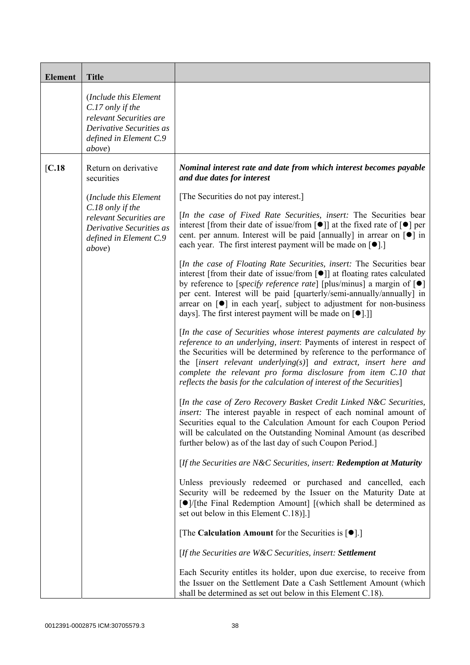| <b>Element</b> | <b>Title</b>                                                                                                                         |                                                                                                                                                                                                                                                                                                                                                                                                                                                                             |
|----------------|--------------------------------------------------------------------------------------------------------------------------------------|-----------------------------------------------------------------------------------------------------------------------------------------------------------------------------------------------------------------------------------------------------------------------------------------------------------------------------------------------------------------------------------------------------------------------------------------------------------------------------|
|                | (Include this Element<br>C.17 only if the<br>relevant Securities are<br>Derivative Securities as<br>defined in Element C.9<br>above) |                                                                                                                                                                                                                                                                                                                                                                                                                                                                             |
| [C.18]         | Return on derivative<br>securities                                                                                                   | Nominal interest rate and date from which interest becomes payable<br>and due dates for interest                                                                                                                                                                                                                                                                                                                                                                            |
|                | (Include this Element                                                                                                                | [The Securities do not pay interest.]                                                                                                                                                                                                                                                                                                                                                                                                                                       |
|                | C.18 only if the<br>relevant Securities are<br>Derivative Securities as<br>defined in Element C.9<br>above)                          | [In the case of Fixed Rate Securities, insert: The Securities bear<br>interest [from their date of issue/from $\lceil \bullet \rceil$ ] at the fixed rate of $\lceil \bullet \rceil$ per<br>cent. per annum. Interest will be paid [annually] in arrear on $\lceil \bullet \rceil$ in<br>each year. The first interest payment will be made on $[\bullet]$ .                                                                                                                |
|                |                                                                                                                                      | [In the case of Floating Rate Securities, insert: The Securities bear<br>interest [from their date of issue/from [ $\bullet$ ]] at floating rates calculated<br>by reference to [specify reference rate] [plus/minus] a margin of $[\bullet]$<br>per cent. Interest will be paid [quarterly/semi-annually/annually] in<br>arrear on [ $\bullet$ ] in each year[, subject to adjustment for non-business<br>days]. The first interest payment will be made on $[\bullet]$ .] |
|                |                                                                                                                                      | [In the case of Securities whose interest payments are calculated by<br>reference to an underlying, insert: Payments of interest in respect of<br>the Securities will be determined by reference to the performance of<br>the $[insert$ relevant underlying $(s)$ ] and extract, insert here and<br>complete the relevant pro forma disclosure from item C.10 that<br>reflects the basis for the calculation of interest of the Securities]                                 |
|                |                                                                                                                                      | [In the case of Zero Recovery Basket Credit Linked N&C Securities,<br><i>insert:</i> The interest payable in respect of each nominal amount of<br>Securities equal to the Calculation Amount for each Coupon Period<br>will be calculated on the Outstanding Nominal Amount (as described<br>further below) as of the last day of such Coupon Period.]                                                                                                                      |
|                |                                                                                                                                      | [If the Securities are N&C Securities, insert: Redemption at Maturity                                                                                                                                                                                                                                                                                                                                                                                                       |
|                |                                                                                                                                      | Unless previously redeemed or purchased and cancelled, each<br>Security will be redeemed by the Issuer on the Maturity Date at<br>$\lceil \bullet \rceil$ [the Final Redemption Amount] [(which shall be determined as<br>set out below in this Element C.18)].]                                                                                                                                                                                                            |
|                |                                                                                                                                      | [The Calculation Amount for the Securities is $[•]$ .]                                                                                                                                                                                                                                                                                                                                                                                                                      |
|                |                                                                                                                                      | [If the Securities are W&C Securities, insert: Settlement                                                                                                                                                                                                                                                                                                                                                                                                                   |
|                |                                                                                                                                      | Each Security entitles its holder, upon due exercise, to receive from<br>the Issuer on the Settlement Date a Cash Settlement Amount (which<br>shall be determined as set out below in this Element C.18).                                                                                                                                                                                                                                                                   |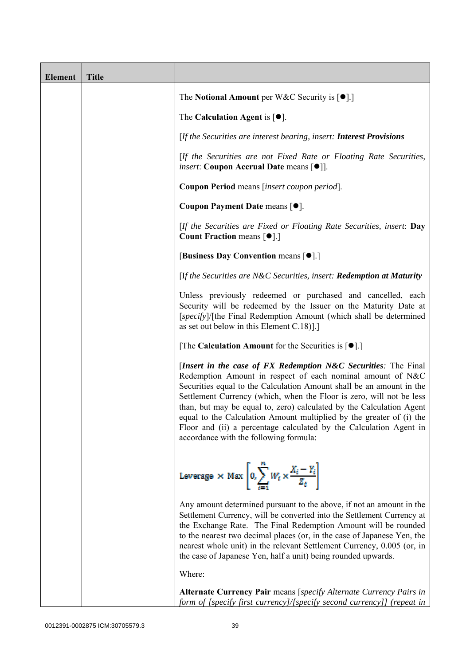| <b>Element</b> | <b>Title</b> |                                                                                                                                                                                                                                                                                                                                                                                                                                                                                                                                              |
|----------------|--------------|----------------------------------------------------------------------------------------------------------------------------------------------------------------------------------------------------------------------------------------------------------------------------------------------------------------------------------------------------------------------------------------------------------------------------------------------------------------------------------------------------------------------------------------------|
|                |              | The Notional Amount per W&C Security is $[•]$ .                                                                                                                                                                                                                                                                                                                                                                                                                                                                                              |
|                |              | The Calculation Agent is $[•]$ .                                                                                                                                                                                                                                                                                                                                                                                                                                                                                                             |
|                |              | [If the Securities are interest bearing, insert: Interest Provisions                                                                                                                                                                                                                                                                                                                                                                                                                                                                         |
|                |              | [If the Securities are not Fixed Rate or Floating Rate Securities,<br><i>insert</i> : Coupon Accrual Date means [ $\bullet$ ].                                                                                                                                                                                                                                                                                                                                                                                                               |
|                |              | Coupon Period means [insert coupon period].                                                                                                                                                                                                                                                                                                                                                                                                                                                                                                  |
|                |              | Coupon Payment Date means [ $\bullet$ ].                                                                                                                                                                                                                                                                                                                                                                                                                                                                                                     |
|                |              | [If the Securities are Fixed or Floating Rate Securities, insert: Day<br><b>Count Fraction means <math>[\bullet]</math>.</b> ]                                                                                                                                                                                                                                                                                                                                                                                                               |
|                |              | [Business Day Convention means [ $\bullet$ ].]                                                                                                                                                                                                                                                                                                                                                                                                                                                                                               |
|                |              | [If the Securities are N&C Securities, insert: Redemption at Maturity                                                                                                                                                                                                                                                                                                                                                                                                                                                                        |
|                |              | Unless previously redeemed or purchased and cancelled, each<br>Security will be redeemed by the Issuer on the Maturity Date at<br>[specify]/[the Final Redemption Amount (which shall be determined<br>as set out below in this Element $C.18$ ].                                                                                                                                                                                                                                                                                            |
|                |              | [The Calculation Amount for the Securities is $[•]$ .]                                                                                                                                                                                                                                                                                                                                                                                                                                                                                       |
|                |              | [Insert in the case of FX Redemption N&C Securities: The Final<br>Redemption Amount in respect of each nominal amount of N&C<br>Securities equal to the Calculation Amount shall be an amount in the<br>Settlement Currency (which, when the Floor is zero, will not be less<br>than, but may be equal to, zero) calculated by the Calculation Agent<br>equal to the Calculation Amount multiplied by the greater of (i) the<br>Floor and (ii) a percentage calculated by the Calculation Agent in<br>accordance with the following formula: |
|                |              | Leverage $\times$ Max $\left  0 \right\rangle_{i=1}^{N} W_t \times \frac{X_i - Y_i}{Z_t}$                                                                                                                                                                                                                                                                                                                                                                                                                                                    |
|                |              | Any amount determined pursuant to the above, if not an amount in the<br>Settlement Currency, will be converted into the Settlement Currency at<br>the Exchange Rate. The Final Redemption Amount will be rounded<br>to the nearest two decimal places (or, in the case of Japanese Yen, the<br>nearest whole unit) in the relevant Settlement Currency, 0.005 (or, in<br>the case of Japanese Yen, half a unit) being rounded upwards.                                                                                                       |
|                |              | Where:                                                                                                                                                                                                                                                                                                                                                                                                                                                                                                                                       |
|                |              | Alternate Currency Pair means [specify Alternate Currency Pairs in<br>form of [specify first currency]/[specify second currency]] (repeat in                                                                                                                                                                                                                                                                                                                                                                                                 |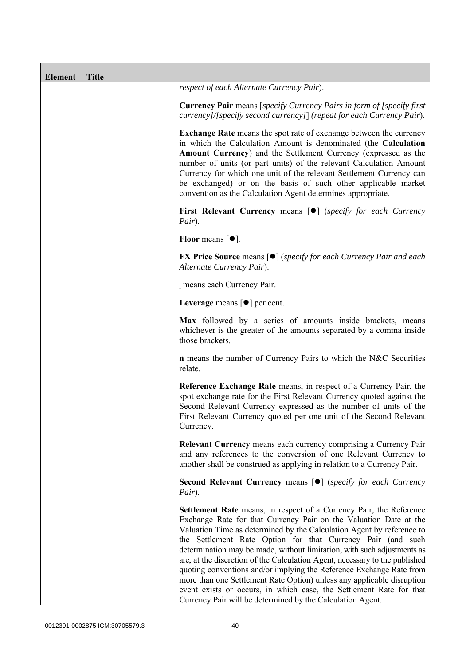| <b>Element</b> | <b>Title</b> |                                                                                                                                                                                                                                                                                                                                                                                                                                                                                                                                                                                                                                                                                                                                   |
|----------------|--------------|-----------------------------------------------------------------------------------------------------------------------------------------------------------------------------------------------------------------------------------------------------------------------------------------------------------------------------------------------------------------------------------------------------------------------------------------------------------------------------------------------------------------------------------------------------------------------------------------------------------------------------------------------------------------------------------------------------------------------------------|
|                |              | respect of each Alternate Currency Pair).                                                                                                                                                                                                                                                                                                                                                                                                                                                                                                                                                                                                                                                                                         |
|                |              | <b>Currency Pair</b> means [specify Currency Pairs in form of [specify first]<br>currency]/[specify second currency]] (repeat for each Currency Pair).                                                                                                                                                                                                                                                                                                                                                                                                                                                                                                                                                                            |
|                |              | Exchange Rate means the spot rate of exchange between the currency<br>in which the Calculation Amount is denominated (the Calculation<br>Amount Currency) and the Settlement Currency (expressed as the<br>number of units (or part units) of the relevant Calculation Amount<br>Currency for which one unit of the relevant Settlement Currency can<br>be exchanged) or on the basis of such other applicable market<br>convention as the Calculation Agent determines appropriate.                                                                                                                                                                                                                                              |
|                |              | First Relevant Currency means [ $\bullet$ ] (specify for each Currency<br>Pair).                                                                                                                                                                                                                                                                                                                                                                                                                                                                                                                                                                                                                                                  |
|                |              | Floor means $[•]$ .                                                                                                                                                                                                                                                                                                                                                                                                                                                                                                                                                                                                                                                                                                               |
|                |              | <b>FX Price Source</b> means $\lceil \bullet \rceil$ (specify for each Currency Pair and each<br>Alternate Currency Pair).                                                                                                                                                                                                                                                                                                                                                                                                                                                                                                                                                                                                        |
|                |              | i means each Currency Pair.                                                                                                                                                                                                                                                                                                                                                                                                                                                                                                                                                                                                                                                                                                       |
|                |              | Leverage means $\lceil \bullet \rceil$ per cent.                                                                                                                                                                                                                                                                                                                                                                                                                                                                                                                                                                                                                                                                                  |
|                |              | Max followed by a series of amounts inside brackets, means<br>whichever is the greater of the amounts separated by a comma inside<br>those brackets.                                                                                                                                                                                                                                                                                                                                                                                                                                                                                                                                                                              |
|                |              | <b>n</b> means the number of Currency Pairs to which the N&C Securities<br>relate.                                                                                                                                                                                                                                                                                                                                                                                                                                                                                                                                                                                                                                                |
|                |              | Reference Exchange Rate means, in respect of a Currency Pair, the<br>spot exchange rate for the First Relevant Currency quoted against the<br>Second Relevant Currency expressed as the number of units of the<br>First Relevant Currency quoted per one unit of the Second Relevant<br>Currency.                                                                                                                                                                                                                                                                                                                                                                                                                                 |
|                |              | <b>Relevant Currency</b> means each currency comprising a Currency Pair<br>and any references to the conversion of one Relevant Currency to<br>another shall be construed as applying in relation to a Currency Pair.                                                                                                                                                                                                                                                                                                                                                                                                                                                                                                             |
|                |              | Second Relevant Currency means [ $\bullet$ ] (specify for each Currency<br>Pair).                                                                                                                                                                                                                                                                                                                                                                                                                                                                                                                                                                                                                                                 |
|                |              | Settlement Rate means, in respect of a Currency Pair, the Reference<br>Exchange Rate for that Currency Pair on the Valuation Date at the<br>Valuation Time as determined by the Calculation Agent by reference to<br>the Settlement Rate Option for that Currency Pair (and such<br>determination may be made, without limitation, with such adjustments as<br>are, at the discretion of the Calculation Agent, necessary to the published<br>quoting conventions and/or implying the Reference Exchange Rate from<br>more than one Settlement Rate Option) unless any applicable disruption<br>event exists or occurs, in which case, the Settlement Rate for that<br>Currency Pair will be determined by the Calculation Agent. |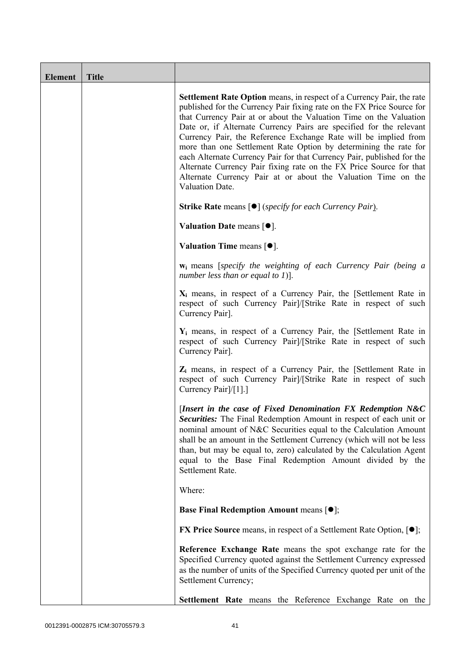| <b>Element</b> | <b>Title</b> |                                                                                                                                                                                                                                                                                                                                                                                                                                                                                                                                                                                                                                                                                 |
|----------------|--------------|---------------------------------------------------------------------------------------------------------------------------------------------------------------------------------------------------------------------------------------------------------------------------------------------------------------------------------------------------------------------------------------------------------------------------------------------------------------------------------------------------------------------------------------------------------------------------------------------------------------------------------------------------------------------------------|
|                |              | <b>Settlement Rate Option</b> means, in respect of a Currency Pair, the rate<br>published for the Currency Pair fixing rate on the FX Price Source for<br>that Currency Pair at or about the Valuation Time on the Valuation<br>Date or, if Alternate Currency Pairs are specified for the relevant<br>Currency Pair, the Reference Exchange Rate will be implied from<br>more than one Settlement Rate Option by determining the rate for<br>each Alternate Currency Pair for that Currency Pair, published for the<br>Alternate Currency Pair fixing rate on the FX Price Source for that<br>Alternate Currency Pair at or about the Valuation Time on the<br>Valuation Date. |
|                |              | <b>Strike Rate</b> means $\lceil \bullet \rceil$ ( <i>specify for each Currency Pair</i> ).                                                                                                                                                                                                                                                                                                                                                                                                                                                                                                                                                                                     |
|                |              | Valuation Date means $[•]$ .                                                                                                                                                                                                                                                                                                                                                                                                                                                                                                                                                                                                                                                    |
|                |              | Valuation Time means $[•]$ .                                                                                                                                                                                                                                                                                                                                                                                                                                                                                                                                                                                                                                                    |
|                |              | <b>w</b> <sub>i</sub> means [specify the weighting of each Currency Pair (being a<br>number less than or equal to 1)].                                                                                                                                                                                                                                                                                                                                                                                                                                                                                                                                                          |
|                |              | $X_i$ means, in respect of a Currency Pair, the [Settlement Rate in<br>respect of such Currency Pairl/[Strike Rate in respect of such<br>Currency Pair].                                                                                                                                                                                                                                                                                                                                                                                                                                                                                                                        |
|                |              | $Y_i$ means, in respect of a Currency Pair, the [Settlement Rate in<br>respect of such Currency Pair]/[Strike Rate in respect of such<br>Currency Pair].                                                                                                                                                                                                                                                                                                                                                                                                                                                                                                                        |
|                |              | $Z_i$ means, in respect of a Currency Pair, the [Settlement Rate in<br>respect of such Currency Pair]/[Strike Rate in respect of such<br>Currency Pair]/[1].]                                                                                                                                                                                                                                                                                                                                                                                                                                                                                                                   |
|                |              | [Insert in the case of Fixed Denomination FX Redemption $N&C$<br><b>Securities:</b> The Final Redemption Amount in respect of each unit or<br>nominal amount of N&C Securities equal to the Calculation Amount<br>shall be an amount in the Settlement Currency (which will not be less<br>than, but may be equal to, zero) calculated by the Calculation Agent<br>equal to the Base Final Redemption Amount divided by the<br>Settlement Rate.                                                                                                                                                                                                                                 |
|                |              | Where:                                                                                                                                                                                                                                                                                                                                                                                                                                                                                                                                                                                                                                                                          |
|                |              | <b>Base Final Redemption Amount means [O];</b>                                                                                                                                                                                                                                                                                                                                                                                                                                                                                                                                                                                                                                  |
|                |              | <b>FX Price Source</b> means, in respect of a Settlement Rate Option, $[•]$ ;                                                                                                                                                                                                                                                                                                                                                                                                                                                                                                                                                                                                   |
|                |              | Reference Exchange Rate means the spot exchange rate for the<br>Specified Currency quoted against the Settlement Currency expressed<br>as the number of units of the Specified Currency quoted per unit of the<br>Settlement Currency;                                                                                                                                                                                                                                                                                                                                                                                                                                          |
|                |              | Settlement Rate means the Reference Exchange Rate on the                                                                                                                                                                                                                                                                                                                                                                                                                                                                                                                                                                                                                        |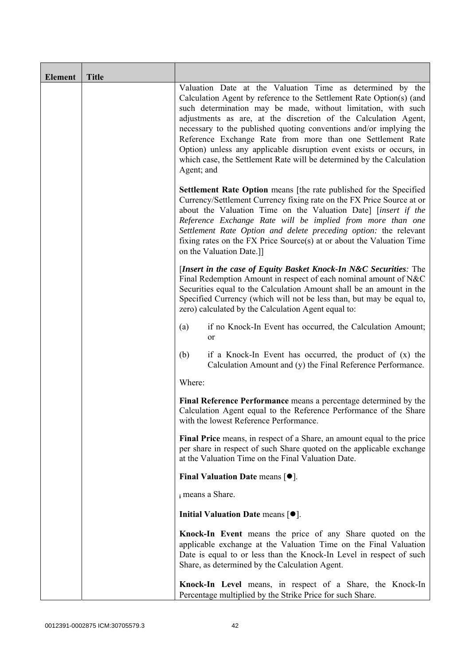| <b>Element</b> | <b>Title</b> |                                                                                                                                                                                                                                                                                                                                                                                                                                                                                                                                                                         |
|----------------|--------------|-------------------------------------------------------------------------------------------------------------------------------------------------------------------------------------------------------------------------------------------------------------------------------------------------------------------------------------------------------------------------------------------------------------------------------------------------------------------------------------------------------------------------------------------------------------------------|
|                |              | Valuation Date at the Valuation Time as determined by the<br>Calculation Agent by reference to the Settlement Rate Option(s) (and<br>such determination may be made, without limitation, with such<br>adjustments as are, at the discretion of the Calculation Agent,<br>necessary to the published quoting conventions and/or implying the<br>Reference Exchange Rate from more than one Settlement Rate<br>Option) unless any applicable disruption event exists or occurs, in<br>which case, the Settlement Rate will be determined by the Calculation<br>Agent; and |
|                |              | <b>Settlement Rate Option</b> means [the rate published for the Specified<br>Currency/Settlement Currency fixing rate on the FX Price Source at or<br>about the Valuation Time on the Valuation Date] [insert if the<br>Reference Exchange Rate will be implied from more than one<br>Settlement Rate Option and delete preceding option: the relevant<br>fixing rates on the FX Price Source(s) at or about the Valuation Time<br>on the Valuation Date.]]                                                                                                             |
|                |              | [Insert in the case of Equity Basket Knock-In N&C Securities: The<br>Final Redemption Amount in respect of each nominal amount of N&C<br>Securities equal to the Calculation Amount shall be an amount in the<br>Specified Currency (which will not be less than, but may be equal to,<br>zero) calculated by the Calculation Agent equal to:                                                                                                                                                                                                                           |
|                |              | if no Knock-In Event has occurred, the Calculation Amount;<br>(a)<br>0r                                                                                                                                                                                                                                                                                                                                                                                                                                                                                                 |
|                |              | (b)<br>if a Knock-In Event has occurred, the product of $(x)$ the<br>Calculation Amount and (y) the Final Reference Performance.                                                                                                                                                                                                                                                                                                                                                                                                                                        |
|                |              | Where:                                                                                                                                                                                                                                                                                                                                                                                                                                                                                                                                                                  |
|                |              | Final Reference Performance means a percentage determined by the<br>Calculation Agent equal to the Reference Performance of the Share<br>with the lowest Reference Performance.                                                                                                                                                                                                                                                                                                                                                                                         |
|                |              | Final Price means, in respect of a Share, an amount equal to the price<br>per share in respect of such Share quoted on the applicable exchange<br>at the Valuation Time on the Final Valuation Date.                                                                                                                                                                                                                                                                                                                                                                    |
|                |              | Final Valuation Date means $[•]$ .                                                                                                                                                                                                                                                                                                                                                                                                                                                                                                                                      |
|                |              | i means a Share.                                                                                                                                                                                                                                                                                                                                                                                                                                                                                                                                                        |
|                |              | Initial Valuation Date means $[•]$ .                                                                                                                                                                                                                                                                                                                                                                                                                                                                                                                                    |
|                |              | Knock-In Event means the price of any Share quoted on the<br>applicable exchange at the Valuation Time on the Final Valuation<br>Date is equal to or less than the Knock-In Level in respect of such<br>Share, as determined by the Calculation Agent.                                                                                                                                                                                                                                                                                                                  |
|                |              | Knock-In Level means, in respect of a Share, the Knock-In<br>Percentage multiplied by the Strike Price for such Share.                                                                                                                                                                                                                                                                                                                                                                                                                                                  |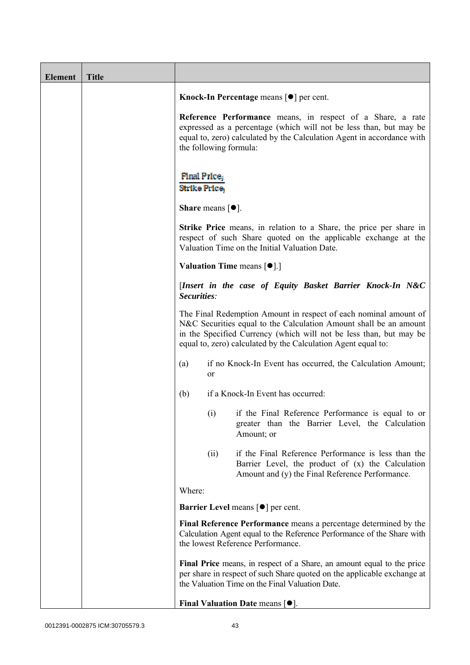| <b>Element</b> | <b>Title</b> |                                                               |                                                                                                                                                                                                             |
|----------------|--------------|---------------------------------------------------------------|-------------------------------------------------------------------------------------------------------------------------------------------------------------------------------------------------------------|
|                |              | Knock-In Percentage means $\lceil \bullet \rceil$ per cent.   |                                                                                                                                                                                                             |
|                |              | the following formula:                                        | Reference Performance means, in respect of a Share, a rate<br>expressed as a percentage (which will not be less than, but may be<br>equal to, zero) calculated by the Calculation Agent in accordance with  |
|                |              | <b>Final Price</b> ;<br>Strike Price,                         |                                                                                                                                                                                                             |
|                |              | <b>Share</b> means $\lceil \bullet \rceil$ .                  |                                                                                                                                                                                                             |
|                |              | Valuation Time on the Initial Valuation Date.                 | <b>Strike Price</b> means, in relation to a Share, the price per share in<br>respect of such Share quoted on the applicable exchange at the                                                                 |
|                |              | Valuation Time means [ $\bullet$ ].]                          |                                                                                                                                                                                                             |
|                |              | Securities:                                                   | [Insert in the case of Equity Basket Barrier Knock-In N&C                                                                                                                                                   |
|                |              | equal to, zero) calculated by the Calculation Agent equal to: | The Final Redemption Amount in respect of each nominal amount of<br>N&C Securities equal to the Calculation Amount shall be an amount<br>in the Specified Currency (which will not be less than, but may be |
|                |              | (a)<br>or                                                     | if no Knock-In Event has occurred, the Calculation Amount;                                                                                                                                                  |
|                |              | (b)<br>if a Knock-In Event has occurred:                      |                                                                                                                                                                                                             |
|                |              | (1)<br>Amount; or                                             | if the Final Reference Performance is equal to or<br>greater than the Barrier Level, the Calculation                                                                                                        |
|                |              | (ii)                                                          | if the Final Reference Performance is less than the<br>Barrier Level, the product of (x) the Calculation<br>Amount and (y) the Final Reference Performance.                                                 |
|                |              | Where:                                                        |                                                                                                                                                                                                             |
|                |              | <b>Barrier Level</b> means $\lceil \bullet \rceil$ per cent.  |                                                                                                                                                                                                             |
|                |              | the lowest Reference Performance.                             | Final Reference Performance means a percentage determined by the<br>Calculation Agent equal to the Reference Performance of the Share with                                                                  |
|                |              | the Valuation Time on the Final Valuation Date.               | Final Price means, in respect of a Share, an amount equal to the price<br>per share in respect of such Share quoted on the applicable exchange at                                                           |
|                |              | Final Valuation Date means $[•]$ .                            |                                                                                                                                                                                                             |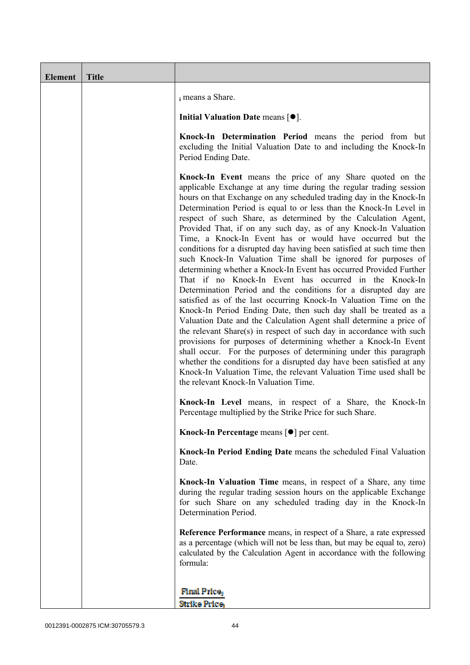| Element | <b>Title</b> |                                                                                                                                                                                                                                                                                                                                                                                                                                                                                                                                                                                                                                                                                                                                                                                                                                                                                                                                                                                                                                                                                                                                                                                                                                                                                                                                                                                                                                                       |
|---------|--------------|-------------------------------------------------------------------------------------------------------------------------------------------------------------------------------------------------------------------------------------------------------------------------------------------------------------------------------------------------------------------------------------------------------------------------------------------------------------------------------------------------------------------------------------------------------------------------------------------------------------------------------------------------------------------------------------------------------------------------------------------------------------------------------------------------------------------------------------------------------------------------------------------------------------------------------------------------------------------------------------------------------------------------------------------------------------------------------------------------------------------------------------------------------------------------------------------------------------------------------------------------------------------------------------------------------------------------------------------------------------------------------------------------------------------------------------------------------|
|         |              | i means a Share.                                                                                                                                                                                                                                                                                                                                                                                                                                                                                                                                                                                                                                                                                                                                                                                                                                                                                                                                                                                                                                                                                                                                                                                                                                                                                                                                                                                                                                      |
|         |              | Initial Valuation Date means $[•]$ .                                                                                                                                                                                                                                                                                                                                                                                                                                                                                                                                                                                                                                                                                                                                                                                                                                                                                                                                                                                                                                                                                                                                                                                                                                                                                                                                                                                                                  |
|         |              | Knock-In Determination Period means the period from but<br>excluding the Initial Valuation Date to and including the Knock-In<br>Period Ending Date.                                                                                                                                                                                                                                                                                                                                                                                                                                                                                                                                                                                                                                                                                                                                                                                                                                                                                                                                                                                                                                                                                                                                                                                                                                                                                                  |
|         |              | Knock-In Event means the price of any Share quoted on the<br>applicable Exchange at any time during the regular trading session<br>hours on that Exchange on any scheduled trading day in the Knock-In<br>Determination Period is equal to or less than the Knock-In Level in<br>respect of such Share, as determined by the Calculation Agent,<br>Provided That, if on any such day, as of any Knock-In Valuation<br>Time, a Knock-In Event has or would have occurred but the<br>conditions for a disrupted day having been satisfied at such time then<br>such Knock-In Valuation Time shall be ignored for purposes of<br>determining whether a Knock-In Event has occurred Provided Further<br>That if no Knock-In Event has occurred in the Knock-In<br>Determination Period and the conditions for a disrupted day are<br>satisfied as of the last occurring Knock-In Valuation Time on the<br>Knock-In Period Ending Date, then such day shall be treated as a<br>Valuation Date and the Calculation Agent shall determine a price of<br>the relevant Share(s) in respect of such day in accordance with such<br>provisions for purposes of determining whether a Knock-In Event<br>shall occur. For the purposes of determining under this paragraph<br>whether the conditions for a disrupted day have been satisfied at any<br>Knock-In Valuation Time, the relevant Valuation Time used shall be<br>the relevant Knock-In Valuation Time. |
|         |              | Knock-In Level means, in respect of a Share, the Knock-In<br>Percentage multiplied by the Strike Price for such Share.                                                                                                                                                                                                                                                                                                                                                                                                                                                                                                                                                                                                                                                                                                                                                                                                                                                                                                                                                                                                                                                                                                                                                                                                                                                                                                                                |
|         |              | Knock-In Percentage means [●] per cent.                                                                                                                                                                                                                                                                                                                                                                                                                                                                                                                                                                                                                                                                                                                                                                                                                                                                                                                                                                                                                                                                                                                                                                                                                                                                                                                                                                                                               |
|         |              | Knock-In Period Ending Date means the scheduled Final Valuation<br>Date.                                                                                                                                                                                                                                                                                                                                                                                                                                                                                                                                                                                                                                                                                                                                                                                                                                                                                                                                                                                                                                                                                                                                                                                                                                                                                                                                                                              |
|         |              | Knock-In Valuation Time means, in respect of a Share, any time<br>during the regular trading session hours on the applicable Exchange<br>for such Share on any scheduled trading day in the Knock-In<br>Determination Period.                                                                                                                                                                                                                                                                                                                                                                                                                                                                                                                                                                                                                                                                                                                                                                                                                                                                                                                                                                                                                                                                                                                                                                                                                         |
|         |              | Reference Performance means, in respect of a Share, a rate expressed<br>as a percentage (which will not be less than, but may be equal to, zero)<br>calculated by the Calculation Agent in accordance with the following<br>formula:                                                                                                                                                                                                                                                                                                                                                                                                                                                                                                                                                                                                                                                                                                                                                                                                                                                                                                                                                                                                                                                                                                                                                                                                                  |
|         |              | <b>Final Price</b><br>Strike Price,                                                                                                                                                                                                                                                                                                                                                                                                                                                                                                                                                                                                                                                                                                                                                                                                                                                                                                                                                                                                                                                                                                                                                                                                                                                                                                                                                                                                                   |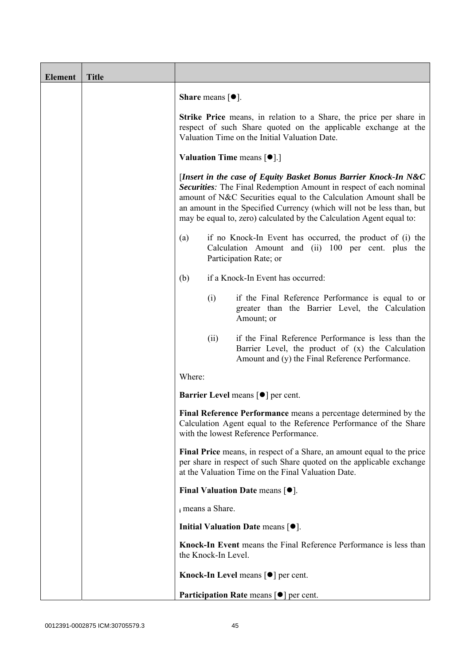| <b>Element</b> | <b>Title</b> |                                                                                                                                                                                                                                                                                                                                                             |                                                                 |                                                                                                                                                                                                      |  |
|----------------|--------------|-------------------------------------------------------------------------------------------------------------------------------------------------------------------------------------------------------------------------------------------------------------------------------------------------------------------------------------------------------------|-----------------------------------------------------------------|------------------------------------------------------------------------------------------------------------------------------------------------------------------------------------------------------|--|
|                |              |                                                                                                                                                                                                                                                                                                                                                             | <b>Share</b> means $[•]$ .                                      |                                                                                                                                                                                                      |  |
|                |              | Strike Price means, in relation to a Share, the price per share in<br>respect of such Share quoted on the applicable exchange at the<br>Valuation Time on the Initial Valuation Date.                                                                                                                                                                       |                                                                 |                                                                                                                                                                                                      |  |
|                |              |                                                                                                                                                                                                                                                                                                                                                             | <b>Valuation Time means <math>\lceil \bullet \rceil</math>.</b> |                                                                                                                                                                                                      |  |
|                |              | [Insert in the case of Equity Basket Bonus Barrier Knock-In N&C<br>Securities: The Final Redemption Amount in respect of each nominal<br>amount of N&C Securities equal to the Calculation Amount shall be<br>an amount in the Specified Currency (which will not be less than, but<br>may be equal to, zero) calculated by the Calculation Agent equal to: |                                                                 |                                                                                                                                                                                                      |  |
|                |              | (a)                                                                                                                                                                                                                                                                                                                                                         |                                                                 | if no Knock-In Event has occurred, the product of (i) the<br>Calculation Amount and (ii) 100 per cent. plus the<br>Participation Rate; or                                                            |  |
|                |              | (b)                                                                                                                                                                                                                                                                                                                                                         |                                                                 | if a Knock-In Event has occurred:                                                                                                                                                                    |  |
|                |              |                                                                                                                                                                                                                                                                                                                                                             | (i)                                                             | if the Final Reference Performance is equal to or<br>greater than the Barrier Level, the Calculation<br>Amount; or                                                                                   |  |
|                |              |                                                                                                                                                                                                                                                                                                                                                             | (ii)                                                            | if the Final Reference Performance is less than the<br>Barrier Level, the product of (x) the Calculation<br>Amount and (y) the Final Reference Performance.                                          |  |
|                |              | Where:                                                                                                                                                                                                                                                                                                                                                      |                                                                 |                                                                                                                                                                                                      |  |
|                |              |                                                                                                                                                                                                                                                                                                                                                             |                                                                 | <b>Barrier Level means [<math>\bullet</math>] per cent.</b>                                                                                                                                          |  |
|                |              |                                                                                                                                                                                                                                                                                                                                                             |                                                                 | Final Reference Performance means a percentage determined by the<br>Calculation Agent equal to the Reference Performance of the Share<br>with the lowest Reference Performance.                      |  |
|                |              |                                                                                                                                                                                                                                                                                                                                                             |                                                                 | Final Price means, in respect of a Share, an amount equal to the price<br>per share in respect of such Share quoted on the applicable exchange<br>at the Valuation Time on the Final Valuation Date. |  |
|                |              |                                                                                                                                                                                                                                                                                                                                                             |                                                                 | Final Valuation Date means $[•]$ .                                                                                                                                                                   |  |
|                |              |                                                                                                                                                                                                                                                                                                                                                             | i means a Share.                                                |                                                                                                                                                                                                      |  |
|                |              |                                                                                                                                                                                                                                                                                                                                                             |                                                                 | Initial Valuation Date means $[•]$ .                                                                                                                                                                 |  |
|                |              |                                                                                                                                                                                                                                                                                                                                                             | the Knock-In Level.                                             | Knock-In Event means the Final Reference Performance is less than                                                                                                                                    |  |
|                |              |                                                                                                                                                                                                                                                                                                                                                             |                                                                 | Knock-In Level means [ $\bullet$ ] per cent.                                                                                                                                                         |  |
|                |              |                                                                                                                                                                                                                                                                                                                                                             |                                                                 | Participation Rate means [ $\bullet$ ] per cent.                                                                                                                                                     |  |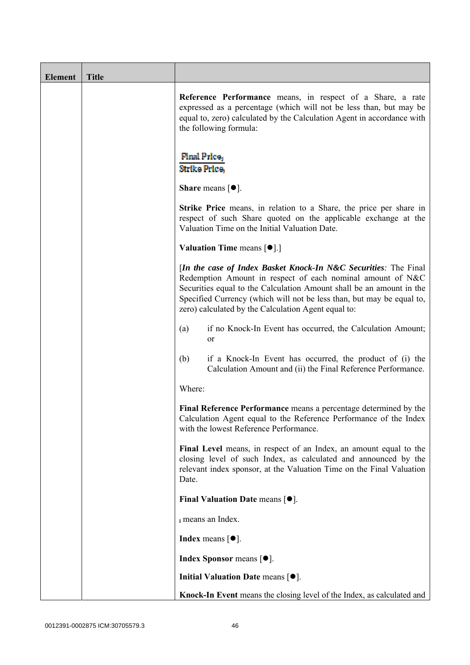| <b>Element</b> | <b>Title</b> |                                                                                                                                                                                                                                                                                                                                       |
|----------------|--------------|---------------------------------------------------------------------------------------------------------------------------------------------------------------------------------------------------------------------------------------------------------------------------------------------------------------------------------------|
|                |              | Reference Performance means, in respect of a Share, a rate<br>expressed as a percentage (which will not be less than, but may be<br>equal to, zero) calculated by the Calculation Agent in accordance with<br>the following formula:                                                                                                  |
|                |              | <b>Final Price</b><br>Strike Price,                                                                                                                                                                                                                                                                                                   |
|                |              | <b>Share</b> means $\lceil \bullet \rceil$ .                                                                                                                                                                                                                                                                                          |
|                |              | <b>Strike Price</b> means, in relation to a Share, the price per share in<br>respect of such Share quoted on the applicable exchange at the<br>Valuation Time on the Initial Valuation Date.                                                                                                                                          |
|                |              | <b>Valuation Time means <math>[\bullet]</math>.</b> ]                                                                                                                                                                                                                                                                                 |
|                |              | [In the case of Index Basket Knock-In N&C Securities: The Final<br>Redemption Amount in respect of each nominal amount of N&C<br>Securities equal to the Calculation Amount shall be an amount in the<br>Specified Currency (which will not be less than, but may be equal to,<br>zero) calculated by the Calculation Agent equal to: |
|                |              | if no Knock-In Event has occurred, the Calculation Amount;<br>(a)<br><sub>or</sub>                                                                                                                                                                                                                                                    |
|                |              | (b)<br>if a Knock-In Event has occurred, the product of (i) the<br>Calculation Amount and (ii) the Final Reference Performance.                                                                                                                                                                                                       |
|                |              | Where:                                                                                                                                                                                                                                                                                                                                |
|                |              | Final Reference Performance means a percentage determined by the<br>Calculation Agent equal to the Reference Performance of the Index<br>with the lowest Reference Performance.                                                                                                                                                       |
|                |              | Final Level means, in respect of an Index, an amount equal to the<br>closing level of such Index, as calculated and announced by the<br>relevant index sponsor, at the Valuation Time on the Final Valuation<br>Date.                                                                                                                 |
|                |              | Final Valuation Date means $[•]$ .                                                                                                                                                                                                                                                                                                    |
|                |              | i means an Index.                                                                                                                                                                                                                                                                                                                     |
|                |              | <b>Index</b> means $[•]$ .                                                                                                                                                                                                                                                                                                            |
|                |              | <b>Index Sponsor</b> means $[•]$ .                                                                                                                                                                                                                                                                                                    |
|                |              | Initial Valuation Date means $[•]$ .                                                                                                                                                                                                                                                                                                  |
|                |              | Knock-In Event means the closing level of the Index, as calculated and                                                                                                                                                                                                                                                                |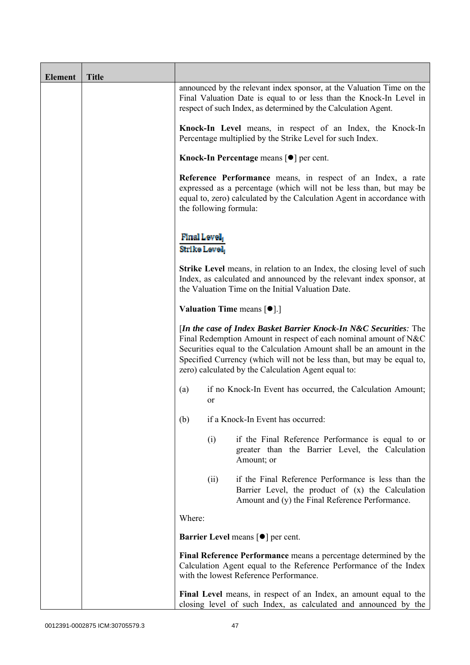| <b>Element</b> | <b>Title</b> |                                                              |                        |                                                                                                                                                                                                                                                                                                                                               |
|----------------|--------------|--------------------------------------------------------------|------------------------|-----------------------------------------------------------------------------------------------------------------------------------------------------------------------------------------------------------------------------------------------------------------------------------------------------------------------------------------------|
|                |              |                                                              |                        | announced by the relevant index sponsor, at the Valuation Time on the<br>Final Valuation Date is equal to or less than the Knock-In Level in<br>respect of such Index, as determined by the Calculation Agent.                                                                                                                                |
|                |              |                                                              |                        | Knock-In Level means, in respect of an Index, the Knock-In<br>Percentage multiplied by the Strike Level for such Index.                                                                                                                                                                                                                       |
|                |              |                                                              |                        | Knock-In Percentage means [ $\bullet$ ] per cent.                                                                                                                                                                                                                                                                                             |
|                |              |                                                              | the following formula: | Reference Performance means, in respect of an Index, a rate<br>expressed as a percentage (which will not be less than, but may be<br>equal to, zero) calculated by the Calculation Agent in accordance with                                                                                                                                   |
|                |              | <b>Final Level</b><br>Strike Level                           |                        |                                                                                                                                                                                                                                                                                                                                               |
|                |              |                                                              |                        | <b>Strike Level</b> means, in relation to an Index, the closing level of such<br>Index, as calculated and announced by the relevant index sponsor, at<br>the Valuation Time on the Initial Valuation Date.                                                                                                                                    |
|                |              |                                                              |                        | <b>Valuation Time means <math>\lceil \bullet \rceil</math>.</b>                                                                                                                                                                                                                                                                               |
|                |              |                                                              |                        | [In the case of Index Basket Barrier Knock-In N&C Securities: The<br>Final Redemption Amount in respect of each nominal amount of N&C<br>Securities equal to the Calculation Amount shall be an amount in the<br>Specified Currency (which will not be less than, but may be equal to,<br>zero) calculated by the Calculation Agent equal to: |
|                |              | (a)                                                          | or                     | if no Knock-In Event has occurred, the Calculation Amount;                                                                                                                                                                                                                                                                                    |
|                |              | (b)                                                          |                        | if a Knock-In Event has occurred:                                                                                                                                                                                                                                                                                                             |
|                |              |                                                              | (i)                    | if the Final Reference Performance is equal to or<br>greater than the Barrier Level, the Calculation<br>Amount; or                                                                                                                                                                                                                            |
|                |              |                                                              | (ii)                   | if the Final Reference Performance is less than the<br>Barrier Level, the product of (x) the Calculation<br>Amount and (y) the Final Reference Performance.                                                                                                                                                                                   |
|                |              | Where:                                                       |                        |                                                                                                                                                                                                                                                                                                                                               |
|                |              | <b>Barrier Level</b> means $\lceil \bullet \rceil$ per cent. |                        |                                                                                                                                                                                                                                                                                                                                               |
|                |              |                                                              |                        | Final Reference Performance means a percentage determined by the<br>Calculation Agent equal to the Reference Performance of the Index<br>with the lowest Reference Performance.                                                                                                                                                               |
|                |              |                                                              |                        | Final Level means, in respect of an Index, an amount equal to the<br>closing level of such Index, as calculated and announced by the                                                                                                                                                                                                          |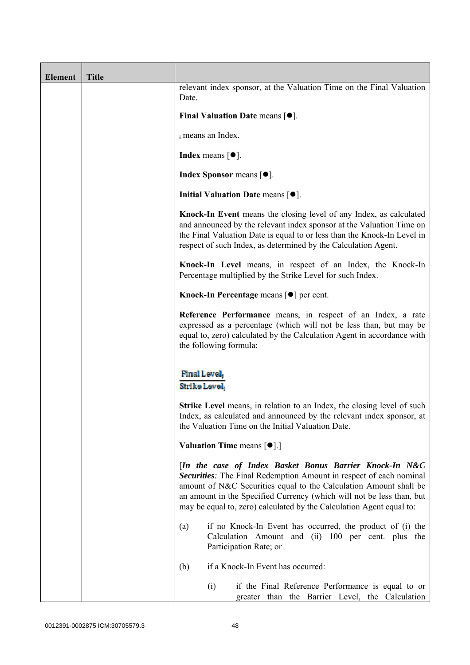| <b>Element</b> | <b>Title</b> |                                                                                                                                                                                                                                                                                                                                                     |
|----------------|--------------|-----------------------------------------------------------------------------------------------------------------------------------------------------------------------------------------------------------------------------------------------------------------------------------------------------------------------------------------------------|
|                |              | relevant index sponsor, at the Valuation Time on the Final Valuation<br>Date.                                                                                                                                                                                                                                                                       |
|                |              | Final Valuation Date means $[•]$ .                                                                                                                                                                                                                                                                                                                  |
|                |              | i means an Index.                                                                                                                                                                                                                                                                                                                                   |
|                |              | <b>Index</b> means $\lceil \bullet \rceil$ .                                                                                                                                                                                                                                                                                                        |
|                |              | <b>Index Sponsor means <math>[•]</math>.</b>                                                                                                                                                                                                                                                                                                        |
|                |              | Initial Valuation Date means $[•]$ .                                                                                                                                                                                                                                                                                                                |
|                |              | Knock-In Event means the closing level of any Index, as calculated<br>and announced by the relevant index sponsor at the Valuation Time on<br>the Final Valuation Date is equal to or less than the Knock-In Level in<br>respect of such Index, as determined by the Calculation Agent.                                                             |
|                |              | Knock-In Level means, in respect of an Index, the Knock-In<br>Percentage multiplied by the Strike Level for such Index.                                                                                                                                                                                                                             |
|                |              | Knock-In Percentage means [●] per cent.                                                                                                                                                                                                                                                                                                             |
|                |              | Reference Performance means, in respect of an Index, a rate<br>expressed as a percentage (which will not be less than, but may be<br>equal to, zero) calculated by the Calculation Agent in accordance with<br>the following formula:                                                                                                               |
|                |              | Final Level,<br>Strike Level.                                                                                                                                                                                                                                                                                                                       |
|                |              | <b>Strike Level</b> means, in relation to an Index, the closing level of such<br>Index, as calculated and announced by the relevant index sponsor, at<br>the Valuation Time on the Initial Valuation Date.                                                                                                                                          |
|                |              | <b>Valuation Time means <math>\lceil \bullet \rceil</math>.</b>                                                                                                                                                                                                                                                                                     |
|                |              | [In the case of Index Basket Bonus Barrier Knock-In N&C<br>Securities: The Final Redemption Amount in respect of each nominal<br>amount of N&C Securities equal to the Calculation Amount shall be<br>an amount in the Specified Currency (which will not be less than, but<br>may be equal to, zero) calculated by the Calculation Agent equal to: |
|                |              | if no Knock-In Event has occurred, the product of (i) the<br>(a)<br>Calculation Amount and (ii) 100 per cent. plus the<br>Participation Rate; or                                                                                                                                                                                                    |
|                |              | if a Knock-In Event has occurred:<br>(b)                                                                                                                                                                                                                                                                                                            |
|                |              | if the Final Reference Performance is equal to or<br>(i)<br>greater than the Barrier Level, the Calculation                                                                                                                                                                                                                                         |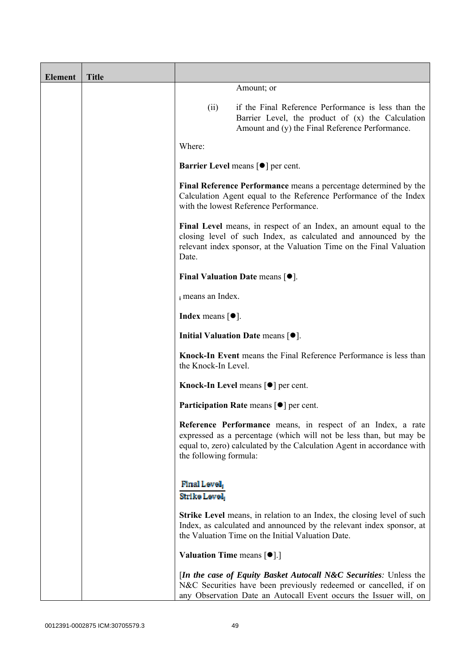| <b>Element</b> | <b>Title</b> |                                                                 |                                                                                                                                                                                                                      |
|----------------|--------------|-----------------------------------------------------------------|----------------------------------------------------------------------------------------------------------------------------------------------------------------------------------------------------------------------|
|                |              |                                                                 | Amount; or                                                                                                                                                                                                           |
|                |              | (ii)                                                            | if the Final Reference Performance is less than the<br>Barrier Level, the product of (x) the Calculation<br>Amount and (y) the Final Reference Performance.                                                          |
|                |              | Where:                                                          |                                                                                                                                                                                                                      |
|                |              |                                                                 | <b>Barrier Level means [<math>\bullet</math>] per cent.</b>                                                                                                                                                          |
|                |              |                                                                 | Final Reference Performance means a percentage determined by the<br>Calculation Agent equal to the Reference Performance of the Index<br>with the lowest Reference Performance.                                      |
|                |              | Date.                                                           | Final Level means, in respect of an Index, an amount equal to the<br>closing level of such Index, as calculated and announced by the<br>relevant index sponsor, at the Valuation Time on the Final Valuation         |
|                |              |                                                                 | <b>Final Valuation Date means <math>[•]</math>.</b>                                                                                                                                                                  |
|                |              | i means an Index.                                               |                                                                                                                                                                                                                      |
|                |              | <b>Index</b> means $\lceil \bullet \rceil$ .                    |                                                                                                                                                                                                                      |
|                |              |                                                                 | Initial Valuation Date means $[•]$ .                                                                                                                                                                                 |
|                |              | the Knock-In Level.                                             | Knock-In Event means the Final Reference Performance is less than                                                                                                                                                    |
|                |              |                                                                 | Knock-In Level means $\lceil \bullet \rceil$ per cent.                                                                                                                                                               |
|                |              |                                                                 | Participation Rate means [ $\bullet$ ] per cent.                                                                                                                                                                     |
|                |              | the following formula:                                          | Reference Performance means, in respect of an Index, a rate<br>expressed as a percentage (which will not be less than, but may be<br>equal to, zero) calculated by the Calculation Agent in accordance with          |
|                |              | Final Level,<br>Strike Level,                                   |                                                                                                                                                                                                                      |
|                |              |                                                                 | <b>Strike Level</b> means, in relation to an Index, the closing level of such<br>Index, as calculated and announced by the relevant index sponsor, at<br>the Valuation Time on the Initial Valuation Date.           |
|                |              | <b>Valuation Time means <math>\lceil \bullet \rceil</math>.</b> |                                                                                                                                                                                                                      |
|                |              |                                                                 | <i>In the case of Equity Basket Autocall N&amp;C Securities: Unless the</i><br>N&C Securities have been previously redeemed or cancelled, if on<br>any Observation Date an Autocall Event occurs the Issuer will, on |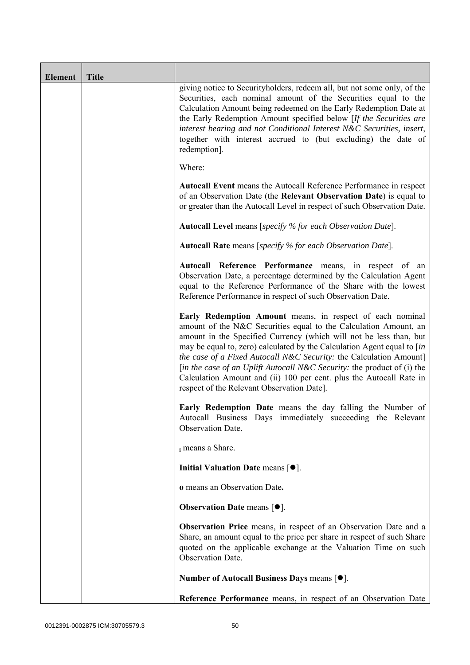| <b>Element</b> | <b>Title</b> |                                                                                                                                                                                                                                                                                                                                                                                                                                                                                                                                                      |
|----------------|--------------|------------------------------------------------------------------------------------------------------------------------------------------------------------------------------------------------------------------------------------------------------------------------------------------------------------------------------------------------------------------------------------------------------------------------------------------------------------------------------------------------------------------------------------------------------|
|                |              | giving notice to Securityholders, redeem all, but not some only, of the<br>Securities, each nominal amount of the Securities equal to the<br>Calculation Amount being redeemed on the Early Redemption Date at<br>the Early Redemption Amount specified below [If the Securities are<br>interest bearing and not Conditional Interest N&C Securities, insert,<br>together with interest accrued to (but excluding) the date of<br>redemption].                                                                                                       |
|                |              | Where:                                                                                                                                                                                                                                                                                                                                                                                                                                                                                                                                               |
|                |              | <b>Autocall Event</b> means the Autocall Reference Performance in respect<br>of an Observation Date (the Relevant Observation Date) is equal to<br>or greater than the Autocall Level in respect of such Observation Date.                                                                                                                                                                                                                                                                                                                           |
|                |              | Autocall Level means [specify % for each Observation Date].                                                                                                                                                                                                                                                                                                                                                                                                                                                                                          |
|                |              | Autocall Rate means [specify % for each Observation Date].                                                                                                                                                                                                                                                                                                                                                                                                                                                                                           |
|                |              | Autocall Reference Performance means, in respect of an<br>Observation Date, a percentage determined by the Calculation Agent<br>equal to the Reference Performance of the Share with the lowest<br>Reference Performance in respect of such Observation Date.                                                                                                                                                                                                                                                                                        |
|                |              | Early Redemption Amount means, in respect of each nominal<br>amount of the N&C Securities equal to the Calculation Amount, an<br>amount in the Specified Currency (which will not be less than, but<br>may be equal to, zero) calculated by the Calculation Agent equal to [in<br>the case of a Fixed Autocall N&C Security: the Calculation Amount]<br>[in the case of an Uplift Autocall N&C Security: the product of (i) the<br>Calculation Amount and (ii) 100 per cent. plus the Autocall Rate in<br>respect of the Relevant Observation Date]. |
|                |              | Early Redemption Date means the day falling the Number of<br>Autocall Business Days immediately succeeding the Relevant<br><b>Observation Date.</b>                                                                                                                                                                                                                                                                                                                                                                                                  |
|                |              | i means a Share.                                                                                                                                                                                                                                                                                                                                                                                                                                                                                                                                     |
|                |              | Initial Valuation Date means $[•]$ .                                                                                                                                                                                                                                                                                                                                                                                                                                                                                                                 |
|                |              | o means an Observation Date.                                                                                                                                                                                                                                                                                                                                                                                                                                                                                                                         |
|                |              | <b>Observation Date means <math>\lceil \bullet \rceil</math>.</b>                                                                                                                                                                                                                                                                                                                                                                                                                                                                                    |
|                |              | <b>Observation Price</b> means, in respect of an Observation Date and a<br>Share, an amount equal to the price per share in respect of such Share<br>quoted on the applicable exchange at the Valuation Time on such<br>Observation Date.                                                                                                                                                                                                                                                                                                            |
|                |              | Number of Autocall Business Days means [●].                                                                                                                                                                                                                                                                                                                                                                                                                                                                                                          |
|                |              | Reference Performance means, in respect of an Observation Date                                                                                                                                                                                                                                                                                                                                                                                                                                                                                       |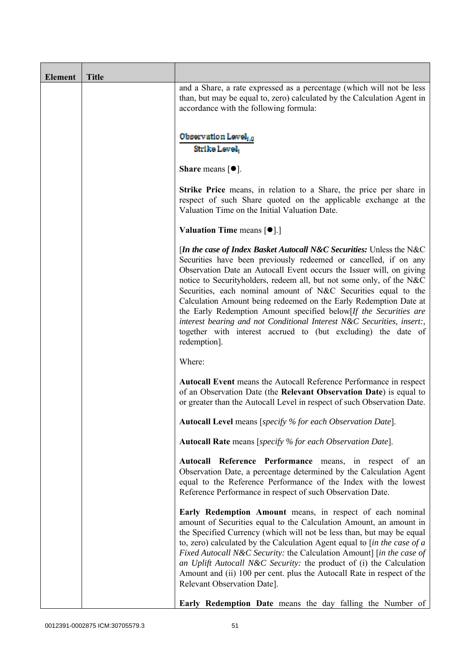| <b>Element</b> | <b>Title</b> |                                                                                                                                                                                                                                                                                                                                                                                                                                                                                                                                                                                                                                                                 |  |
|----------------|--------------|-----------------------------------------------------------------------------------------------------------------------------------------------------------------------------------------------------------------------------------------------------------------------------------------------------------------------------------------------------------------------------------------------------------------------------------------------------------------------------------------------------------------------------------------------------------------------------------------------------------------------------------------------------------------|--|
|                |              | and a Share, a rate expressed as a percentage (which will not be less<br>than, but may be equal to, zero) calculated by the Calculation Agent in<br>accordance with the following formula:                                                                                                                                                                                                                                                                                                                                                                                                                                                                      |  |
|                |              | Observation Level, o<br>Strike Level                                                                                                                                                                                                                                                                                                                                                                                                                                                                                                                                                                                                                            |  |
|                |              | <b>Share</b> means $\lceil \bullet \rceil$ .                                                                                                                                                                                                                                                                                                                                                                                                                                                                                                                                                                                                                    |  |
|                |              | <b>Strike Price</b> means, in relation to a Share, the price per share in<br>respect of such Share quoted on the applicable exchange at the<br>Valuation Time on the Initial Valuation Date.<br>Valuation Time means [ $\bullet$ ].]                                                                                                                                                                                                                                                                                                                                                                                                                            |  |
|                |              |                                                                                                                                                                                                                                                                                                                                                                                                                                                                                                                                                                                                                                                                 |  |
|                |              | [In the case of Index Basket Autocall N&C Securities: Unless the N&C<br>Securities have been previously redeemed or cancelled, if on any<br>Observation Date an Autocall Event occurs the Issuer will, on giving<br>notice to Securityholders, redeem all, but not some only, of the N&C<br>Securities, each nominal amount of N&C Securities equal to the<br>Calculation Amount being redeemed on the Early Redemption Date at<br>the Early Redemption Amount specified below[If the Securities are<br>interest bearing and not Conditional Interest N&C Securities, insert:,<br>together with interest accrued to (but excluding) the date of<br>redemption]. |  |
|                |              | Where:                                                                                                                                                                                                                                                                                                                                                                                                                                                                                                                                                                                                                                                          |  |
|                |              | <b>Autocall Event</b> means the Autocall Reference Performance in respect<br>of an Observation Date (the Relevant Observation Date) is equal to<br>or greater than the Autocall Level in respect of such Observation Date.                                                                                                                                                                                                                                                                                                                                                                                                                                      |  |
|                |              | Autocall Level means [specify % for each Observation Date].                                                                                                                                                                                                                                                                                                                                                                                                                                                                                                                                                                                                     |  |
|                |              | Autocall Rate means [specify % for each Observation Date].                                                                                                                                                                                                                                                                                                                                                                                                                                                                                                                                                                                                      |  |
|                |              | Autocall Reference Performance means, in respect of an<br>Observation Date, a percentage determined by the Calculation Agent<br>equal to the Reference Performance of the Index with the lowest<br>Reference Performance in respect of such Observation Date.                                                                                                                                                                                                                                                                                                                                                                                                   |  |
|                |              | Early Redemption Amount means, in respect of each nominal<br>amount of Securities equal to the Calculation Amount, an amount in<br>the Specified Currency (which will not be less than, but may be equal<br>to, zero) calculated by the Calculation Agent equal to $\int$ <i>in the case of a</i><br>Fixed Autocall N&C Security: the Calculation Amount] [in the case of<br>an Uplift Autocall N&C Security: the product of (i) the Calculation<br>Amount and (ii) 100 per cent. plus the Autocall Rate in respect of the<br>Relevant Observation Date].                                                                                                       |  |
|                |              | <b>Early Redemption Date</b> means the day falling the Number of                                                                                                                                                                                                                                                                                                                                                                                                                                                                                                                                                                                                |  |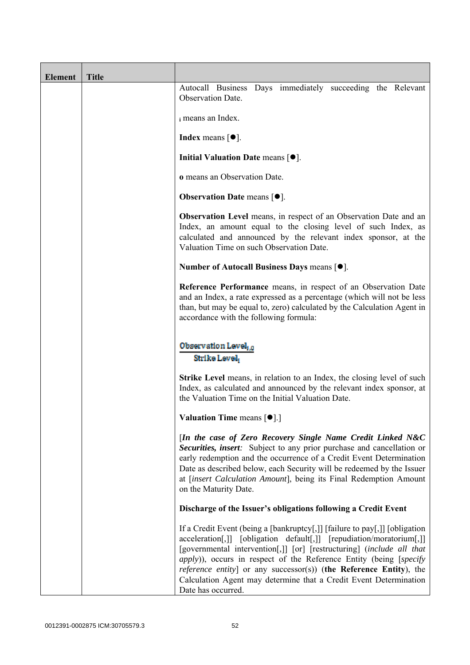| <b>Element</b> | <b>Title</b> |                                                                                                                                                                                                                                                                                                                                                                                                                                                                                    |
|----------------|--------------|------------------------------------------------------------------------------------------------------------------------------------------------------------------------------------------------------------------------------------------------------------------------------------------------------------------------------------------------------------------------------------------------------------------------------------------------------------------------------------|
|                |              | Autocall Business Days immediately succeeding the Relevant<br>Observation Date.                                                                                                                                                                                                                                                                                                                                                                                                    |
|                |              | i means an Index.                                                                                                                                                                                                                                                                                                                                                                                                                                                                  |
|                |              | Index means $\lceil \bullet \rceil$ .                                                                                                                                                                                                                                                                                                                                                                                                                                              |
|                |              | Initial Valuation Date means $[•]$ .                                                                                                                                                                                                                                                                                                                                                                                                                                               |
|                |              | <b>o</b> means an Observation Date.                                                                                                                                                                                                                                                                                                                                                                                                                                                |
|                |              | <b>Observation Date means <math>\lceil \bullet \rceil</math>.</b>                                                                                                                                                                                                                                                                                                                                                                                                                  |
|                |              | Observation Level means, in respect of an Observation Date and an<br>Index, an amount equal to the closing level of such Index, as<br>calculated and announced by the relevant index sponsor, at the<br>Valuation Time on such Observation Date.                                                                                                                                                                                                                                   |
|                |              | Number of Autocall Business Days means [ $\bullet$ ].                                                                                                                                                                                                                                                                                                                                                                                                                              |
|                |              | Reference Performance means, in respect of an Observation Date<br>and an Index, a rate expressed as a percentage (which will not be less<br>than, but may be equal to, zero) calculated by the Calculation Agent in<br>accordance with the following formula:                                                                                                                                                                                                                      |
|                |              | Observation Level, o<br>Strike Level                                                                                                                                                                                                                                                                                                                                                                                                                                               |
|                |              | <b>Strike Level</b> means, in relation to an Index, the closing level of such<br>Index, as calculated and announced by the relevant index sponsor, at<br>the Valuation Time on the Initial Valuation Date.                                                                                                                                                                                                                                                                         |
|                |              | Valuation Time means [ $\bullet$ ].]                                                                                                                                                                                                                                                                                                                                                                                                                                               |
|                |              | [In the case of Zero Recovery Single Name Credit Linked N&C<br>Securities, insert: Subject to any prior purchase and cancellation or<br>early redemption and the occurrence of a Credit Event Determination<br>Date as described below, each Security will be redeemed by the Issuer<br>at [insert Calculation Amount], being its Final Redemption Amount<br>on the Maturity Date.                                                                                                 |
|                |              | Discharge of the Issuer's obligations following a Credit Event                                                                                                                                                                                                                                                                                                                                                                                                                     |
|                |              | If a Credit Event (being a [bankruptcy[,]] [failure to pay[,]] [obligation<br>acceleration[,]] [obligation default[,]] [repudiation/moratorium[,]]<br>[governmental intervention[,]] [or] [restructuring] (include all that<br><i>apply</i> )), occurs in respect of the Reference Entity (being [specify<br><i>reference entity</i> ] or any successor(s)) (the Reference Entity), the<br>Calculation Agent may determine that a Credit Event Determination<br>Date has occurred. |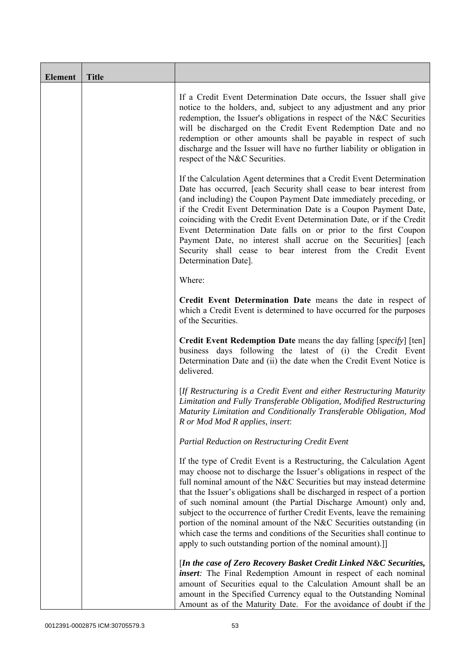| <b>Element</b> | <b>Title</b> |                                                                                                                                                                                                                                                                                                                                                                                                                                                                                                                                                                                                                                                                   |
|----------------|--------------|-------------------------------------------------------------------------------------------------------------------------------------------------------------------------------------------------------------------------------------------------------------------------------------------------------------------------------------------------------------------------------------------------------------------------------------------------------------------------------------------------------------------------------------------------------------------------------------------------------------------------------------------------------------------|
|                |              | If a Credit Event Determination Date occurs, the Issuer shall give<br>notice to the holders, and, subject to any adjustment and any prior<br>redemption, the Issuer's obligations in respect of the N&C Securities<br>will be discharged on the Credit Event Redemption Date and no<br>redemption or other amounts shall be payable in respect of such<br>discharge and the Issuer will have no further liability or obligation in<br>respect of the N&C Securities.                                                                                                                                                                                              |
|                |              | If the Calculation Agent determines that a Credit Event Determination<br>Date has occurred, [each Security shall cease to bear interest from<br>(and including) the Coupon Payment Date immediately preceding, or<br>if the Credit Event Determination Date is a Coupon Payment Date,<br>coinciding with the Credit Event Determination Date, or if the Credit<br>Event Determination Date falls on or prior to the first Coupon<br>Payment Date, no interest shall accrue on the Securities] [each<br>Security shall cease to bear interest from the Credit Event<br>Determination Date].                                                                        |
|                |              | Where:                                                                                                                                                                                                                                                                                                                                                                                                                                                                                                                                                                                                                                                            |
|                |              | Credit Event Determination Date means the date in respect of<br>which a Credit Event is determined to have occurred for the purposes<br>of the Securities.                                                                                                                                                                                                                                                                                                                                                                                                                                                                                                        |
|                |              | <b>Credit Event Redemption Date</b> means the day falling [specify] [ten]<br>business days following the latest of (i) the Credit Event<br>Determination Date and (ii) the date when the Credit Event Notice is<br>delivered.                                                                                                                                                                                                                                                                                                                                                                                                                                     |
|                |              | [If Restructuring is a Credit Event and either Restructuring Maturity<br>Limitation and Fully Transferable Obligation, Modified Restructuring<br>Maturity Limitation and Conditionally Transferable Obligation, Mod<br>R or Mod Mod R applies, insert:                                                                                                                                                                                                                                                                                                                                                                                                            |
|                |              | Partial Reduction on Restructuring Credit Event                                                                                                                                                                                                                                                                                                                                                                                                                                                                                                                                                                                                                   |
|                |              | If the type of Credit Event is a Restructuring, the Calculation Agent<br>may choose not to discharge the Issuer's obligations in respect of the<br>full nominal amount of the N&C Securities but may instead determine<br>that the Issuer's obligations shall be discharged in respect of a portion<br>of such nominal amount (the Partial Discharge Amount) only and,<br>subject to the occurrence of further Credit Events, leave the remaining<br>portion of the nominal amount of the N&C Securities outstanding (in<br>which case the terms and conditions of the Securities shall continue to<br>apply to such outstanding portion of the nominal amount).] |
|                |              | [In the case of Zero Recovery Basket Credit Linked N&C Securities,<br>insert: The Final Redemption Amount in respect of each nominal<br>amount of Securities equal to the Calculation Amount shall be an<br>amount in the Specified Currency equal to the Outstanding Nominal<br>Amount as of the Maturity Date. For the avoidance of doubt if the                                                                                                                                                                                                                                                                                                                |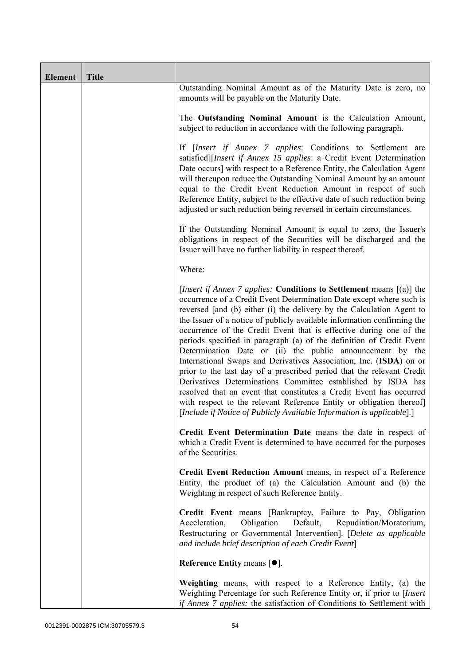| <b>Element</b> | <b>Title</b> |                                                                                                                                                                                                                                                                                                                                                                                                                                                                                                                                                                                                                                                                                                                                                                                                                                                                                                                                                           |
|----------------|--------------|-----------------------------------------------------------------------------------------------------------------------------------------------------------------------------------------------------------------------------------------------------------------------------------------------------------------------------------------------------------------------------------------------------------------------------------------------------------------------------------------------------------------------------------------------------------------------------------------------------------------------------------------------------------------------------------------------------------------------------------------------------------------------------------------------------------------------------------------------------------------------------------------------------------------------------------------------------------|
|                |              | Outstanding Nominal Amount as of the Maturity Date is zero, no<br>amounts will be payable on the Maturity Date.                                                                                                                                                                                                                                                                                                                                                                                                                                                                                                                                                                                                                                                                                                                                                                                                                                           |
|                |              | The Outstanding Nominal Amount is the Calculation Amount,<br>subject to reduction in accordance with the following paragraph.                                                                                                                                                                                                                                                                                                                                                                                                                                                                                                                                                                                                                                                                                                                                                                                                                             |
|                |              | If <i>[Insert if Annex 7 applies: Conditions to Settlement are</i><br>satisfied][Insert if Annex 15 applies: a Credit Event Determination<br>Date occurs] with respect to a Reference Entity, the Calculation Agent<br>will thereupon reduce the Outstanding Nominal Amount by an amount<br>equal to the Credit Event Reduction Amount in respect of such<br>Reference Entity, subject to the effective date of such reduction being<br>adjusted or such reduction being reversed in certain circumstances.                                                                                                                                                                                                                                                                                                                                                                                                                                               |
|                |              | If the Outstanding Nominal Amount is equal to zero, the Issuer's<br>obligations in respect of the Securities will be discharged and the<br>Issuer will have no further liability in respect thereof.                                                                                                                                                                                                                                                                                                                                                                                                                                                                                                                                                                                                                                                                                                                                                      |
|                |              | Where:                                                                                                                                                                                                                                                                                                                                                                                                                                                                                                                                                                                                                                                                                                                                                                                                                                                                                                                                                    |
|                |              | <i>[Insert if Annex 7 applies: Conditions to Settlement means [(a)] the</i><br>occurrence of a Credit Event Determination Date except where such is<br>reversed [and (b) either (i) the delivery by the Calculation Agent to<br>the Issuer of a notice of publicly available information confirming the<br>occurrence of the Credit Event that is effective during one of the<br>periods specified in paragraph (a) of the definition of Credit Event<br>Determination Date or (ii) the public announcement by the<br>International Swaps and Derivatives Association, Inc. (ISDA) on or<br>prior to the last day of a prescribed period that the relevant Credit<br>Derivatives Determinations Committee established by ISDA has<br>resolved that an event that constitutes a Credit Event has occurred<br>with respect to the relevant Reference Entity or obligation thereof]<br>[Include if Notice of Publicly Available Information is applicable].] |
|                |              | Credit Event Determination Date means the date in respect of<br>which a Credit Event is determined to have occurred for the purposes<br>of the Securities.                                                                                                                                                                                                                                                                                                                                                                                                                                                                                                                                                                                                                                                                                                                                                                                                |
|                |              | Credit Event Reduction Amount means, in respect of a Reference<br>Entity, the product of (a) the Calculation Amount and (b) the<br>Weighting in respect of such Reference Entity.                                                                                                                                                                                                                                                                                                                                                                                                                                                                                                                                                                                                                                                                                                                                                                         |
|                |              | Credit Event means [Bankruptcy, Failure to Pay, Obligation<br>Obligation<br>Default,<br>Repudiation/Moratorium,<br>Acceleration,<br>Restructuring or Governmental Intervention]. [Delete as applicable<br>and include brief description of each Credit Event]                                                                                                                                                                                                                                                                                                                                                                                                                                                                                                                                                                                                                                                                                             |
|                |              | Reference Entity means $[•]$ .                                                                                                                                                                                                                                                                                                                                                                                                                                                                                                                                                                                                                                                                                                                                                                                                                                                                                                                            |
|                |              | Weighting means, with respect to a Reference Entity, (a) the<br>Weighting Percentage for such Reference Entity or, if prior to [Insert]<br>if Annex 7 applies: the satisfaction of Conditions to Settlement with                                                                                                                                                                                                                                                                                                                                                                                                                                                                                                                                                                                                                                                                                                                                          |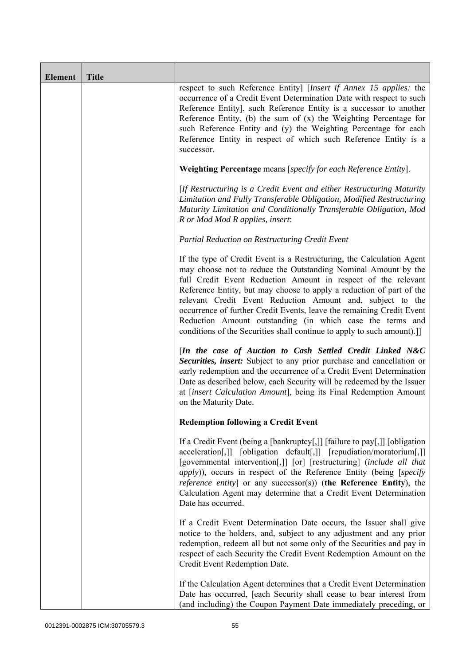| <b>Element</b> | <b>Title</b> |                                                                                                                                                                                                                                                                                                                                                                                                                                                                                                                                                                |
|----------------|--------------|----------------------------------------------------------------------------------------------------------------------------------------------------------------------------------------------------------------------------------------------------------------------------------------------------------------------------------------------------------------------------------------------------------------------------------------------------------------------------------------------------------------------------------------------------------------|
|                |              | respect to such Reference Entity] [Insert if Annex 15 applies: the<br>occurrence of a Credit Event Determination Date with respect to such<br>Reference Entity], such Reference Entity is a successor to another<br>Reference Entity, (b) the sum of $(x)$ the Weighting Percentage for<br>such Reference Entity and (y) the Weighting Percentage for each<br>Reference Entity in respect of which such Reference Entity is a<br>successor.                                                                                                                    |
|                |              | Weighting Percentage means [specify for each Reference Entity].                                                                                                                                                                                                                                                                                                                                                                                                                                                                                                |
|                |              | [If Restructuring is a Credit Event and either Restructuring Maturity<br>Limitation and Fully Transferable Obligation, Modified Restructuring<br>Maturity Limitation and Conditionally Transferable Obligation, Mod<br>R or Mod Mod R applies, insert:                                                                                                                                                                                                                                                                                                         |
|                |              | Partial Reduction on Restructuring Credit Event                                                                                                                                                                                                                                                                                                                                                                                                                                                                                                                |
|                |              | If the type of Credit Event is a Restructuring, the Calculation Agent<br>may choose not to reduce the Outstanding Nominal Amount by the<br>full Credit Event Reduction Amount in respect of the relevant<br>Reference Entity, but may choose to apply a reduction of part of the<br>relevant Credit Event Reduction Amount and, subject to the<br>occurrence of further Credit Events, leave the remaining Credit Event<br>Reduction Amount outstanding (in which case the terms and<br>conditions of the Securities shall continue to apply to such amount).] |
|                |              | [In the case of Auction to Cash Settled Credit Linked N&C<br>Securities, insert: Subject to any prior purchase and cancellation or<br>early redemption and the occurrence of a Credit Event Determination<br>Date as described below, each Security will be redeemed by the Issuer<br>at [insert Calculation Amount], being its Final Redemption Amount<br>on the Maturity Date.                                                                                                                                                                               |
|                |              | <b>Redemption following a Credit Event</b>                                                                                                                                                                                                                                                                                                                                                                                                                                                                                                                     |
|                |              | If a Credit Event (being a [bankruptcy[,]] [failure to pay[,]] [obligation<br>acceleration[,]] [obligation default[,]] [repudiation/moratorium[,]]<br>[governmental intervention[,]] [or] [restructuring] (include all that<br><i>apply</i> )), occurs in respect of the Reference Entity (being [specify<br><i>reference entity</i> ] or any successor(s)) (the Reference Entity), the<br>Calculation Agent may determine that a Credit Event Determination<br>Date has occurred.                                                                             |
|                |              | If a Credit Event Determination Date occurs, the Issuer shall give<br>notice to the holders, and, subject to any adjustment and any prior<br>redemption, redeem all but not some only of the Securities and pay in<br>respect of each Security the Credit Event Redemption Amount on the<br>Credit Event Redemption Date.                                                                                                                                                                                                                                      |
|                |              | If the Calculation Agent determines that a Credit Event Determination<br>Date has occurred, [each Security shall cease to bear interest from<br>(and including) the Coupon Payment Date immediately preceding, or                                                                                                                                                                                                                                                                                                                                              |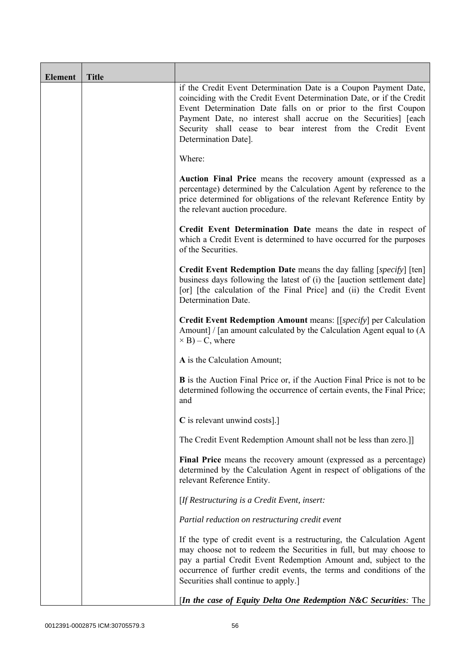| <b>Element</b> | <b>Title</b> |                                                                                                                                                                                                                                                                                                                                                                       |
|----------------|--------------|-----------------------------------------------------------------------------------------------------------------------------------------------------------------------------------------------------------------------------------------------------------------------------------------------------------------------------------------------------------------------|
|                |              | if the Credit Event Determination Date is a Coupon Payment Date,<br>coinciding with the Credit Event Determination Date, or if the Credit<br>Event Determination Date falls on or prior to the first Coupon<br>Payment Date, no interest shall accrue on the Securities] [each<br>Security shall cease to bear interest from the Credit Event<br>Determination Date]. |
|                |              | Where:                                                                                                                                                                                                                                                                                                                                                                |
|                |              | Auction Final Price means the recovery amount (expressed as a<br>percentage) determined by the Calculation Agent by reference to the<br>price determined for obligations of the relevant Reference Entity by<br>the relevant auction procedure.                                                                                                                       |
|                |              | Credit Event Determination Date means the date in respect of<br>which a Credit Event is determined to have occurred for the purposes<br>of the Securities.                                                                                                                                                                                                            |
|                |              | Credit Event Redemption Date means the day falling [specify] [ten]<br>business days following the latest of (i) the [auction settlement date]<br>[or] [the calculation of the Final Price] and (ii) the Credit Event<br>Determination Date.                                                                                                                           |
|                |              | Credit Event Redemption Amount means: [[specify] per Calculation<br>Amount] / [an amount calculated by the Calculation Agent equal to (A<br>$\times$ B) – C, where                                                                                                                                                                                                    |
|                |              | A is the Calculation Amount;                                                                                                                                                                                                                                                                                                                                          |
|                |              | <b>B</b> is the Auction Final Price or, if the Auction Final Price is not to be<br>determined following the occurrence of certain events, the Final Price;<br>and                                                                                                                                                                                                     |
|                |              | C is relevant unwind costs].]                                                                                                                                                                                                                                                                                                                                         |
|                |              | The Credit Event Redemption Amount shall not be less than zero.]]                                                                                                                                                                                                                                                                                                     |
|                |              | Final Price means the recovery amount (expressed as a percentage)<br>determined by the Calculation Agent in respect of obligations of the<br>relevant Reference Entity.                                                                                                                                                                                               |
|                |              | [If Restructuring is a Credit Event, insert:                                                                                                                                                                                                                                                                                                                          |
|                |              | Partial reduction on restructuring credit event                                                                                                                                                                                                                                                                                                                       |
|                |              | If the type of credit event is a restructuring, the Calculation Agent<br>may choose not to redeem the Securities in full, but may choose to<br>pay a partial Credit Event Redemption Amount and, subject to the<br>occurrence of further credit events, the terms and conditions of the<br>Securities shall continue to apply.]                                       |
|                |              | [In the case of Equity Delta One Redemption N&C Securities: The                                                                                                                                                                                                                                                                                                       |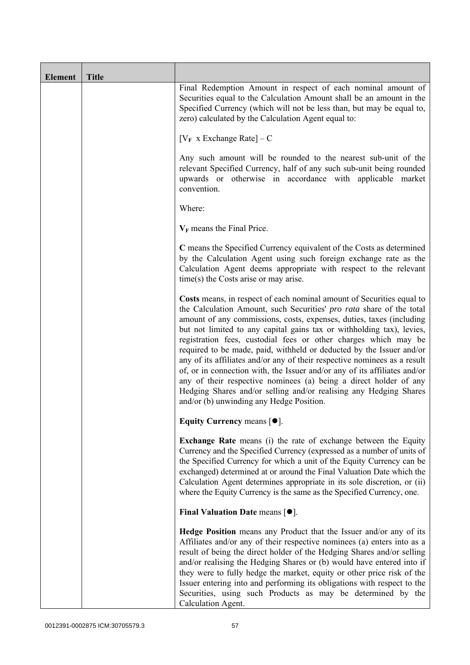| <b>Element</b> | <b>Title</b> |                                                                                                                                                                                                                                                                                                                                                                                                                                                                                                                                                                                                                                                                                                                                                                                           |
|----------------|--------------|-------------------------------------------------------------------------------------------------------------------------------------------------------------------------------------------------------------------------------------------------------------------------------------------------------------------------------------------------------------------------------------------------------------------------------------------------------------------------------------------------------------------------------------------------------------------------------------------------------------------------------------------------------------------------------------------------------------------------------------------------------------------------------------------|
|                |              | Final Redemption Amount in respect of each nominal amount of<br>Securities equal to the Calculation Amount shall be an amount in the<br>Specified Currency (which will not be less than, but may be equal to,<br>zero) calculated by the Calculation Agent equal to:                                                                                                                                                                                                                                                                                                                                                                                                                                                                                                                      |
|                |              | $[V_F \times Exchange Rate] - C$                                                                                                                                                                                                                                                                                                                                                                                                                                                                                                                                                                                                                                                                                                                                                          |
|                |              | Any such amount will be rounded to the nearest sub-unit of the<br>relevant Specified Currency, half of any such sub-unit being rounded<br>upwards or otherwise in accordance with applicable market<br>convention.                                                                                                                                                                                                                                                                                                                                                                                                                                                                                                                                                                        |
|                |              | Where:                                                                                                                                                                                                                                                                                                                                                                                                                                                                                                                                                                                                                                                                                                                                                                                    |
|                |              | $V_F$ means the Final Price.                                                                                                                                                                                                                                                                                                                                                                                                                                                                                                                                                                                                                                                                                                                                                              |
|                |              | C means the Specified Currency equivalent of the Costs as determined<br>by the Calculation Agent using such foreign exchange rate as the<br>Calculation Agent deems appropriate with respect to the relevant<br>$time(s)$ the Costs arise or may arise.                                                                                                                                                                                                                                                                                                                                                                                                                                                                                                                                   |
|                |              | Costs means, in respect of each nominal amount of Securities equal to<br>the Calculation Amount, such Securities' pro rata share of the total<br>amount of any commissions, costs, expenses, duties, taxes (including<br>but not limited to any capital gains tax or withholding tax), levies,<br>registration fees, custodial fees or other charges which may be<br>required to be made, paid, withheld or deducted by the Issuer and/or<br>any of its affiliates and/or any of their respective nominees as a result<br>of, or in connection with, the Issuer and/or any of its affiliates and/or<br>any of their respective nominees (a) being a direct holder of any<br>Hedging Shares and/or selling and/or realising any Hedging Shares<br>and/or (b) unwinding any Hedge Position. |
|                |              | Equity Currency means [ $\bullet$ ].                                                                                                                                                                                                                                                                                                                                                                                                                                                                                                                                                                                                                                                                                                                                                      |
|                |              | <b>Exchange Rate</b> means (i) the rate of exchange between the Equity<br>Currency and the Specified Currency (expressed as a number of units of<br>the Specified Currency for which a unit of the Equity Currency can be<br>exchanged) determined at or around the Final Valuation Date which the<br>Calculation Agent determines appropriate in its sole discretion, or (ii)<br>where the Equity Currency is the same as the Specified Currency, one.                                                                                                                                                                                                                                                                                                                                   |
|                |              | Final Valuation Date means $\lceil \bullet \rceil$ .                                                                                                                                                                                                                                                                                                                                                                                                                                                                                                                                                                                                                                                                                                                                      |
|                |              | Hedge Position means any Product that the Issuer and/or any of its<br>Affiliates and/or any of their respective nominees (a) enters into as a<br>result of being the direct holder of the Hedging Shares and/or selling<br>and/or realising the Hedging Shares or (b) would have entered into if<br>they were to fully hedge the market, equity or other price risk of the<br>Issuer entering into and performing its obligations with respect to the<br>Securities, using such Products as may be determined by the<br>Calculation Agent.                                                                                                                                                                                                                                                |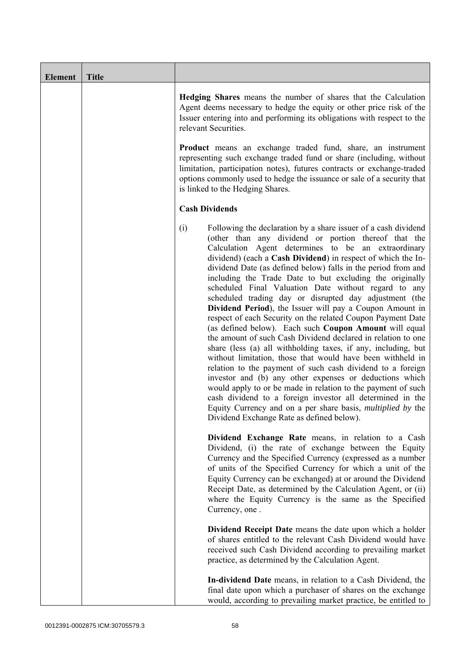| <b>Element</b> | <b>Title</b> |                                                                                                                                                                                                                                                                                                                                                                                                                                                                                                                                                                                                                                                                                                                                                                                                                                                                                                                                                                                                                                                                                                                                                                                                                                                                  |
|----------------|--------------|------------------------------------------------------------------------------------------------------------------------------------------------------------------------------------------------------------------------------------------------------------------------------------------------------------------------------------------------------------------------------------------------------------------------------------------------------------------------------------------------------------------------------------------------------------------------------------------------------------------------------------------------------------------------------------------------------------------------------------------------------------------------------------------------------------------------------------------------------------------------------------------------------------------------------------------------------------------------------------------------------------------------------------------------------------------------------------------------------------------------------------------------------------------------------------------------------------------------------------------------------------------|
|                |              | <b>Hedging Shares</b> means the number of shares that the Calculation<br>Agent deems necessary to hedge the equity or other price risk of the<br>Issuer entering into and performing its obligations with respect to the<br>relevant Securities.<br><b>Product</b> means an exchange traded fund, share, an instrument<br>representing such exchange traded fund or share (including, without<br>limitation, participation notes), futures contracts or exchange-traded                                                                                                                                                                                                                                                                                                                                                                                                                                                                                                                                                                                                                                                                                                                                                                                          |
|                |              | options commonly used to hedge the issuance or sale of a security that<br>is linked to the Hedging Shares.                                                                                                                                                                                                                                                                                                                                                                                                                                                                                                                                                                                                                                                                                                                                                                                                                                                                                                                                                                                                                                                                                                                                                       |
|                |              | <b>Cash Dividends</b>                                                                                                                                                                                                                                                                                                                                                                                                                                                                                                                                                                                                                                                                                                                                                                                                                                                                                                                                                                                                                                                                                                                                                                                                                                            |
|                |              | (i)<br>Following the declaration by a share issuer of a cash dividend<br>(other than any dividend or portion thereof that the<br>Calculation Agent determines to be an extraordinary<br>dividend) (each a Cash Dividend) in respect of which the In-<br>dividend Date (as defined below) falls in the period from and<br>including the Trade Date to but excluding the originally<br>scheduled Final Valuation Date without regard to any<br>scheduled trading day or disrupted day adjustment (the<br>Dividend Period), the Issuer will pay a Coupon Amount in<br>respect of each Security on the related Coupon Payment Date<br>(as defined below). Each such Coupon Amount will equal<br>the amount of such Cash Dividend declared in relation to one<br>share (less (a) all withholding taxes, if any, including, but<br>without limitation, those that would have been withheld in<br>relation to the payment of such cash dividend to a foreign<br>investor and (b) any other expenses or deductions which<br>would apply to or be made in relation to the payment of such<br>cash dividend to a foreign investor all determined in the<br>Equity Currency and on a per share basis, <i>multiplied by</i> the<br>Dividend Exchange Rate as defined below). |
|                |              | Dividend Exchange Rate means, in relation to a Cash<br>Dividend, (i) the rate of exchange between the Equity<br>Currency and the Specified Currency (expressed as a number<br>of units of the Specified Currency for which a unit of the<br>Equity Currency can be exchanged) at or around the Dividend<br>Receipt Date, as determined by the Calculation Agent, or (ii)<br>where the Equity Currency is the same as the Specified<br>Currency, one.                                                                                                                                                                                                                                                                                                                                                                                                                                                                                                                                                                                                                                                                                                                                                                                                             |
|                |              | Dividend Receipt Date means the date upon which a holder<br>of shares entitled to the relevant Cash Dividend would have<br>received such Cash Dividend according to prevailing market<br>practice, as determined by the Calculation Agent.                                                                                                                                                                                                                                                                                                                                                                                                                                                                                                                                                                                                                                                                                                                                                                                                                                                                                                                                                                                                                       |
|                |              | In-dividend Date means, in relation to a Cash Dividend, the<br>final date upon which a purchaser of shares on the exchange<br>would, according to prevailing market practice, be entitled to                                                                                                                                                                                                                                                                                                                                                                                                                                                                                                                                                                                                                                                                                                                                                                                                                                                                                                                                                                                                                                                                     |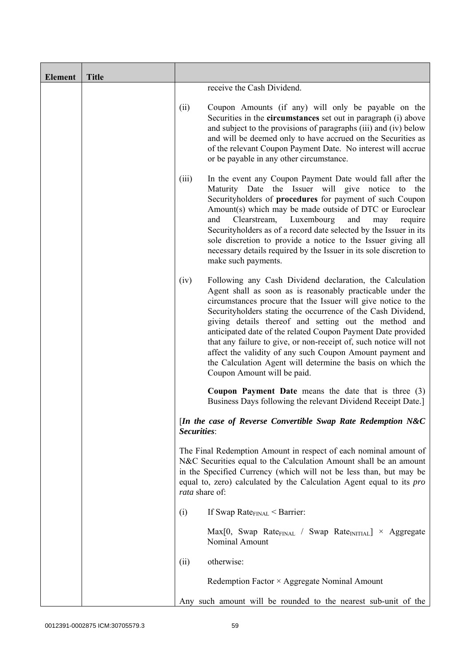| <b>Element</b> | <b>Title</b> |                |                                                                                                                                                                                                                                                                                                                                                                                                                                                                                                                                                                                                                  |
|----------------|--------------|----------------|------------------------------------------------------------------------------------------------------------------------------------------------------------------------------------------------------------------------------------------------------------------------------------------------------------------------------------------------------------------------------------------------------------------------------------------------------------------------------------------------------------------------------------------------------------------------------------------------------------------|
|                |              |                | receive the Cash Dividend.                                                                                                                                                                                                                                                                                                                                                                                                                                                                                                                                                                                       |
|                |              | (ii)           | Coupon Amounts (if any) will only be payable on the<br>Securities in the <b>circumstances</b> set out in paragraph (i) above<br>and subject to the provisions of paragraphs (iii) and (iv) below<br>and will be deemed only to have accrued on the Securities as<br>of the relevant Coupon Payment Date. No interest will accrue<br>or be payable in any other circumstance.                                                                                                                                                                                                                                     |
|                |              | (iii)          | In the event any Coupon Payment Date would fall after the<br>Maturity Date the Issuer will give notice to the<br>Securityholders of procedures for payment of such Coupon<br>Amount(s) which may be made outside of DTC or Euroclear<br>Luxembourg<br>and<br>Clearstream,<br>and<br>may<br>require<br>Security holders as of a record date selected by the Issuer in its<br>sole discretion to provide a notice to the Issuer giving all<br>necessary details required by the Issuer in its sole discretion to<br>make such payments.                                                                            |
|                |              | (iv)           | Following any Cash Dividend declaration, the Calculation<br>Agent shall as soon as is reasonably practicable under the<br>circumstances procure that the Issuer will give notice to the<br>Securityholders stating the occurrence of the Cash Dividend,<br>giving details thereof and setting out the method and<br>anticipated date of the related Coupon Payment Date provided<br>that any failure to give, or non-receipt of, such notice will not<br>affect the validity of any such Coupon Amount payment and<br>the Calculation Agent will determine the basis on which the<br>Coupon Amount will be paid. |
|                |              |                | <b>Coupon Payment Date</b> means the date that is three (3)<br>Business Days following the relevant Dividend Receipt Date.]                                                                                                                                                                                                                                                                                                                                                                                                                                                                                      |
|                |              | Securities:    | [In the case of Reverse Convertible Swap Rate Redemption N&C                                                                                                                                                                                                                                                                                                                                                                                                                                                                                                                                                     |
|                |              | rata share of: | The Final Redemption Amount in respect of each nominal amount of<br>N&C Securities equal to the Calculation Amount shall be an amount<br>in the Specified Currency (which will not be less than, but may be<br>equal to, zero) calculated by the Calculation Agent equal to its <i>pro</i>                                                                                                                                                                                                                                                                                                                       |
|                |              | (i)            | If Swap Rate $_{\text{FINAL}}$ < Barrier:                                                                                                                                                                                                                                                                                                                                                                                                                                                                                                                                                                        |
|                |              |                | $Max[0, Swap Rate_{FINAL} / Swap Rate_{INITIAL}] \times Aggregate$<br>Nominal Amount                                                                                                                                                                                                                                                                                                                                                                                                                                                                                                                             |
|                |              | (ii)           | otherwise:                                                                                                                                                                                                                                                                                                                                                                                                                                                                                                                                                                                                       |
|                |              |                | Redemption Factor × Aggregate Nominal Amount                                                                                                                                                                                                                                                                                                                                                                                                                                                                                                                                                                     |
|                |              |                | Any such amount will be rounded to the nearest sub-unit of the                                                                                                                                                                                                                                                                                                                                                                                                                                                                                                                                                   |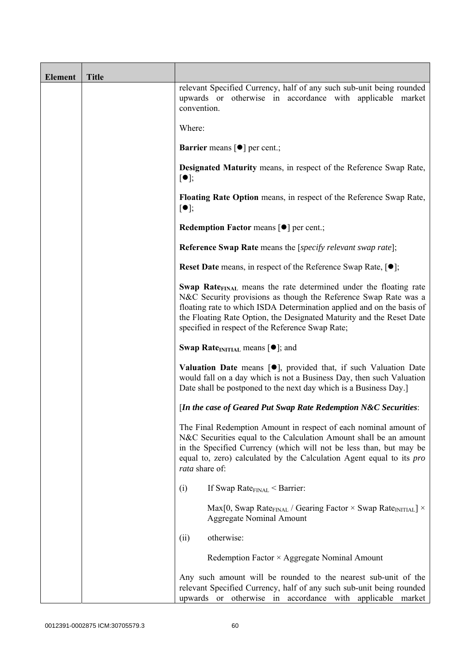| <b>Element</b> | <b>Title</b> |                                                                                                                                                                                                                                                                                                                                                      |
|----------------|--------------|------------------------------------------------------------------------------------------------------------------------------------------------------------------------------------------------------------------------------------------------------------------------------------------------------------------------------------------------------|
|                |              | relevant Specified Currency, half of any such sub-unit being rounded<br>upwards or otherwise in accordance with applicable market<br>convention.                                                                                                                                                                                                     |
|                |              | Where:                                                                                                                                                                                                                                                                                                                                               |
|                |              | <b>Barrier</b> means $\lceil \bullet \rceil$ per cent.;                                                                                                                                                                                                                                                                                              |
|                |              | <b>Designated Maturity means, in respect of the Reference Swap Rate,</b><br>$\lceil \bullet \rceil;$                                                                                                                                                                                                                                                 |
|                |              | Floating Rate Option means, in respect of the Reference Swap Rate,<br>$[\bullet]$ ;                                                                                                                                                                                                                                                                  |
|                |              | Redemption Factor means [ $\bullet$ ] per cent.;                                                                                                                                                                                                                                                                                                     |
|                |              | <b>Reference Swap Rate</b> means the [specify relevant swap rate];                                                                                                                                                                                                                                                                                   |
|                |              | <b>Reset Date</b> means, in respect of the Reference Swap Rate, $[•]$ ;                                                                                                                                                                                                                                                                              |
|                |              | Swap Rate <sub>FINAL</sub> means the rate determined under the floating rate<br>N&C Security provisions as though the Reference Swap Rate was a<br>floating rate to which ISDA Determination applied and on the basis of<br>the Floating Rate Option, the Designated Maturity and the Reset Date<br>specified in respect of the Reference Swap Rate; |
|                |              | <b>Swap Rate</b> <sub>INITIAL</sub> means $\lceil \bullet \rceil$ ; and                                                                                                                                                                                                                                                                              |
|                |              | <b>Valuation Date</b> means $[\bullet]$ , provided that, if such Valuation Date<br>would fall on a day which is not a Business Day, then such Valuation<br>Date shall be postponed to the next day which is a Business Day.]                                                                                                                         |
|                |              | [In the case of Geared Put Swap Rate Redemption N&C Securities:                                                                                                                                                                                                                                                                                      |
|                |              | The Final Redemption Amount in respect of each nominal amount of<br>N&C Securities equal to the Calculation Amount shall be an amount<br>in the Specified Currency (which will not be less than, but may be<br>equal to, zero) calculated by the Calculation Agent equal to its pro<br>rata share of:                                                |
|                |              | (i)<br>If Swap Rate $_{\text{FINAL}}$ < Barrier:                                                                                                                                                                                                                                                                                                     |
|                |              | Max[0, Swap Rate <sub>FINAL</sub> / Gearing Factor $\times$ Swap Rate <sub>INITIAL</sub> ] $\times$<br><b>Aggregate Nominal Amount</b>                                                                                                                                                                                                               |
|                |              | otherwise:<br>(ii)                                                                                                                                                                                                                                                                                                                                   |
|                |              | Redemption Factor × Aggregate Nominal Amount                                                                                                                                                                                                                                                                                                         |
|                |              | Any such amount will be rounded to the nearest sub-unit of the<br>relevant Specified Currency, half of any such sub-unit being rounded<br>otherwise in<br>accordance with applicable market<br>upwards or                                                                                                                                            |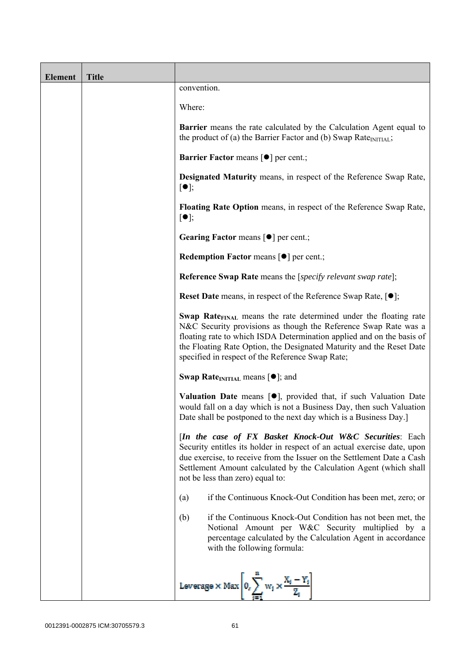| <b>Element</b> | <b>Title</b> |                                                                                                                                                                                                                                                                                                                                                      |
|----------------|--------------|------------------------------------------------------------------------------------------------------------------------------------------------------------------------------------------------------------------------------------------------------------------------------------------------------------------------------------------------------|
|                |              | convention.                                                                                                                                                                                                                                                                                                                                          |
|                |              | Where:                                                                                                                                                                                                                                                                                                                                               |
|                |              | <b>Barrier</b> means the rate calculated by the Calculation Agent equal to<br>the product of (a) the Barrier Factor and (b) Swap Rate $_{\text{INITIAL}}$ ;                                                                                                                                                                                          |
|                |              | <b>Barrier Factor means [<math>\bullet</math>] per cent.;</b>                                                                                                                                                                                                                                                                                        |
|                |              | Designated Maturity means, in respect of the Reference Swap Rate,<br>$[\bullet]$ ;                                                                                                                                                                                                                                                                   |
|                |              | Floating Rate Option means, in respect of the Reference Swap Rate,<br>$[\bullet]$ ;                                                                                                                                                                                                                                                                  |
|                |              | Gearing Factor means [ $\bullet$ ] per cent.;                                                                                                                                                                                                                                                                                                        |
|                |              | Redemption Factor means [ $\bullet$ ] per cent.;                                                                                                                                                                                                                                                                                                     |
|                |              | <b>Reference Swap Rate</b> means the [specify relevant swap rate];                                                                                                                                                                                                                                                                                   |
|                |              | <b>Reset Date</b> means, in respect of the Reference Swap Rate, $[•]$ ;                                                                                                                                                                                                                                                                              |
|                |              | Swap Rate <sub>FINAL</sub> means the rate determined under the floating rate<br>N&C Security provisions as though the Reference Swap Rate was a<br>floating rate to which ISDA Determination applied and on the basis of<br>the Floating Rate Option, the Designated Maturity and the Reset Date<br>specified in respect of the Reference Swap Rate; |
|                |              | <b>Swap Rate</b> <sub>INITIAL</sub> means $[\bullet]$ ; and                                                                                                                                                                                                                                                                                          |
|                |              | <b>Valuation Date</b> means $[\bullet]$ , provided that, if such Valuation Date<br>would fall on a day which is not a Business Day, then such Valuation<br>Date shall be postponed to the next day which is a Business Day.]                                                                                                                         |
|                |              | [In the case of FX Basket Knock-Out W&C Securities: Each<br>Security entitles its holder in respect of an actual exercise date, upon<br>due exercise, to receive from the Issuer on the Settlement Date a Cash<br>Settlement Amount calculated by the Calculation Agent (which shall<br>not be less than zero) equal to:                             |
|                |              | if the Continuous Knock-Out Condition has been met, zero; or<br>(a)                                                                                                                                                                                                                                                                                  |
|                |              | (b)<br>if the Continuous Knock-Out Condition has not been met, the<br>Notional Amount per W&C Security multiplied by a<br>percentage calculated by the Calculation Agent in accordance<br>with the following formula:                                                                                                                                |
|                |              | Leverage $\times$ Max $\left 0_i\sum_{i=1}^{n} w_i \times \frac{X_i - Y_i}{Z_i}\right $                                                                                                                                                                                                                                                              |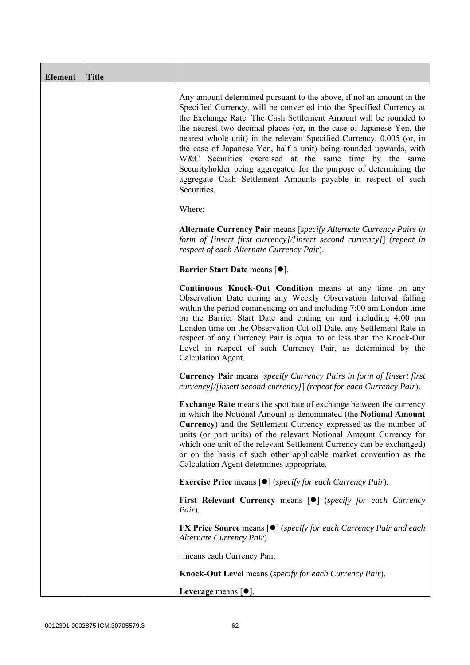| <b>Element</b> | <b>Title</b> |                                                                                                                                                                                                                                                                                                                                                                                                                                                                                                                                                                                                                                                       |
|----------------|--------------|-------------------------------------------------------------------------------------------------------------------------------------------------------------------------------------------------------------------------------------------------------------------------------------------------------------------------------------------------------------------------------------------------------------------------------------------------------------------------------------------------------------------------------------------------------------------------------------------------------------------------------------------------------|
|                |              | Any amount determined pursuant to the above, if not an amount in the<br>Specified Currency, will be converted into the Specified Currency at<br>the Exchange Rate. The Cash Settlement Amount will be rounded to<br>the nearest two decimal places (or, in the case of Japanese Yen, the<br>nearest whole unit) in the relevant Specified Currency, 0.005 (or, in<br>the case of Japanese Yen, half a unit) being rounded upwards, with<br>W&C Securities exercised at the same time by the same<br>Securityholder being aggregated for the purpose of determining the<br>aggregate Cash Settlement Amounts payable in respect of such<br>Securities. |
|                |              | Where:                                                                                                                                                                                                                                                                                                                                                                                                                                                                                                                                                                                                                                                |
|                |              | Alternate Currency Pair means [specify Alternate Currency Pairs in<br>form of [insert first currency]/[insert second currency]] (repeat in<br>respect of each Alternate Currency Pair).                                                                                                                                                                                                                                                                                                                                                                                                                                                               |
|                |              | Barrier Start Date means [ $\bullet$ ].                                                                                                                                                                                                                                                                                                                                                                                                                                                                                                                                                                                                               |
|                |              | Continuous Knock-Out Condition means at any time on any<br>Observation Date during any Weekly Observation Interval falling<br>within the period commencing on and including 7:00 am London time<br>on the Barrier Start Date and ending on and including 4:00 pm<br>London time on the Observation Cut-off Date, any Settlement Rate in<br>respect of any Currency Pair is equal to or less than the Knock-Out<br>Level in respect of such Currency Pair, as determined by the<br>Calculation Agent.                                                                                                                                                  |
|                |              | <b>Currency Pair</b> means [specify Currency Pairs in form of [insert first]<br>currency]/[insert second currency]] (repeat for each Currency Pair).                                                                                                                                                                                                                                                                                                                                                                                                                                                                                                  |
|                |              | <b>Exchange Rate</b> means the spot rate of exchange between the currency<br>in which the Notional Amount is denominated (the Notional Amount<br>Currency) and the Settlement Currency expressed as the number of<br>units (or part units) of the relevant Notional Amount Currency for<br>which one unit of the relevant Settlement Currency can be exchanged)<br>or on the basis of such other applicable market convention as the<br>Calculation Agent determines appropriate.                                                                                                                                                                     |
|                |              | <b>Exercise Price</b> means $\lceil \bullet \rceil$ ( <i>specify for each Currency Pair</i> ).                                                                                                                                                                                                                                                                                                                                                                                                                                                                                                                                                        |
|                |              | First Relevant Currency means [ $\bullet$ ] (specify for each Currency<br>Pair).                                                                                                                                                                                                                                                                                                                                                                                                                                                                                                                                                                      |
|                |              | <b>FX Price Source</b> means $\lceil \bullet \rceil$ (specify for each Currency Pair and each<br>Alternate Currency Pair).                                                                                                                                                                                                                                                                                                                                                                                                                                                                                                                            |
|                |              | i means each Currency Pair.                                                                                                                                                                                                                                                                                                                                                                                                                                                                                                                                                                                                                           |
|                |              | Knock-Out Level means (specify for each Currency Pair).                                                                                                                                                                                                                                                                                                                                                                                                                                                                                                                                                                                               |
|                |              | Leverage means $\lceil \bullet \rceil$ .                                                                                                                                                                                                                                                                                                                                                                                                                                                                                                                                                                                                              |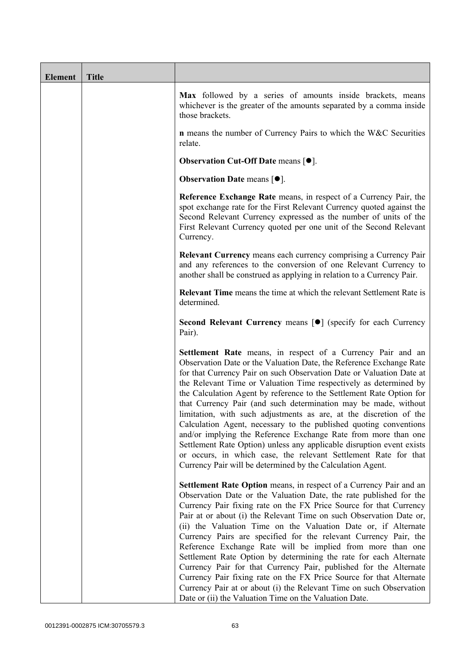| <b>Element</b> | <b>Title</b> |                                                                                                                                                                                                                                                                                                                                                                                                                                                                                                                                                                                                                                                                                                                                                                                                                                                   |
|----------------|--------------|---------------------------------------------------------------------------------------------------------------------------------------------------------------------------------------------------------------------------------------------------------------------------------------------------------------------------------------------------------------------------------------------------------------------------------------------------------------------------------------------------------------------------------------------------------------------------------------------------------------------------------------------------------------------------------------------------------------------------------------------------------------------------------------------------------------------------------------------------|
|                |              | Max followed by a series of amounts inside brackets, means<br>whichever is the greater of the amounts separated by a comma inside<br>those brackets.                                                                                                                                                                                                                                                                                                                                                                                                                                                                                                                                                                                                                                                                                              |
|                |              | n means the number of Currency Pairs to which the W&C Securities<br>relate.                                                                                                                                                                                                                                                                                                                                                                                                                                                                                                                                                                                                                                                                                                                                                                       |
|                |              | <b>Observation Cut-Off Date means <math>[•]</math>.</b>                                                                                                                                                                                                                                                                                                                                                                                                                                                                                                                                                                                                                                                                                                                                                                                           |
|                |              | <b>Observation Date means <math>\lceil \bullet \rceil</math>.</b>                                                                                                                                                                                                                                                                                                                                                                                                                                                                                                                                                                                                                                                                                                                                                                                 |
|                |              | Reference Exchange Rate means, in respect of a Currency Pair, the<br>spot exchange rate for the First Relevant Currency quoted against the<br>Second Relevant Currency expressed as the number of units of the<br>First Relevant Currency quoted per one unit of the Second Relevant<br>Currency.                                                                                                                                                                                                                                                                                                                                                                                                                                                                                                                                                 |
|                |              | <b>Relevant Currency</b> means each currency comprising a Currency Pair<br>and any references to the conversion of one Relevant Currency to<br>another shall be construed as applying in relation to a Currency Pair.                                                                                                                                                                                                                                                                                                                                                                                                                                                                                                                                                                                                                             |
|                |              | Relevant Time means the time at which the relevant Settlement Rate is<br>determined.                                                                                                                                                                                                                                                                                                                                                                                                                                                                                                                                                                                                                                                                                                                                                              |
|                |              | Second Relevant Currency means [ $\bullet$ ] (specify for each Currency<br>Pair).                                                                                                                                                                                                                                                                                                                                                                                                                                                                                                                                                                                                                                                                                                                                                                 |
|                |              | Settlement Rate means, in respect of a Currency Pair and an<br>Observation Date or the Valuation Date, the Reference Exchange Rate<br>for that Currency Pair on such Observation Date or Valuation Date at<br>the Relevant Time or Valuation Time respectively as determined by<br>the Calculation Agent by reference to the Settlement Rate Option for<br>that Currency Pair (and such determination may be made, without<br>limitation, with such adjustments as are, at the discretion of the<br>Calculation Agent, necessary to the published quoting conventions<br>and/or implying the Reference Exchange Rate from more than one<br>Settlement Rate Option) unless any applicable disruption event exists<br>or occurs, in which case, the relevant Settlement Rate for that<br>Currency Pair will be determined by the Calculation Agent. |
|                |              | Settlement Rate Option means, in respect of a Currency Pair and an<br>Observation Date or the Valuation Date, the rate published for the<br>Currency Pair fixing rate on the FX Price Source for that Currency<br>Pair at or about (i) the Relevant Time on such Observation Date or,<br>(ii) the Valuation Time on the Valuation Date or, if Alternate<br>Currency Pairs are specified for the relevant Currency Pair, the<br>Reference Exchange Rate will be implied from more than one<br>Settlement Rate Option by determining the rate for each Alternate<br>Currency Pair for that Currency Pair, published for the Alternate<br>Currency Pair fixing rate on the FX Price Source for that Alternate<br>Currency Pair at or about (i) the Relevant Time on such Observation<br>Date or (ii) the Valuation Time on the Valuation Date.       |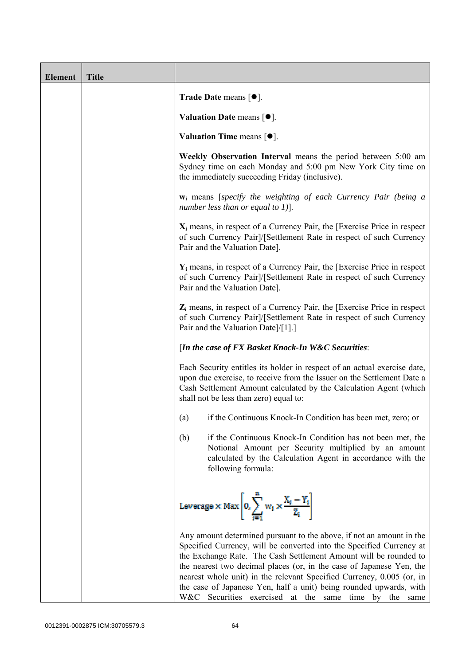| <b>Element</b> | <b>Title</b> |                                                                                                                                                                                                                                                                                                                                                                                                                                                                                                  |
|----------------|--------------|--------------------------------------------------------------------------------------------------------------------------------------------------------------------------------------------------------------------------------------------------------------------------------------------------------------------------------------------------------------------------------------------------------------------------------------------------------------------------------------------------|
|                |              | <b>Trade Date means <math>\lceil \bullet \rceil</math>.</b>                                                                                                                                                                                                                                                                                                                                                                                                                                      |
|                |              | Valuation Date means $[•]$ .                                                                                                                                                                                                                                                                                                                                                                                                                                                                     |
|                |              | Valuation Time means $[•]$ .                                                                                                                                                                                                                                                                                                                                                                                                                                                                     |
|                |              | Weekly Observation Interval means the period between 5:00 am<br>Sydney time on each Monday and 5:00 pm New York City time on<br>the immediately succeeding Friday (inclusive).                                                                                                                                                                                                                                                                                                                   |
|                |              | $w_i$ means [specify the weighting of each Currency Pair (being a<br>number less than or equal to 1)].                                                                                                                                                                                                                                                                                                                                                                                           |
|                |              | $X_i$ means, in respect of a Currency Pair, the [Exercise Price in respect]<br>of such Currency Pair]/[Settlement Rate in respect of such Currency<br>Pair and the Valuation Date].                                                                                                                                                                                                                                                                                                              |
|                |              | $Y_i$ means, in respect of a Currency Pair, the [Exercise Price in respect]<br>of such Currency Pair]/[Settlement Rate in respect of such Currency<br>Pair and the Valuation Date].                                                                                                                                                                                                                                                                                                              |
|                |              | Z <sub>i</sub> means, in respect of a Currency Pair, the [Exercise Price in respect<br>of such Currency Pair]/[Settlement Rate in respect of such Currency<br>Pair and the Valuation Date]/[1].]                                                                                                                                                                                                                                                                                                 |
|                |              | [In the case of FX Basket Knock-In W&C Securities:                                                                                                                                                                                                                                                                                                                                                                                                                                               |
|                |              | Each Security entitles its holder in respect of an actual exercise date,<br>upon due exercise, to receive from the Issuer on the Settlement Date a<br>Cash Settlement Amount calculated by the Calculation Agent (which<br>shall not be less than zero) equal to:                                                                                                                                                                                                                                |
|                |              | if the Continuous Knock-In Condition has been met, zero; or<br>(a)                                                                                                                                                                                                                                                                                                                                                                                                                               |
|                |              | (b)<br>if the Continuous Knock-In Condition has not been met, the<br>Notional Amount per Security multiplied by an amount<br>calculated by the Calculation Agent in accordance with the<br>following formula:                                                                                                                                                                                                                                                                                    |
|                |              | Leverage $\times$ Max $\left  0, \sum_{i=1}^{m} w_i \times \frac{X_i - Y_i}{Z_i} \right $                                                                                                                                                                                                                                                                                                                                                                                                        |
|                |              | Any amount determined pursuant to the above, if not an amount in the<br>Specified Currency, will be converted into the Specified Currency at<br>the Exchange Rate. The Cash Settlement Amount will be rounded to<br>the nearest two decimal places (or, in the case of Japanese Yen, the<br>nearest whole unit) in the relevant Specified Currency, 0.005 (or, in<br>the case of Japanese Yen, half a unit) being rounded upwards, with<br>W&C Securities exercised at the same time by the same |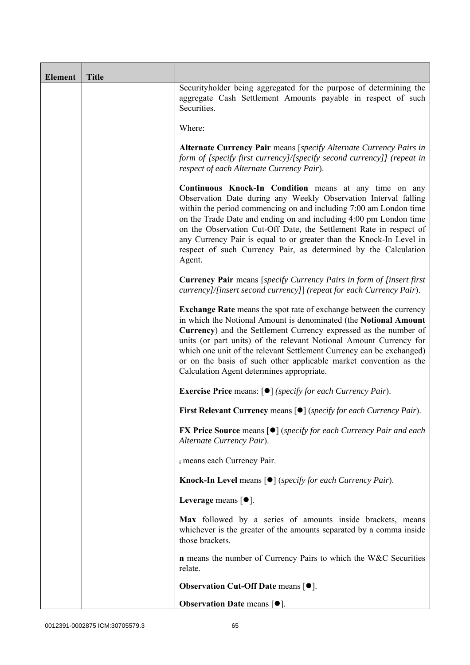| <b>Element</b> | <b>Title</b> |                                                                                                                                                                                                                                                                                                                                                                                                                                                                                               |
|----------------|--------------|-----------------------------------------------------------------------------------------------------------------------------------------------------------------------------------------------------------------------------------------------------------------------------------------------------------------------------------------------------------------------------------------------------------------------------------------------------------------------------------------------|
|                |              | Securityholder being aggregated for the purpose of determining the<br>aggregate Cash Settlement Amounts payable in respect of such<br>Securities.                                                                                                                                                                                                                                                                                                                                             |
|                |              | Where:                                                                                                                                                                                                                                                                                                                                                                                                                                                                                        |
|                |              | Alternate Currency Pair means [specify Alternate Currency Pairs in<br>form of [specify first currency]/[specify second currency]] (repeat in<br>respect of each Alternate Currency Pair).                                                                                                                                                                                                                                                                                                     |
|                |              | Continuous Knock-In Condition means at any time on any<br>Observation Date during any Weekly Observation Interval falling<br>within the period commencing on and including 7:00 am London time<br>on the Trade Date and ending on and including 4:00 pm London time<br>on the Observation Cut-Off Date, the Settlement Rate in respect of<br>any Currency Pair is equal to or greater than the Knock-In Level in<br>respect of such Currency Pair, as determined by the Calculation<br>Agent. |
|                |              | <b>Currency Pair</b> means [specify Currency Pairs in form of [insert first<br>currency]/[insert second currency]] (repeat for each Currency Pair).                                                                                                                                                                                                                                                                                                                                           |
|                |              | <b>Exchange Rate</b> means the spot rate of exchange between the currency<br>in which the Notional Amount is denominated (the Notional Amount<br>Currency) and the Settlement Currency expressed as the number of<br>units (or part units) of the relevant Notional Amount Currency for<br>which one unit of the relevant Settlement Currency can be exchanged)<br>or on the basis of such other applicable market convention as the<br>Calculation Agent determines appropriate.             |
|                |              | <b>Exercise Price</b> means: $\lceil \bullet \rceil$ ( <i>specify for each Currency Pair</i> ).                                                                                                                                                                                                                                                                                                                                                                                               |
|                |              | First Relevant Currency means [ $\bullet$ ] (specify for each Currency Pair).                                                                                                                                                                                                                                                                                                                                                                                                                 |
|                |              | <b>FX Price Source</b> means $\lceil \bullet \rceil$ (specify for each Currency Pair and each<br>Alternate Currency Pair).                                                                                                                                                                                                                                                                                                                                                                    |
|                |              | i means each Currency Pair.                                                                                                                                                                                                                                                                                                                                                                                                                                                                   |
|                |              | <b>Knock-In Level means <math>\lceil \bullet \rceil</math> (specify for each Currency Pair).</b>                                                                                                                                                                                                                                                                                                                                                                                              |
|                |              | Leverage means $[•]$ .                                                                                                                                                                                                                                                                                                                                                                                                                                                                        |
|                |              | Max followed by a series of amounts inside brackets, means<br>whichever is the greater of the amounts separated by a comma inside<br>those brackets.                                                                                                                                                                                                                                                                                                                                          |
|                |              | <b>n</b> means the number of Currency Pairs to which the W&C Securities<br>relate.                                                                                                                                                                                                                                                                                                                                                                                                            |
|                |              | <b>Observation Cut-Off Date means [<math>\bullet</math>].</b>                                                                                                                                                                                                                                                                                                                                                                                                                                 |
|                |              | Observation Date means [ $\bullet$ ].                                                                                                                                                                                                                                                                                                                                                                                                                                                         |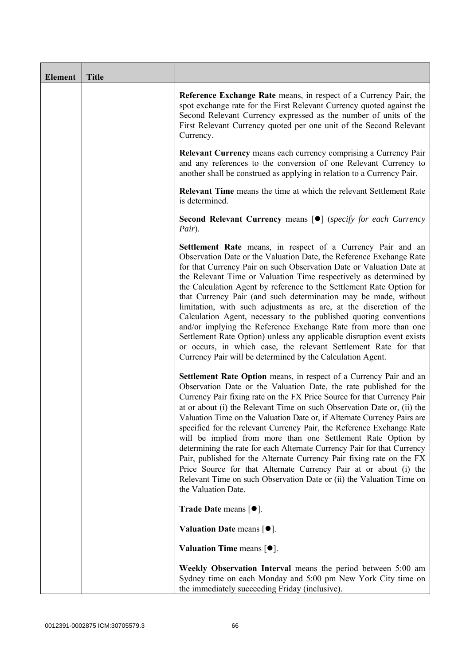| <b>Element</b> | <b>Title</b> |                                                                                                                                                                                                                                                                                                                                                                                                                                                                                                                                                                                                                                                                                                                                                                                                                                                   |
|----------------|--------------|---------------------------------------------------------------------------------------------------------------------------------------------------------------------------------------------------------------------------------------------------------------------------------------------------------------------------------------------------------------------------------------------------------------------------------------------------------------------------------------------------------------------------------------------------------------------------------------------------------------------------------------------------------------------------------------------------------------------------------------------------------------------------------------------------------------------------------------------------|
|                |              | Reference Exchange Rate means, in respect of a Currency Pair, the<br>spot exchange rate for the First Relevant Currency quoted against the<br>Second Relevant Currency expressed as the number of units of the<br>First Relevant Currency quoted per one unit of the Second Relevant<br>Currency.                                                                                                                                                                                                                                                                                                                                                                                                                                                                                                                                                 |
|                |              | <b>Relevant Currency</b> means each currency comprising a Currency Pair<br>and any references to the conversion of one Relevant Currency to<br>another shall be construed as applying in relation to a Currency Pair.                                                                                                                                                                                                                                                                                                                                                                                                                                                                                                                                                                                                                             |
|                |              | <b>Relevant Time</b> means the time at which the relevant Settlement Rate<br>is determined.                                                                                                                                                                                                                                                                                                                                                                                                                                                                                                                                                                                                                                                                                                                                                       |
|                |              | Second Relevant Currency means [ $\bullet$ ] (specify for each Currency<br>Pair).                                                                                                                                                                                                                                                                                                                                                                                                                                                                                                                                                                                                                                                                                                                                                                 |
|                |              | Settlement Rate means, in respect of a Currency Pair and an<br>Observation Date or the Valuation Date, the Reference Exchange Rate<br>for that Currency Pair on such Observation Date or Valuation Date at<br>the Relevant Time or Valuation Time respectively as determined by<br>the Calculation Agent by reference to the Settlement Rate Option for<br>that Currency Pair (and such determination may be made, without<br>limitation, with such adjustments as are, at the discretion of the<br>Calculation Agent, necessary to the published quoting conventions<br>and/or implying the Reference Exchange Rate from more than one<br>Settlement Rate Option) unless any applicable disruption event exists<br>or occurs, in which case, the relevant Settlement Rate for that<br>Currency Pair will be determined by the Calculation Agent. |
|                |              | Settlement Rate Option means, in respect of a Currency Pair and an<br>Observation Date or the Valuation Date, the rate published for the<br>Currency Pair fixing rate on the FX Price Source for that Currency Pair<br>at or about (i) the Relevant Time on such Observation Date or, (ii) the<br>Valuation Time on the Valuation Date or, if Alternate Currency Pairs are<br>specified for the relevant Currency Pair, the Reference Exchange Rate<br>will be implied from more than one Settlement Rate Option by<br>determining the rate for each Alternate Currency Pair for that Currency<br>Pair, published for the Alternate Currency Pair fixing rate on the FX<br>Price Source for that Alternate Currency Pair at or about (i) the<br>Relevant Time on such Observation Date or (ii) the Valuation Time on<br>the Valuation Date.       |
|                |              | Trade Date means $[•]$ .                                                                                                                                                                                                                                                                                                                                                                                                                                                                                                                                                                                                                                                                                                                                                                                                                          |
|                |              | Valuation Date means $[•]$ .                                                                                                                                                                                                                                                                                                                                                                                                                                                                                                                                                                                                                                                                                                                                                                                                                      |
|                |              | <b>Valuation Time means <math>[•]</math>.</b>                                                                                                                                                                                                                                                                                                                                                                                                                                                                                                                                                                                                                                                                                                                                                                                                     |
|                |              | Weekly Observation Interval means the period between 5:00 am<br>Sydney time on each Monday and 5:00 pm New York City time on<br>the immediately succeeding Friday (inclusive).                                                                                                                                                                                                                                                                                                                                                                                                                                                                                                                                                                                                                                                                    |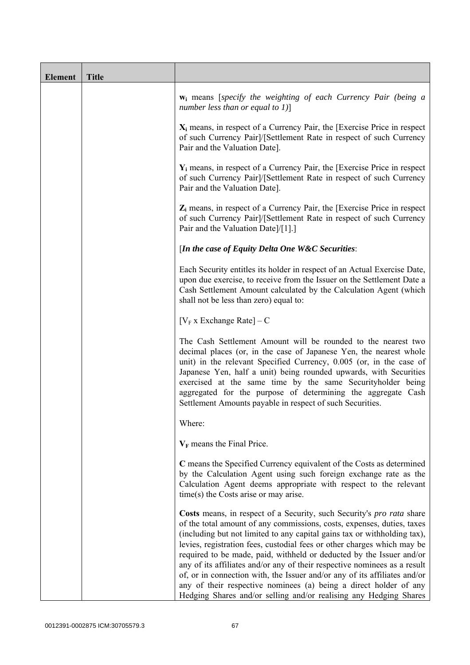| <b>Element</b> | <b>Title</b> |                                                                                                                                                                                                                                                                                                                                                                                                                                                                                                                                                                                                                                                                                    |
|----------------|--------------|------------------------------------------------------------------------------------------------------------------------------------------------------------------------------------------------------------------------------------------------------------------------------------------------------------------------------------------------------------------------------------------------------------------------------------------------------------------------------------------------------------------------------------------------------------------------------------------------------------------------------------------------------------------------------------|
|                |              | <b>w</b> <sub>i</sub> means [specify the weighting of each Currency Pair (being a<br>number less than or equal to $1$ ]                                                                                                                                                                                                                                                                                                                                                                                                                                                                                                                                                            |
|                |              | $X_i$ means, in respect of a Currency Pair, the [Exercise Price in respect<br>of such Currency Pair]/[Settlement Rate in respect of such Currency<br>Pair and the Valuation Date].                                                                                                                                                                                                                                                                                                                                                                                                                                                                                                 |
|                |              | $Y_i$ means, in respect of a Currency Pair, the [Exercise Price in respect<br>of such Currency Pair]/[Settlement Rate in respect of such Currency<br>Pair and the Valuation Date].                                                                                                                                                                                                                                                                                                                                                                                                                                                                                                 |
|                |              | $Z_i$ means, in respect of a Currency Pair, the [Exercise Price in respect<br>of such Currency Pair]/[Settlement Rate in respect of such Currency<br>Pair and the Valuation Date]/[1].]                                                                                                                                                                                                                                                                                                                                                                                                                                                                                            |
|                |              | [In the case of Equity Delta One W&C Securities:                                                                                                                                                                                                                                                                                                                                                                                                                                                                                                                                                                                                                                   |
|                |              | Each Security entitles its holder in respect of an Actual Exercise Date,<br>upon due exercise, to receive from the Issuer on the Settlement Date a<br>Cash Settlement Amount calculated by the Calculation Agent (which<br>shall not be less than zero) equal to:                                                                                                                                                                                                                                                                                                                                                                                                                  |
|                |              | $[V_F x]$ Exchange Rate $]-C$                                                                                                                                                                                                                                                                                                                                                                                                                                                                                                                                                                                                                                                      |
|                |              | The Cash Settlement Amount will be rounded to the nearest two<br>decimal places (or, in the case of Japanese Yen, the nearest whole<br>unit) in the relevant Specified Currency, 0.005 (or, in the case of<br>Japanese Yen, half a unit) being rounded upwards, with Securities<br>exercised at the same time by the same Securityholder being<br>aggregated for the purpose of determining the aggregate Cash<br>Settlement Amounts payable in respect of such Securities.                                                                                                                                                                                                        |
|                |              | Where:                                                                                                                                                                                                                                                                                                                                                                                                                                                                                                                                                                                                                                                                             |
|                |              | $V_F$ means the Final Price.                                                                                                                                                                                                                                                                                                                                                                                                                                                                                                                                                                                                                                                       |
|                |              | C means the Specified Currency equivalent of the Costs as determined<br>by the Calculation Agent using such foreign exchange rate as the<br>Calculation Agent deems appropriate with respect to the relevant<br>$time(s)$ the Costs arise or may arise.                                                                                                                                                                                                                                                                                                                                                                                                                            |
|                |              | Costs means, in respect of a Security, such Security's pro rata share<br>of the total amount of any commissions, costs, expenses, duties, taxes<br>(including but not limited to any capital gains tax or withholding tax),<br>levies, registration fees, custodial fees or other charges which may be<br>required to be made, paid, withheld or deducted by the Issuer and/or<br>any of its affiliates and/or any of their respective nominees as a result<br>of, or in connection with, the Issuer and/or any of its affiliates and/or<br>any of their respective nominees (a) being a direct holder of any<br>Hedging Shares and/or selling and/or realising any Hedging Shares |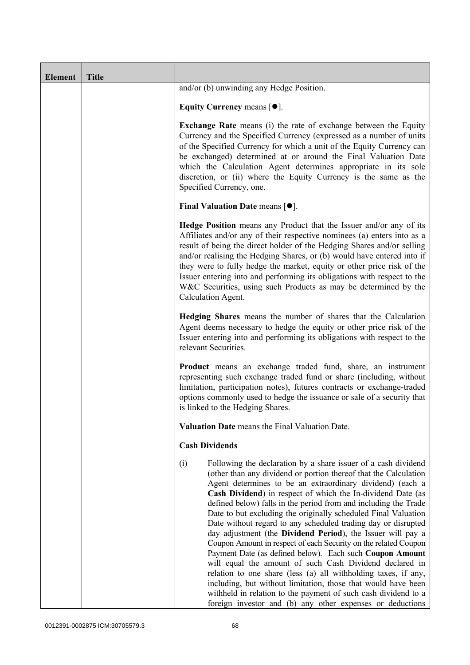| <b>Element</b> | <b>Title</b> |                                                                                                                                                                                                                                                                                                                                                                                                                                                                                                                                                                                                                                                                                                                                                                                                                                                                                                                                                                                                        |
|----------------|--------------|--------------------------------------------------------------------------------------------------------------------------------------------------------------------------------------------------------------------------------------------------------------------------------------------------------------------------------------------------------------------------------------------------------------------------------------------------------------------------------------------------------------------------------------------------------------------------------------------------------------------------------------------------------------------------------------------------------------------------------------------------------------------------------------------------------------------------------------------------------------------------------------------------------------------------------------------------------------------------------------------------------|
|                |              | and/or (b) unwinding any Hedge Position.                                                                                                                                                                                                                                                                                                                                                                                                                                                                                                                                                                                                                                                                                                                                                                                                                                                                                                                                                               |
|                |              | Equity Currency means $[\bullet].$                                                                                                                                                                                                                                                                                                                                                                                                                                                                                                                                                                                                                                                                                                                                                                                                                                                                                                                                                                     |
|                |              | <b>Exchange Rate</b> means (i) the rate of exchange between the Equity<br>Currency and the Specified Currency (expressed as a number of units<br>of the Specified Currency for which a unit of the Equity Currency can<br>be exchanged) determined at or around the Final Valuation Date<br>which the Calculation Agent determines appropriate in its sole<br>discretion, or (ii) where the Equity Currency is the same as the<br>Specified Currency, one.                                                                                                                                                                                                                                                                                                                                                                                                                                                                                                                                             |
|                |              | <b>Final Valuation Date means <math>\lceil \bullet \rceil</math>.</b>                                                                                                                                                                                                                                                                                                                                                                                                                                                                                                                                                                                                                                                                                                                                                                                                                                                                                                                                  |
|                |              | <b>Hedge Position</b> means any Product that the Issuer and/or any of its<br>Affiliates and/or any of their respective nominees (a) enters into as a<br>result of being the direct holder of the Hedging Shares and/or selling<br>and/or realising the Hedging Shares, or (b) would have entered into if<br>they were to fully hedge the market, equity or other price risk of the<br>Issuer entering into and performing its obligations with respect to the<br>W&C Securities, using such Products as may be determined by the<br>Calculation Agent.                                                                                                                                                                                                                                                                                                                                                                                                                                                 |
|                |              | Hedging Shares means the number of shares that the Calculation<br>Agent deems necessary to hedge the equity or other price risk of the<br>Issuer entering into and performing its obligations with respect to the<br>relevant Securities.                                                                                                                                                                                                                                                                                                                                                                                                                                                                                                                                                                                                                                                                                                                                                              |
|                |              | Product means an exchange traded fund, share, an instrument<br>representing such exchange traded fund or share (including, without<br>limitation, participation notes), futures contracts or exchange-traded<br>options commonly used to hedge the issuance or sale of a security that<br>is linked to the Hedging Shares.                                                                                                                                                                                                                                                                                                                                                                                                                                                                                                                                                                                                                                                                             |
|                |              | Valuation Date means the Final Valuation Date.                                                                                                                                                                                                                                                                                                                                                                                                                                                                                                                                                                                                                                                                                                                                                                                                                                                                                                                                                         |
|                |              | <b>Cash Dividends</b>                                                                                                                                                                                                                                                                                                                                                                                                                                                                                                                                                                                                                                                                                                                                                                                                                                                                                                                                                                                  |
|                |              | Following the declaration by a share issuer of a cash dividend<br>(i)<br>(other than any dividend or portion thereof that the Calculation<br>Agent determines to be an extraordinary dividend) (each a<br>Cash Dividend) in respect of which the In-dividend Date (as<br>defined below) falls in the period from and including the Trade<br>Date to but excluding the originally scheduled Final Valuation<br>Date without regard to any scheduled trading day or disrupted<br>day adjustment (the Dividend Period), the Issuer will pay a<br>Coupon Amount in respect of each Security on the related Coupon<br>Payment Date (as defined below). Each such Coupon Amount<br>will equal the amount of such Cash Dividend declared in<br>relation to one share (less (a) all withholding taxes, if any,<br>including, but without limitation, those that would have been<br>withheld in relation to the payment of such cash dividend to a<br>foreign investor and (b) any other expenses or deductions |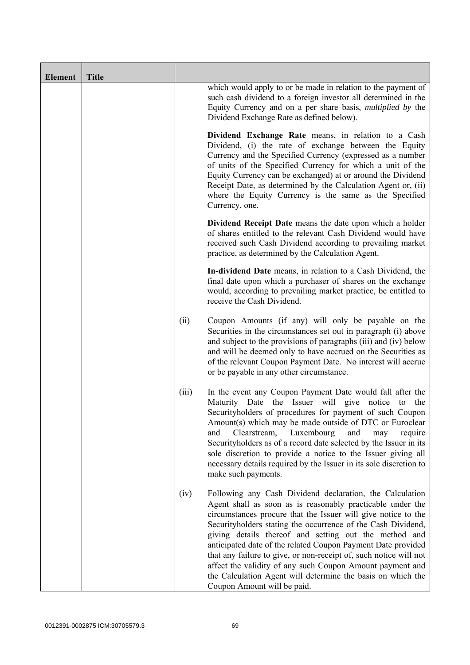| <b>Element</b> | <b>Title</b> |       |                                                                                                                                                                                                                                                                                                                                                                                                                                                                                                                                                                                                                  |
|----------------|--------------|-------|------------------------------------------------------------------------------------------------------------------------------------------------------------------------------------------------------------------------------------------------------------------------------------------------------------------------------------------------------------------------------------------------------------------------------------------------------------------------------------------------------------------------------------------------------------------------------------------------------------------|
|                |              |       | which would apply to or be made in relation to the payment of<br>such cash dividend to a foreign investor all determined in the<br>Equity Currency and on a per share basis, <i>multiplied by</i> the<br>Dividend Exchange Rate as defined below).                                                                                                                                                                                                                                                                                                                                                               |
|                |              |       | Dividend Exchange Rate means, in relation to a Cash<br>Dividend, (i) the rate of exchange between the Equity<br>Currency and the Specified Currency (expressed as a number<br>of units of the Specified Currency for which a unit of the<br>Equity Currency can be exchanged) at or around the Dividend<br>Receipt Date, as determined by the Calculation Agent or, (ii)<br>where the Equity Currency is the same as the Specified<br>Currency, one.                                                                                                                                                             |
|                |              |       | Dividend Receipt Date means the date upon which a holder<br>of shares entitled to the relevant Cash Dividend would have<br>received such Cash Dividend according to prevailing market<br>practice, as determined by the Calculation Agent.                                                                                                                                                                                                                                                                                                                                                                       |
|                |              |       | In-dividend Date means, in relation to a Cash Dividend, the<br>final date upon which a purchaser of shares on the exchange<br>would, according to prevailing market practice, be entitled to<br>receive the Cash Dividend.                                                                                                                                                                                                                                                                                                                                                                                       |
|                |              | (ii)  | Coupon Amounts (if any) will only be payable on the<br>Securities in the circumstances set out in paragraph (i) above<br>and subject to the provisions of paragraphs (iii) and (iv) below<br>and will be deemed only to have accrued on the Securities as<br>of the relevant Coupon Payment Date. No interest will accrue<br>or be payable in any other circumstance.                                                                                                                                                                                                                                            |
|                |              | (iii) | In the event any Coupon Payment Date would fall after the<br>Maturity Date the Issuer will give notice to the<br>Security holders of procedures for payment of such Coupon<br>Amount(s) which may be made outside of DTC or Euroclear<br>Luxembourg<br>and<br>Clearstream,<br>and<br>may<br>require<br>Securityholders as of a record date selected by the Issuer in its<br>sole discretion to provide a notice to the Issuer giving all<br>necessary details required by the Issuer in its sole discretion to<br>make such payments.                                                                            |
|                |              | (iv)  | Following any Cash Dividend declaration, the Calculation<br>Agent shall as soon as is reasonably practicable under the<br>circumstances procure that the Issuer will give notice to the<br>Securityholders stating the occurrence of the Cash Dividend,<br>giving details thereof and setting out the method and<br>anticipated date of the related Coupon Payment Date provided<br>that any failure to give, or non-receipt of, such notice will not<br>affect the validity of any such Coupon Amount payment and<br>the Calculation Agent will determine the basis on which the<br>Coupon Amount will be paid. |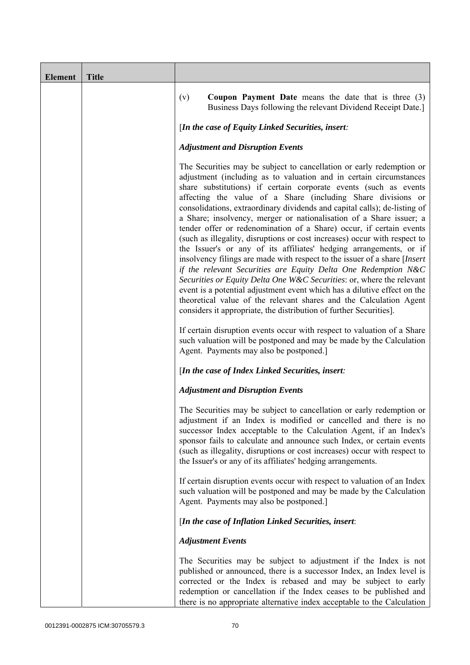| <b>Element</b> | <b>Title</b> |                                                                                                                                                                                                                                                                                                                                                                                                                                                                                                                                                                                                                                                                                                                                                                                                                                                                                                                                                                                                                                                                                                                                                                                                                                                                 |
|----------------|--------------|-----------------------------------------------------------------------------------------------------------------------------------------------------------------------------------------------------------------------------------------------------------------------------------------------------------------------------------------------------------------------------------------------------------------------------------------------------------------------------------------------------------------------------------------------------------------------------------------------------------------------------------------------------------------------------------------------------------------------------------------------------------------------------------------------------------------------------------------------------------------------------------------------------------------------------------------------------------------------------------------------------------------------------------------------------------------------------------------------------------------------------------------------------------------------------------------------------------------------------------------------------------------|
|                |              | <b>Coupon Payment Date</b> means the date that is three $(3)$<br>(v)<br>Business Days following the relevant Dividend Receipt Date.]                                                                                                                                                                                                                                                                                                                                                                                                                                                                                                                                                                                                                                                                                                                                                                                                                                                                                                                                                                                                                                                                                                                            |
|                |              | [In the case of Equity Linked Securities, insert:                                                                                                                                                                                                                                                                                                                                                                                                                                                                                                                                                                                                                                                                                                                                                                                                                                                                                                                                                                                                                                                                                                                                                                                                               |
|                |              | <b>Adjustment and Disruption Events</b>                                                                                                                                                                                                                                                                                                                                                                                                                                                                                                                                                                                                                                                                                                                                                                                                                                                                                                                                                                                                                                                                                                                                                                                                                         |
|                |              | The Securities may be subject to cancellation or early redemption or<br>adjustment (including as to valuation and in certain circumstances<br>share substitutions) if certain corporate events (such as events<br>affecting the value of a Share (including Share divisions or<br>consolidations, extraordinary dividends and capital calls); de-listing of<br>a Share; insolvency, merger or nationalisation of a Share issuer; a<br>tender offer or redenomination of a Share) occur, if certain events<br>(such as illegality, disruptions or cost increases) occur with respect to<br>the Issuer's or any of its affiliates' hedging arrangements, or if<br>insolvency filings are made with respect to the issuer of a share [Insert]<br>if the relevant Securities are Equity Delta One Redemption N&C<br>Securities or Equity Delta One W&C Securities: or, where the relevant<br>event is a potential adjustment event which has a dilutive effect on the<br>theoretical value of the relevant shares and the Calculation Agent<br>considers it appropriate, the distribution of further Securities].<br>If certain disruption events occur with respect to valuation of a Share<br>such valuation will be postponed and may be made by the Calculation |
|                |              | Agent. Payments may also be postponed.]                                                                                                                                                                                                                                                                                                                                                                                                                                                                                                                                                                                                                                                                                                                                                                                                                                                                                                                                                                                                                                                                                                                                                                                                                         |
|                |              | [In the case of Index Linked Securities, insert:                                                                                                                                                                                                                                                                                                                                                                                                                                                                                                                                                                                                                                                                                                                                                                                                                                                                                                                                                                                                                                                                                                                                                                                                                |
|                |              | <b>Adjustment and Disruption Events</b>                                                                                                                                                                                                                                                                                                                                                                                                                                                                                                                                                                                                                                                                                                                                                                                                                                                                                                                                                                                                                                                                                                                                                                                                                         |
|                |              | The Securities may be subject to cancellation or early redemption or<br>adjustment if an Index is modified or cancelled and there is no<br>successor Index acceptable to the Calculation Agent, if an Index's<br>sponsor fails to calculate and announce such Index, or certain events<br>(such as illegality, disruptions or cost increases) occur with respect to<br>the Issuer's or any of its affiliates' hedging arrangements.                                                                                                                                                                                                                                                                                                                                                                                                                                                                                                                                                                                                                                                                                                                                                                                                                             |
|                |              | If certain disruption events occur with respect to valuation of an Index<br>such valuation will be postponed and may be made by the Calculation<br>Agent. Payments may also be postponed.]                                                                                                                                                                                                                                                                                                                                                                                                                                                                                                                                                                                                                                                                                                                                                                                                                                                                                                                                                                                                                                                                      |
|                |              | [In the case of Inflation Linked Securities, insert:                                                                                                                                                                                                                                                                                                                                                                                                                                                                                                                                                                                                                                                                                                                                                                                                                                                                                                                                                                                                                                                                                                                                                                                                            |
|                |              | <b>Adjustment Events</b>                                                                                                                                                                                                                                                                                                                                                                                                                                                                                                                                                                                                                                                                                                                                                                                                                                                                                                                                                                                                                                                                                                                                                                                                                                        |
|                |              | The Securities may be subject to adjustment if the Index is not<br>published or announced, there is a successor Index, an Index level is<br>corrected or the Index is rebased and may be subject to early<br>redemption or cancellation if the Index ceases to be published and<br>there is no appropriate alternative index acceptable to the Calculation                                                                                                                                                                                                                                                                                                                                                                                                                                                                                                                                                                                                                                                                                                                                                                                                                                                                                                      |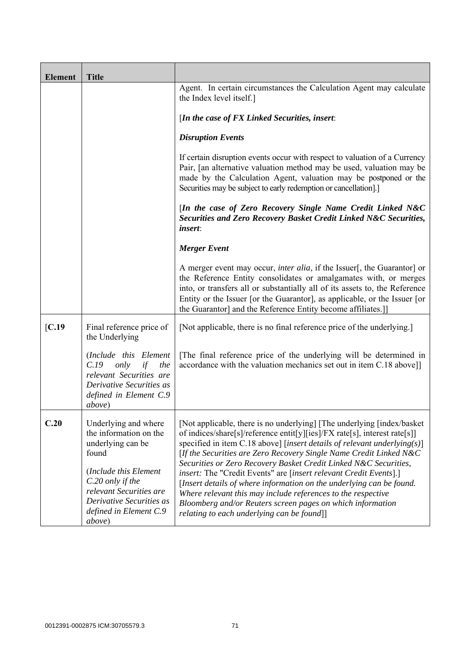| <b>Element</b> | <b>Title</b>                                                                                                                                                                                                                 |                                                                                                                                                                                                                                                                                                                                                                                                                                                                                                                                                                                                                                                                                                     |
|----------------|------------------------------------------------------------------------------------------------------------------------------------------------------------------------------------------------------------------------------|-----------------------------------------------------------------------------------------------------------------------------------------------------------------------------------------------------------------------------------------------------------------------------------------------------------------------------------------------------------------------------------------------------------------------------------------------------------------------------------------------------------------------------------------------------------------------------------------------------------------------------------------------------------------------------------------------------|
|                |                                                                                                                                                                                                                              | Agent. In certain circumstances the Calculation Agent may calculate<br>the Index level itself.]                                                                                                                                                                                                                                                                                                                                                                                                                                                                                                                                                                                                     |
|                |                                                                                                                                                                                                                              | [In the case of $FX$ Linked Securities, insert:                                                                                                                                                                                                                                                                                                                                                                                                                                                                                                                                                                                                                                                     |
|                |                                                                                                                                                                                                                              | <b>Disruption Events</b>                                                                                                                                                                                                                                                                                                                                                                                                                                                                                                                                                                                                                                                                            |
|                |                                                                                                                                                                                                                              | If certain disruption events occur with respect to valuation of a Currency<br>Pair, [an alternative valuation method may be used, valuation may be<br>made by the Calculation Agent, valuation may be postponed or the<br>Securities may be subject to early redemption or cancellation].]                                                                                                                                                                                                                                                                                                                                                                                                          |
|                |                                                                                                                                                                                                                              | [In the case of Zero Recovery Single Name Credit Linked N&C<br>Securities and Zero Recovery Basket Credit Linked N&C Securities,<br><i>insert:</i>                                                                                                                                                                                                                                                                                                                                                                                                                                                                                                                                                  |
|                |                                                                                                                                                                                                                              | <b>Merger Event</b>                                                                                                                                                                                                                                                                                                                                                                                                                                                                                                                                                                                                                                                                                 |
|                |                                                                                                                                                                                                                              | A merger event may occur, <i>inter alia</i> , if the Issuer[, the Guarantor] or<br>the Reference Entity consolidates or amalgamates with, or merges<br>into, or transfers all or substantially all of its assets to, the Reference<br>Entity or the Issuer [or the Guarantor], as applicable, or the Issuer [or<br>the Guarantor] and the Reference Entity become affiliates.]                                                                                                                                                                                                                                                                                                                      |
| [C.19]         | Final reference price of<br>the Underlying                                                                                                                                                                                   | [Not applicable, there is no final reference price of the underlying.]                                                                                                                                                                                                                                                                                                                                                                                                                                                                                                                                                                                                                              |
|                | (Include this Element<br>C.19<br>only<br>if<br>the<br>relevant Securities are<br>Derivative Securities as<br>defined in Element C.9<br><i>above</i> )                                                                        | The final reference price of the underlying will be determined in<br>accordance with the valuation mechanics set out in item C.18 above]]                                                                                                                                                                                                                                                                                                                                                                                                                                                                                                                                                           |
| C.20           | Underlying and where<br>the information on the<br>underlying can be<br>found<br>(Include this Element<br>C.20 only if the<br>relevant Securities are<br>Derivative Securities as<br>defined in Element C.9<br><i>above</i> ) | [Not applicable, there is no underlying] [The underlying [index/basket]<br>of indices/share[s]/reference entit[y][ies]/FX rate[s], interest rate[s]]<br>specified in item C.18 above] [insert details of relevant underlying(s)]<br>[If the Securities are Zero Recovery Single Name Credit Linked N&C<br>Securities or Zero Recovery Basket Credit Linked N&C Securities,<br>insert: The "Credit Events" are [insert relevant Credit Events].]<br>[Insert details of where information on the underlying can be found.<br>Where relevant this may include references to the respective<br>Bloomberg and/or Reuters screen pages on which information<br>relating to each underlying can be found]] |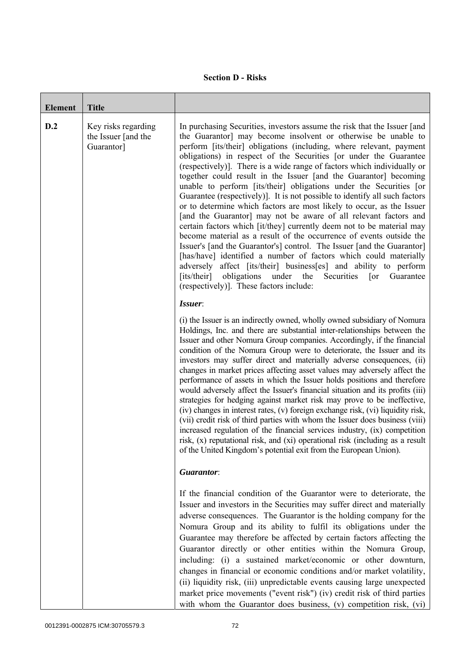## **Section D - Risks**

| <b>Element</b> | <b>Title</b>                                             |                                                                                                                                                                                                                                                                                                                                                                                                                                                                                                                                                                                                                                                                                                                                                                                                                                                                                                                                                                                                                                                                                                                                                                                                                                           |
|----------------|----------------------------------------------------------|-------------------------------------------------------------------------------------------------------------------------------------------------------------------------------------------------------------------------------------------------------------------------------------------------------------------------------------------------------------------------------------------------------------------------------------------------------------------------------------------------------------------------------------------------------------------------------------------------------------------------------------------------------------------------------------------------------------------------------------------------------------------------------------------------------------------------------------------------------------------------------------------------------------------------------------------------------------------------------------------------------------------------------------------------------------------------------------------------------------------------------------------------------------------------------------------------------------------------------------------|
| D.2            | Key risks regarding<br>the Issuer [and the<br>Guarantor] | In purchasing Securities, investors assume the risk that the Issuer [and<br>the Guarantor] may become insolvent or otherwise be unable to<br>perform [its/their] obligations (including, where relevant, payment<br>obligations) in respect of the Securities [or under the Guarantee<br>(respectively)]. There is a wide range of factors which individually or<br>together could result in the Issuer [and the Guarantor] becoming<br>unable to perform [its/their] obligations under the Securities [or<br>Guarantee (respectively). It is not possible to identify all such factors<br>or to determine which factors are most likely to occur, as the Issuer<br>[and the Guarantor] may not be aware of all relevant factors and<br>certain factors which [it/they] currently deem not to be material may<br>become material as a result of the occurrence of events outside the<br>Issuer's [and the Guarantor's] control. The Issuer [and the Guarantor]<br>[has/have] identified a number of factors which could materially<br>adversely affect [its/their] business[es] and ability to perform<br>obligations<br>[its/their]<br>under<br>the<br>Guarantee<br>Securities<br>$\lceil$ or<br>(respectively)]. These factors include: |
|                |                                                          | Issuer:<br>(i) the Issuer is an indirectly owned, wholly owned subsidiary of Nomura<br>Holdings, Inc. and there are substantial inter-relationships between the<br>Issuer and other Nomura Group companies. Accordingly, if the financial<br>condition of the Nomura Group were to deteriorate, the Issuer and its<br>investors may suffer direct and materially adverse consequences, (ii)<br>changes in market prices affecting asset values may adversely affect the<br>performance of assets in which the Issuer holds positions and therefore<br>would adversely affect the Issuer's financial situation and its profits (iii)<br>strategies for hedging against market risk may prove to be ineffective,<br>(iv) changes in interest rates, (v) foreign exchange risk, (vi) liquidity risk,<br>(vii) credit risk of third parties with whom the Issuer does business (viii)<br>increased regulation of the financial services industry, (ix) competition<br>risk, (x) reputational risk, and (xi) operational risk (including as a result<br>of the United Kingdom's potential exit from the European Union).                                                                                                                       |
|                |                                                          | Guarantor:                                                                                                                                                                                                                                                                                                                                                                                                                                                                                                                                                                                                                                                                                                                                                                                                                                                                                                                                                                                                                                                                                                                                                                                                                                |
|                |                                                          | If the financial condition of the Guarantor were to deteriorate, the<br>Issuer and investors in the Securities may suffer direct and materially<br>adverse consequences. The Guarantor is the holding company for the<br>Nomura Group and its ability to fulfil its obligations under the<br>Guarantee may therefore be affected by certain factors affecting the<br>Guarantor directly or other entities within the Nomura Group,<br>including: (i) a sustained market/economic or other downturn,<br>changes in financial or economic conditions and/or market volatility,<br>(ii) liquidity risk, (iii) unpredictable events causing large unexpected<br>market price movements ("event risk") (iv) credit risk of third parties<br>with whom the Guarantor does business, (v) competition risk, (vi)                                                                                                                                                                                                                                                                                                                                                                                                                                  |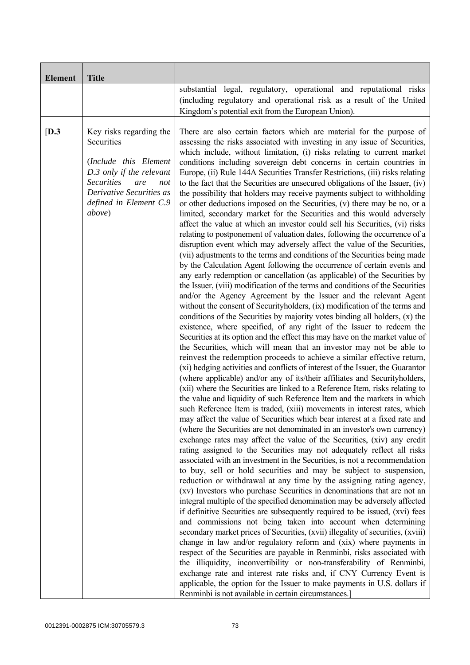| <b>Element</b> | <b>Title</b>                                                                                                                                                                                          |                                                                                                                                                                                                                                                                                                                                                                                                                                                                                                                                                                                                                                                                                                                                                                                                                                                                                                                                                                                                                                                                                                                                                                                                                                                                                                                                                                                                                                                                                                                                                                                                                                                                                                                                                                                                                                                                                                                                                                                                                                                                                                                                                                                                                                                                                                                                                                                                                                                                                                                                                                                                                                                                                                                                                                                                                                                                                                                                                                                                                                                                                                                                                                                                                                                                                                                                                                                                                                                                                                                                                                                                      |
|----------------|-------------------------------------------------------------------------------------------------------------------------------------------------------------------------------------------------------|------------------------------------------------------------------------------------------------------------------------------------------------------------------------------------------------------------------------------------------------------------------------------------------------------------------------------------------------------------------------------------------------------------------------------------------------------------------------------------------------------------------------------------------------------------------------------------------------------------------------------------------------------------------------------------------------------------------------------------------------------------------------------------------------------------------------------------------------------------------------------------------------------------------------------------------------------------------------------------------------------------------------------------------------------------------------------------------------------------------------------------------------------------------------------------------------------------------------------------------------------------------------------------------------------------------------------------------------------------------------------------------------------------------------------------------------------------------------------------------------------------------------------------------------------------------------------------------------------------------------------------------------------------------------------------------------------------------------------------------------------------------------------------------------------------------------------------------------------------------------------------------------------------------------------------------------------------------------------------------------------------------------------------------------------------------------------------------------------------------------------------------------------------------------------------------------------------------------------------------------------------------------------------------------------------------------------------------------------------------------------------------------------------------------------------------------------------------------------------------------------------------------------------------------------------------------------------------------------------------------------------------------------------------------------------------------------------------------------------------------------------------------------------------------------------------------------------------------------------------------------------------------------------------------------------------------------------------------------------------------------------------------------------------------------------------------------------------------------------------------------------------------------------------------------------------------------------------------------------------------------------------------------------------------------------------------------------------------------------------------------------------------------------------------------------------------------------------------------------------------------------------------------------------------------------------------------------------------------|
|                |                                                                                                                                                                                                       | substantial legal, regulatory, operational and reputational risks<br>(including regulatory and operational risk as a result of the United<br>Kingdom's potential exit from the European Union).                                                                                                                                                                                                                                                                                                                                                                                                                                                                                                                                                                                                                                                                                                                                                                                                                                                                                                                                                                                                                                                                                                                                                                                                                                                                                                                                                                                                                                                                                                                                                                                                                                                                                                                                                                                                                                                                                                                                                                                                                                                                                                                                                                                                                                                                                                                                                                                                                                                                                                                                                                                                                                                                                                                                                                                                                                                                                                                                                                                                                                                                                                                                                                                                                                                                                                                                                                                                      |
| [D.3]          | Key risks regarding the<br>Securities<br>(Include this Element<br>D.3 only if the relevant<br><b>Securities</b><br>are<br>not<br>Derivative Securities as<br>defined in Element C.9<br><i>above</i> ) | There are also certain factors which are material for the purpose of<br>assessing the risks associated with investing in any issue of Securities,<br>which include, without limitation, (i) risks relating to current market<br>conditions including sovereign debt concerns in certain countries in<br>Europe, (ii) Rule 144A Securities Transfer Restrictions, (iii) risks relating<br>to the fact that the Securities are unsecured obligations of the Issuer, (iv)<br>the possibility that holders may receive payments subject to withholding<br>or other deductions imposed on the Securities, (v) there may be no, or a<br>limited, secondary market for the Securities and this would adversely<br>affect the value at which an investor could sell his Securities, (vi) risks<br>relating to postponement of valuation dates, following the occurrence of a<br>disruption event which may adversely affect the value of the Securities,<br>(vii) adjustments to the terms and conditions of the Securities being made<br>by the Calculation Agent following the occurrence of certain events and<br>any early redemption or cancellation (as applicable) of the Securities by<br>the Issuer, (viii) modification of the terms and conditions of the Securities<br>and/or the Agency Agreement by the Issuer and the relevant Agent<br>without the consent of Securityholders, (ix) modification of the terms and<br>conditions of the Securities by majority votes binding all holders, $(x)$ the<br>existence, where specified, of any right of the Issuer to redeem the<br>Securities at its option and the effect this may have on the market value of<br>the Securities, which will mean that an investor may not be able to<br>reinvest the redemption proceeds to achieve a similar effective return,<br>(xi) hedging activities and conflicts of interest of the Issuer, the Guarantor<br>(where applicable) and/or any of its/their affiliates and Securityholders,<br>(xii) where the Securities are linked to a Reference Item, risks relating to<br>the value and liquidity of such Reference Item and the markets in which<br>such Reference Item is traded, (xiii) movements in interest rates, which<br>may affect the value of Securities which bear interest at a fixed rate and<br>(where the Securities are not denominated in an investor's own currency)<br>exchange rates may affect the value of the Securities, (xiv) any credit<br>rating assigned to the Securities may not adequately reflect all risks<br>associated with an investment in the Securities, is not a recommendation<br>to buy, sell or hold securities and may be subject to suspension,<br>reduction or withdrawal at any time by the assigning rating agency,<br>(xv) Investors who purchase Securities in denominations that are not an<br>integral multiple of the specified denomination may be adversely affected<br>if definitive Securities are subsequently required to be issued, (xvi) fees<br>and commissions not being taken into account when determining<br>secondary market prices of Securities, (xvii) illegality of securities, (xviii)<br>change in law and/or regulatory reform and (xix) where payments in<br>respect of the Securities are payable in Renminbi, risks associated with<br>the illiquidity, inconvertibility or non-transferability of Renminbi,<br>exchange rate and interest rate risks and, if CNY Currency Event is<br>applicable, the option for the Issuer to make payments in U.S. dollars if<br>Renminbi is not available in certain circumstances.] |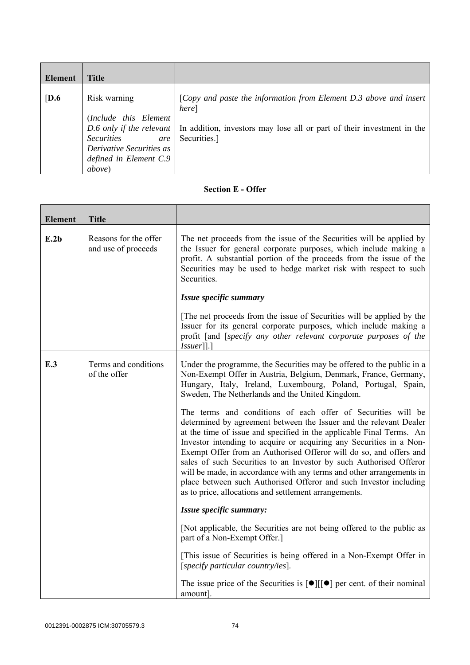| Element          | <b>Title</b>                                                                                                                              |                                                                                                                                                                                                 |
|------------------|-------------------------------------------------------------------------------------------------------------------------------------------|-------------------------------------------------------------------------------------------------------------------------------------------------------------------------------------------------|
| $\overline{D.6}$ | Risk warning<br>(Include this Element<br><b>Securities</b><br>are<br>Derivative Securities as<br>defined in Element C.9<br><i>above</i> ) | [Copy and paste the information from Element D.3 above and insert<br>here]<br>D.6 only if the relevant   In addition, investors may lose all or part of their investment in the<br>Securities.] |

## **Section E - Offer**

| <b>Element</b> | <b>Title</b>                                 |                                                                                                                                                                                                                                                                                                                                                                                                                                                                                                                                                                                                                                     |
|----------------|----------------------------------------------|-------------------------------------------------------------------------------------------------------------------------------------------------------------------------------------------------------------------------------------------------------------------------------------------------------------------------------------------------------------------------------------------------------------------------------------------------------------------------------------------------------------------------------------------------------------------------------------------------------------------------------------|
| E.2b           | Reasons for the offer<br>and use of proceeds | The net proceeds from the issue of the Securities will be applied by<br>the Issuer for general corporate purposes, which include making a<br>profit. A substantial portion of the proceeds from the issue of the<br>Securities may be used to hedge market risk with respect to such<br>Securities.                                                                                                                                                                                                                                                                                                                                 |
|                |                                              | Issue specific summary                                                                                                                                                                                                                                                                                                                                                                                                                                                                                                                                                                                                              |
|                |                                              | The net proceeds from the issue of Securities will be applied by the<br>Issuer for its general corporate purposes, which include making a<br>profit [and [specify any other relevant corporate purposes of the<br>$ Issuer $ ].]                                                                                                                                                                                                                                                                                                                                                                                                    |
| E.3            | Terms and conditions<br>of the offer         | Under the programme, the Securities may be offered to the public in a<br>Non-Exempt Offer in Austria, Belgium, Denmark, France, Germany,<br>Hungary, Italy, Ireland, Luxembourg, Poland, Portugal, Spain,<br>Sweden, The Netherlands and the United Kingdom.                                                                                                                                                                                                                                                                                                                                                                        |
|                |                                              | The terms and conditions of each offer of Securities will be<br>determined by agreement between the Issuer and the relevant Dealer<br>at the time of issue and specified in the applicable Final Terms. An<br>Investor intending to acquire or acquiring any Securities in a Non-<br>Exempt Offer from an Authorised Offeror will do so, and offers and<br>sales of such Securities to an Investor by such Authorised Offeror<br>will be made, in accordance with any terms and other arrangements in<br>place between such Authorised Offeror and such Investor including<br>as to price, allocations and settlement arrangements. |
|                |                                              | Issue specific summary:                                                                                                                                                                                                                                                                                                                                                                                                                                                                                                                                                                                                             |
|                |                                              | [Not applicable, the Securities are not being offered to the public as<br>part of a Non-Exempt Offer.]                                                                                                                                                                                                                                                                                                                                                                                                                                                                                                                              |
|                |                                              | [This issue of Securities is being offered in a Non-Exempt Offer in<br>[specify particular country/ies].                                                                                                                                                                                                                                                                                                                                                                                                                                                                                                                            |
|                |                                              | The issue price of the Securities is $\lceil \bullet \rceil \lceil \cdot \rceil$ per cent. of their nominal<br>amount].                                                                                                                                                                                                                                                                                                                                                                                                                                                                                                             |